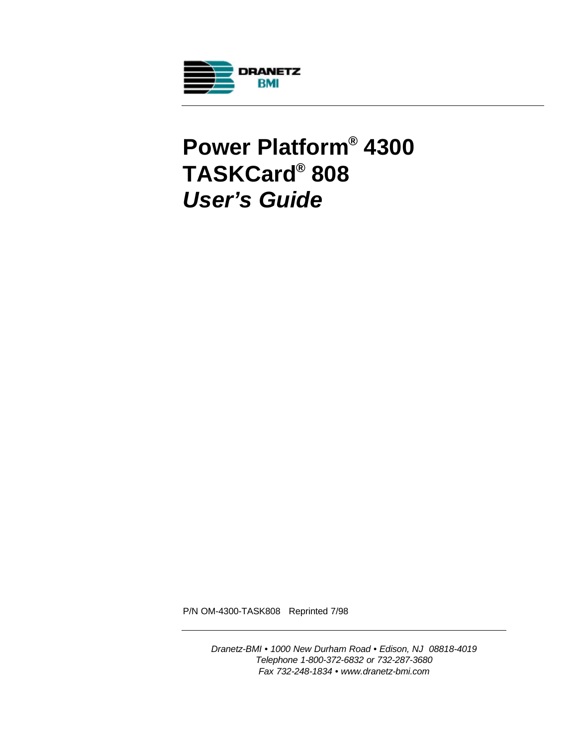

# **Power Platform® 4300 TASKCard® 808** *User's Guide*

P/N OM-4300-TASK808 Reprinted 7/98

*Dranetz-BMI • 1000 New Durham Road • Edison, NJ 08818-4019 Telephone 1-800-372-6832 or 732-287-3680 Fax 732-248-1834 • www.dranetz-bmi.com*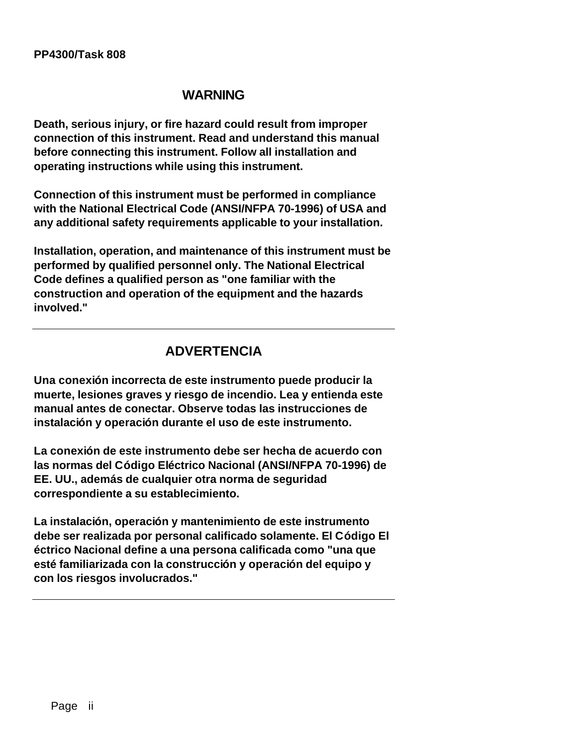### **WARNING**

**Death, serious injury, or fire hazard could result from improper connection of this instrument. Read and understand this manual before connecting this instrument. Follow all installation and operating instructions while using this instrument.**

**Connection of this instrument must be performed in compliance with the National Electrical Code (ANSI/NFPA 70-1996) of USA and any additional safety requirements applicable to your installation.**

**Installation, operation, and maintenance of this instrument must be performed by qualified personnel only. The National Electrical Code defines a qualified person as "one familiar with the construction and operation of the equipment and the hazards involved."**

## **ADVERTENCIA**

**Una conexión incorrecta de este instrumento puede producir la muerte, lesiones graves y riesgo de incendio. Lea y entienda este manual antes de conectar. Observe todas las instrucciones de instalación y operación durante el uso de este instrumento.**

**La conexión de este instrumento debe ser hecha de acuerdo con las normas del Código Eléctrico Nacional (ANSI/NFPA 70-1996) de EE. UU., además de cualquier otra norma de seguridad correspondiente a su establecimiento.**

**La instalación, operación y mantenimiento de este instrumento debe ser realizada por personal calificado solamente. El Código El éctrico Nacional define a una persona calificada como "una que esté familiarizada con la construcción y operación del equipo y con los riesgos involucrados."**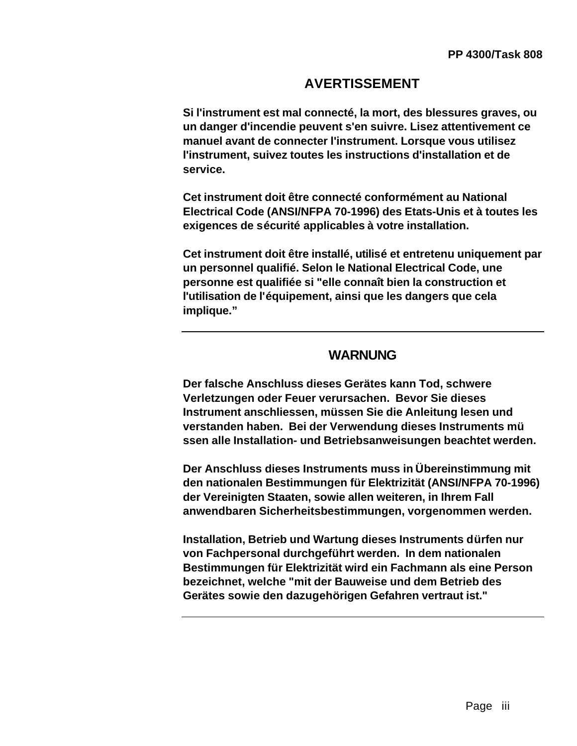#### **AVERTISSEMENT**

**Si l'instrument est mal connecté, la mort, des blessures graves, ou un danger d'incendie peuvent s'en suivre. Lisez attentivement ce manuel avant de connecter l'instrument. Lorsque vous utilisez l'instrument, suivez toutes les instructions d'installation et de service.**

**Cet instrument doit être connecté conformément au National Electrical Code (ANSI/NFPA 70-1996) des Etats-Unis et à toutes les exigences de sécurité applicables à votre installation.**

**Cet instrument doit être installé, utilisé et entretenu uniquement par un personnel qualifié. Selon le National Electrical Code, une personne est qualifiée si "elle connaît bien la construction et l'utilisation de l'équipement, ainsi que les dangers que cela implique."**

#### **WARNUNG**

**Der falsche Anschluss dieses Gerätes kann Tod, schwere Verletzungen oder Feuer verursachen. Bevor Sie dieses Instrument anschliessen, müssen Sie die Anleitung lesen und verstanden haben. Bei der Verwendung dieses Instruments mü ssen alle Installation- und Betriebsanweisungen beachtet werden.**

**Der Anschluss dieses Instruments muss in Übereinstimmung mit den nationalen Bestimmungen für Elektrizität (ANSI/NFPA 70-1996) der Vereinigten Staaten, sowie allen weiteren, in Ihrem Fall anwendbaren Sicherheitsbestimmungen, vorgenommen werden.**

**Installation, Betrieb und Wartung dieses Instruments dürfen nur von Fachpersonal durchgeführt werden. In dem nationalen Bestimmungen für Elektrizität wird ein Fachmann als eine Person bezeichnet, welche "mit der Bauweise und dem Betrieb des Gerätes sowie den dazugehörigen Gefahren vertraut ist."**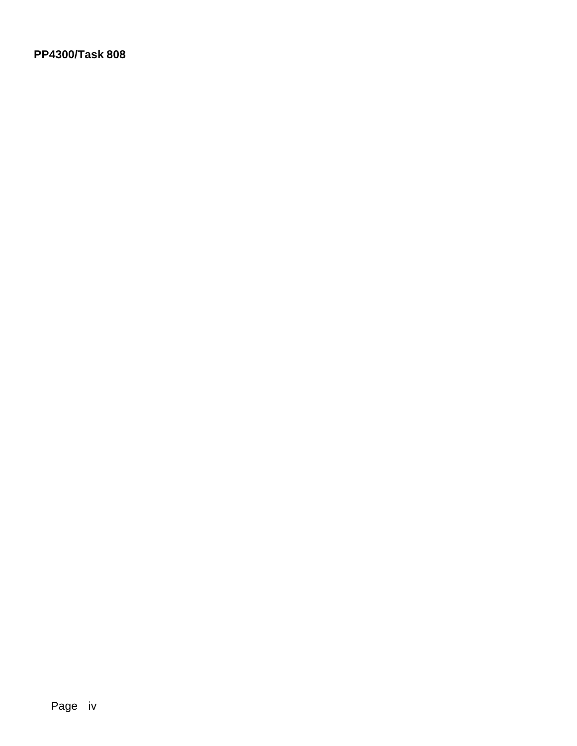**PP4300/Task 808**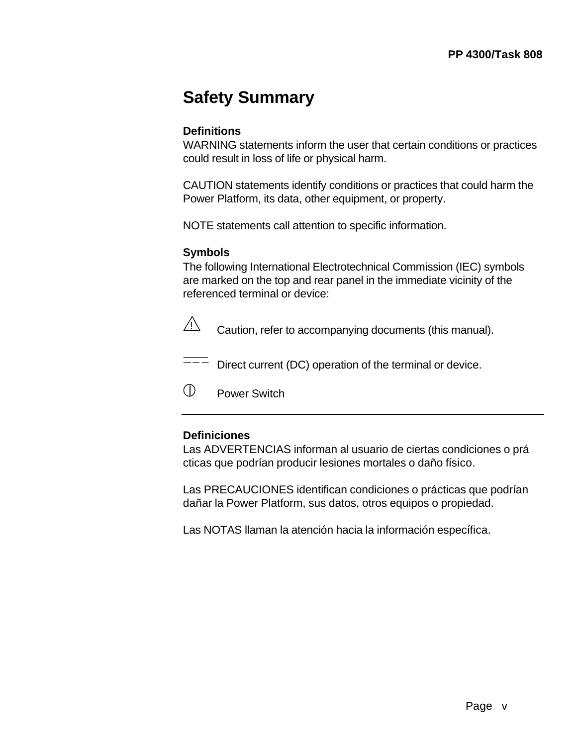## **Safety Summary**

#### **Definitions**

WARNING statements inform the user that certain conditions or practices could result in loss of life or physical harm.

CAUTION statements identify conditions or practices that could harm the Power Platform, its data, other equipment, or property.

NOTE statements call attention to specific information.

#### **Symbols**

The following International Electrotechnical Commission (IEC) symbols are marked on the top and rear panel in the immediate vicinity of the referenced terminal or device:



 $\angle$  Caution, refer to accompanying documents (this manual).

Direct current (DC) operation of the terminal or device.

 $\bigcap$ Power Switch

#### **Definiciones**

Las ADVERTENCIAS informan al usuario de ciertas condiciones o prá cticas que podrían producir lesiones mortales o daño físico.

Las PRECAUCIONES identifican condiciones o prácticas que podrían dañar la Power Platform, sus datos, otros equipos o propiedad.

Las NOTAS llaman la atención hacia la información específica.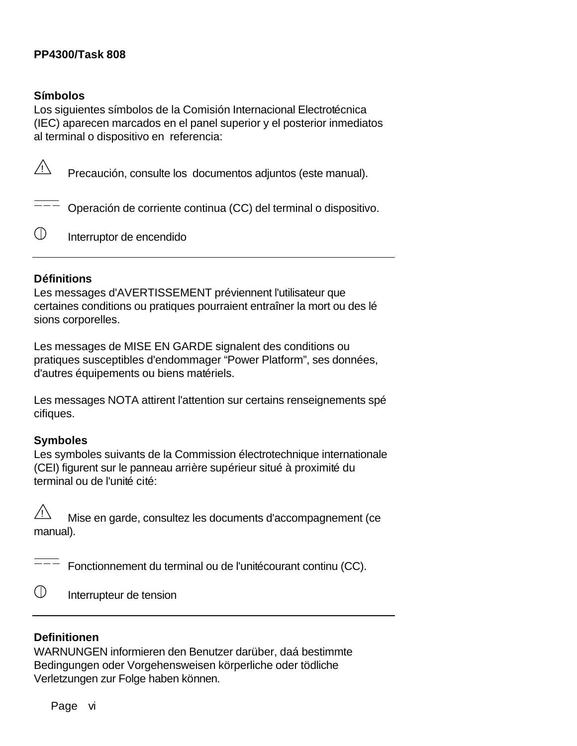#### **PP4300/Task 808**

#### **Símbolos**

Los siguientes símbolos de la Comisión Internacional Electrotécnica (IEC) aparecen marcados en el panel superior y el posterior inmediatos al terminal o dispositivo en referencia:



 $\angle$ ! Precaución, consulte los documentos adjuntos (este manual).

Operación de corriente continua (CC) del terminal o dispositivo.

 $\bigcirc$ Interruptor de encendido

#### **Définitions**

Les messages d'AVERTISSEMENT préviennent l'utilisateur que certaines conditions ou pratiques pourraient entraîner la mort ou des lé sions corporelles.

Les messages de MISE EN GARDE signalent des conditions ou pratiques susceptibles d'endommager "Power Platform", ses données, d'autres équipements ou biens matériels.

Les messages NOTA attirent l'attention sur certains renseignements spé cifiques.

#### **Symboles**

Les symboles suivants de la Commission électrotechnique internationale (CEI) figurent sur le panneau arrière supérieur situé à proximité du terminal ou de l'unité cité:

 $\sqrt{2}$  Mise en garde, consultez les documents d'accompagnement (ce manual).

Fonctionnement du terminal ou de l'unitécourant continu (CC).

 $\bigcirc$ Interrupteur de tension

#### **Definitionen**

WARNUNGEN informieren den Benutzer darüber, daá bestimmte Bedingungen oder Vorgehensweisen körperliche oder tödliche Verletzungen zur Folge haben können.

Page vi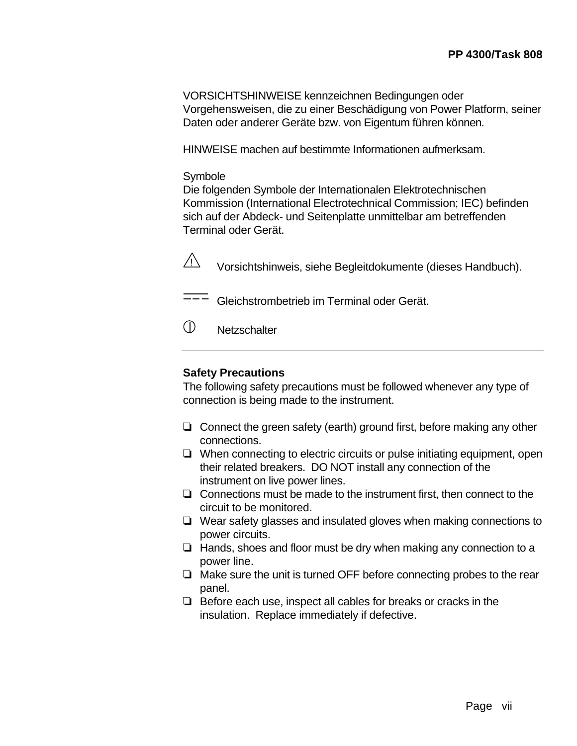VORSICHTSHINWEISE kennzeichnen Bedingungen oder Vorgehensweisen, die zu einer Beschädigung von Power Platform, seiner Daten oder anderer Geräte bzw. von Eigentum führen können.

HINWEISE machen auf bestimmte Informationen aufmerksam.

#### Symbole

Die folgenden Symbole der Internationalen Elektrotechnischen Kommission (International Electrotechnical Commission; IEC) befinden sich auf der Abdeck- und Seitenplatte unmittelbar am betreffenden Terminal oder Gerät.

 $\angle$  Vorsichtshinweis, siehe Begleitdokumente (dieses Handbuch).

Gleichstrombetrieb im Terminal oder Gerät.

 $\left(\mathsf{I}\right)$ **Netzschalter** 

#### **Safety Precautions**

The following safety precautions must be followed whenever any type of connection is being made to the instrument.

- $\Box$  Connect the green safety (earth) ground first, before making any other connections.
- $\Box$  When connecting to electric circuits or pulse initiating equipment, open their related breakers. DO NOT install any connection of the instrument on live power lines.
- $\Box$  Connections must be made to the instrument first, then connect to the circuit to be monitored.
- $\Box$  Wear safety glasses and insulated gloves when making connections to power circuits.
- $\Box$  Hands, shoes and floor must be dry when making any connection to a power line.
- $\Box$  Make sure the unit is turned OFF before connecting probes to the rear panel.
- $\Box$  Before each use, inspect all cables for breaks or cracks in the insulation. Replace immediately if defective.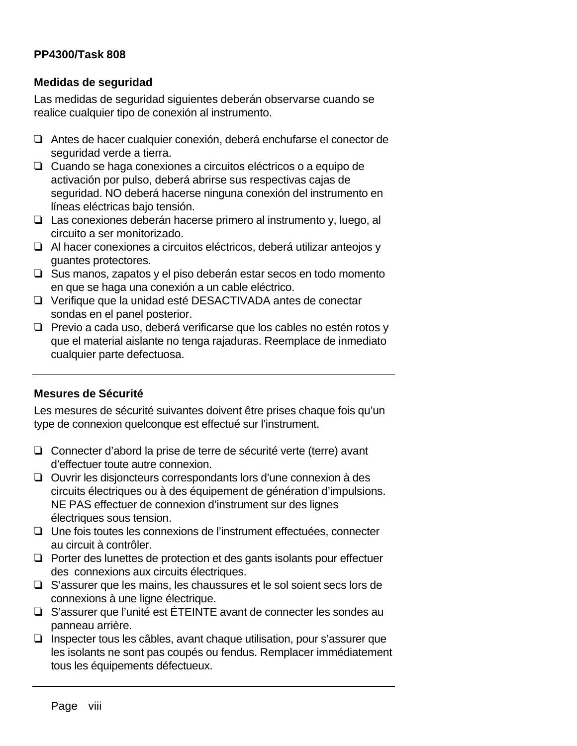#### **PP4300/Task 808**

#### **Medidas de seguridad**

Las medidas de seguridad siguientes deberán observarse cuando se realice cualquier tipo de conexión al instrumento.

- o Antes de hacer cualquier conexión, deberá enchufarse el conector de seguridad verde a tierra.
- $\Box$  Cuando se haga conexiones a circuitos eléctricos o a equipo de activación por pulso, deberá abrirse sus respectivas cajas de seguridad. NO deberá hacerse ninguna conexión del instrumento en líneas eléctricas bajo tensión.
- $\Box$  Las conexiones deberán hacerse primero al instrumento y, luego, al circuito a ser monitorizado.
- $\Box$  Al hacer conexiones a circuitos eléctricos, deberá utilizar anteojos y guantes protectores.
- $\Box$  Sus manos, zapatos y el piso deberán estar secos en todo momento en que se haga una conexión a un cable eléctrico.
- $\Box$  Verifique que la unidad esté DESACTIVADA antes de conectar sondas en el panel posterior.
- $\Box$  Previo a cada uso, deberá verificarse que los cables no estén rotos y que el material aislante no tenga rajaduras. Reemplace de inmediato cualquier parte defectuosa.

#### **Mesures de Sécurité**

Les mesures de sécurité suivantes doivent être prises chaque fois qu'un type de connexion quelconque est effectué sur l'instrument.

- $\Box$  Connecter d'abord la prise de terre de sécurité verte (terre) avant d'effectuer toute autre connexion.
- $\Box$  Ouvrir les disjoncteurs correspondants lors d'une connexion à des circuits électriques ou à des équipement de génération d'impulsions. NE PAS effectuer de connexion d'instrument sur des lignes électriques sous tension.
- $\Box$  Une fois toutes les connexions de l'instrument effectuées, connecter au circuit à contrôler.
- $\Box$  Porter des lunettes de protection et des gants isolants pour effectuer des connexions aux circuits électriques.
- $\Box$  S'assurer que les mains, les chaussures et le sol soient secs lors de connexions à une ligne électrique.
- $\Box$  S'assurer que l'unité est ÉTEINTE avant de connecter les sondes au panneau arrière.
- $\Box$  Inspecter tous les câbles, avant chaque utilisation, pour s'assurer que les isolants ne sont pas coupés ou fendus. Remplacer immédiatement tous les équipements défectueux.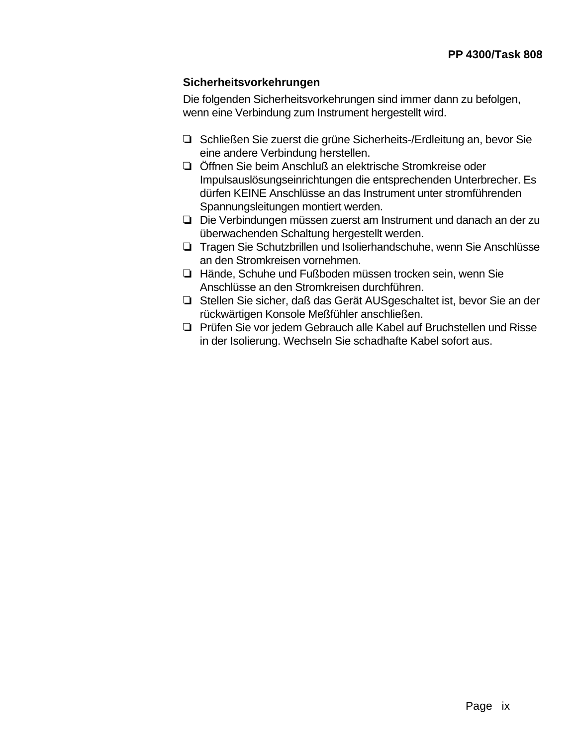#### **Sicherheitsvorkehrungen**

Die folgenden Sicherheitsvorkehrungen sind immer dann zu befolgen, wenn eine Verbindung zum Instrument hergestellt wird.

- □ Schließen Sie zuerst die grüne Sicherheits-/Erdleitung an, bevor Sie eine andere Verbindung herstellen.
- $\Box$  Öffnen Sie beim Anschluß an elektrische Stromkreise oder Impulsauslösungseinrichtungen die entsprechenden Unterbrecher. Es dürfen KEINE Anschlüsse an das Instrument unter stromführenden Spannungsleitungen montiert werden.
- $\Box$  Die Verbindungen müssen zuerst am Instrument und danach an der zu überwachenden Schaltung hergestellt werden.
- $\Box$  Tragen Sie Schutzbrillen und Isolierhandschuhe, wenn Sie Anschlüsse an den Stromkreisen vornehmen.
- $\Box$  Hände, Schuhe und Fußboden müssen trocken sein, wenn Sie Anschlüsse an den Stromkreisen durchführen.
- □ Stellen Sie sicher, daß das Gerät AUSgeschaltet ist, bevor Sie an der rückwärtigen Konsole Meßfühler anschließen.
- $\Box$  Prüfen Sie vor jedem Gebrauch alle Kabel auf Bruchstellen und Risse in der Isolierung. Wechseln Sie schadhafte Kabel sofort aus.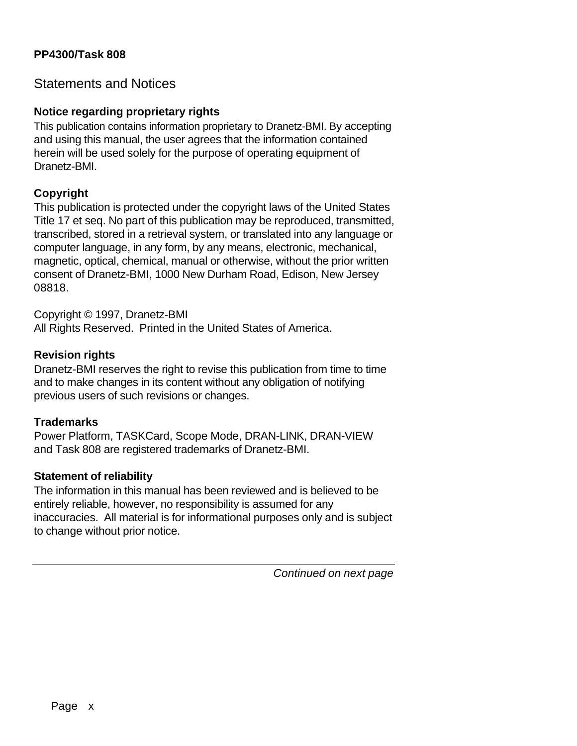#### **PP4300/Task 808**

#### Statements and Notices

#### **Notice regarding proprietary rights**

This publication contains information proprietary to Dranetz-BMI. By accepting and using this manual, the user agrees that the information contained herein will be used solely for the purpose of operating equipment of Dranetz-BMI.

#### **Copyright**

This publication is protected under the copyright laws of the United States Title 17 et seq. No part of this publication may be reproduced, transmitted, transcribed, stored in a retrieval system, or translated into any language or computer language, in any form, by any means, electronic, mechanical, magnetic, optical, chemical, manual or otherwise, without the prior written consent of Dranetz-BMI, 1000 New Durham Road, Edison, New Jersey 08818.

Copyright © 1997, Dranetz-BMI

All Rights Reserved. Printed in the United States of America.

#### **Revision rights**

Dranetz-BMI reserves the right to revise this publication from time to time and to make changes in its content without any obligation of notifying previous users of such revisions or changes.

#### **Trademarks**

Power Platform, TASKCard, Scope Mode, DRAN-LINK, DRAN-VIEW and Task 808 are registered trademarks of Dranetz-BMI.

#### **Statement of reliability**

The information in this manual has been reviewed and is believed to be entirely reliable, however, no responsibility is assumed for any inaccuracies. All material is for informational purposes only and is subject to change without prior notice.

 *Continued on next page*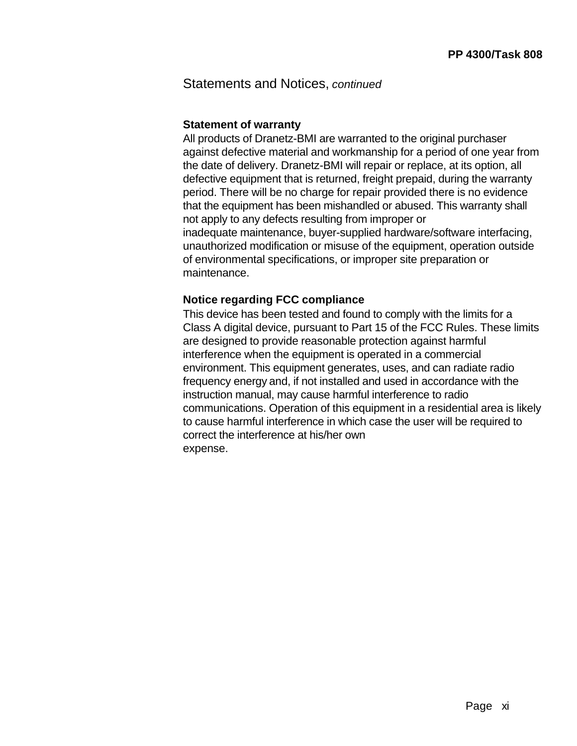#### Statements and Notices, *continued*

#### **Statement of warranty**

All products of Dranetz-BMI are warranted to the original purchaser against defective material and workmanship for a period of one year from the date of delivery. Dranetz-BMI will repair or replace, at its option, all defective equipment that is returned, freight prepaid, during the warranty period. There will be no charge for repair provided there is no evidence that the equipment has been mishandled or abused. This warranty shall not apply to any defects resulting from improper or inadequate maintenance, buyer-supplied hardware/software interfacing, unauthorized modification or misuse of the equipment, operation outside of environmental specifications, or improper site preparation or maintenance.

#### **Notice regarding FCC compliance**

This device has been tested and found to comply with the limits for a Class A digital device, pursuant to Part 15 of the FCC Rules. These limits are designed to provide reasonable protection against harmful interference when the equipment is operated in a commercial environment. This equipment generates, uses, and can radiate radio frequency energy and, if not installed and used in accordance with the instruction manual, may cause harmful interference to radio communications. Operation of this equipment in a residential area is likely to cause harmful interference in which case the user will be required to correct the interference at his/her own expense.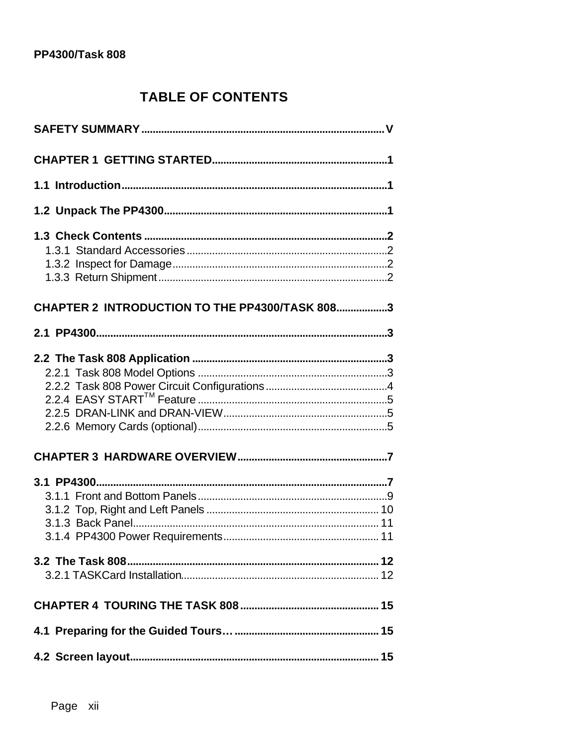## **TABLE OF CONTENTS**

| CHAPTER 2 INTRODUCTION TO THE PP4300/TASK 8083 |  |
|------------------------------------------------|--|
|                                                |  |
|                                                |  |
|                                                |  |
|                                                |  |
|                                                |  |
|                                                |  |
|                                                |  |
|                                                |  |
|                                                |  |
|                                                |  |
|                                                |  |
|                                                |  |
|                                                |  |
|                                                |  |
|                                                |  |
|                                                |  |
|                                                |  |
|                                                |  |
|                                                |  |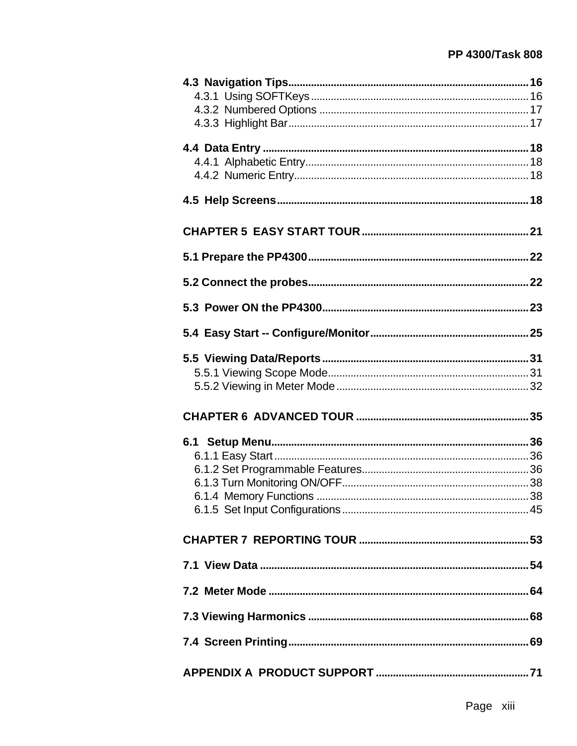## PP 4300/Task 808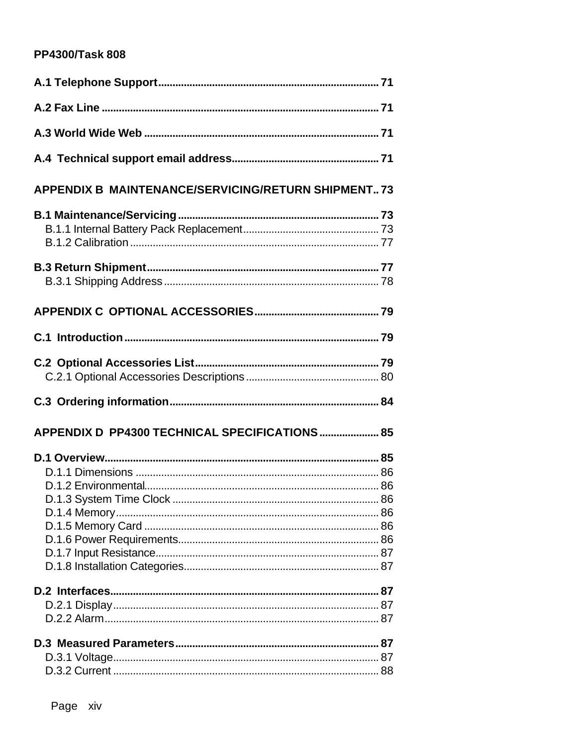### **PP4300/Task 808**

| <b>APPENDIX B MAINTENANCE/SERVICING/RETURN SHIPMENT 73</b> |
|------------------------------------------------------------|
|                                                            |
|                                                            |
|                                                            |
|                                                            |
|                                                            |
|                                                            |
|                                                            |
| APPENDIX D PP4300 TECHNICAL SPECIFICATIONS 85              |
|                                                            |
|                                                            |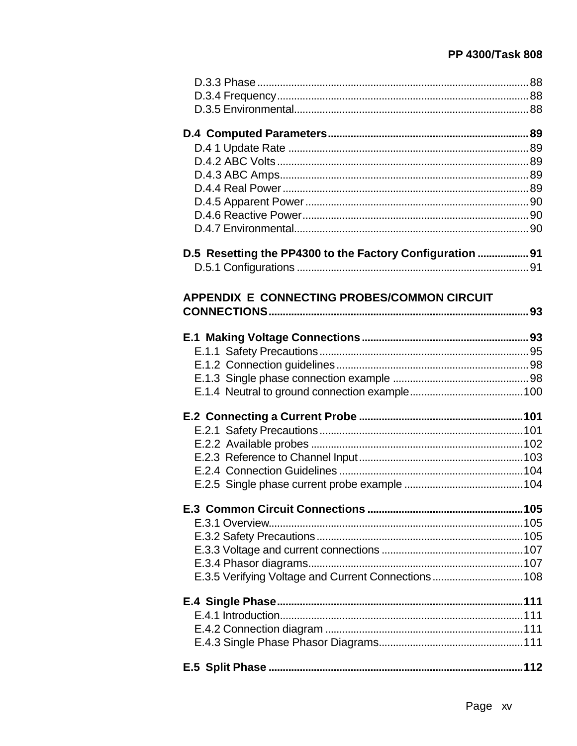## PP 4300/Task 808

| D.5 Resetting the PP4300 to the Factory Configuration  91 |  |
|-----------------------------------------------------------|--|
|                                                           |  |
|                                                           |  |
| APPENDIX E CONNECTING PROBES/COMMON CIRCUIT               |  |
|                                                           |  |
|                                                           |  |
|                                                           |  |
|                                                           |  |
|                                                           |  |
|                                                           |  |
|                                                           |  |
|                                                           |  |
|                                                           |  |
|                                                           |  |
|                                                           |  |
|                                                           |  |
|                                                           |  |
|                                                           |  |
|                                                           |  |
|                                                           |  |
|                                                           |  |
|                                                           |  |
|                                                           |  |
| E.3.5 Verifying Voltage and Current Connections 108       |  |
|                                                           |  |
|                                                           |  |
|                                                           |  |
|                                                           |  |
|                                                           |  |
|                                                           |  |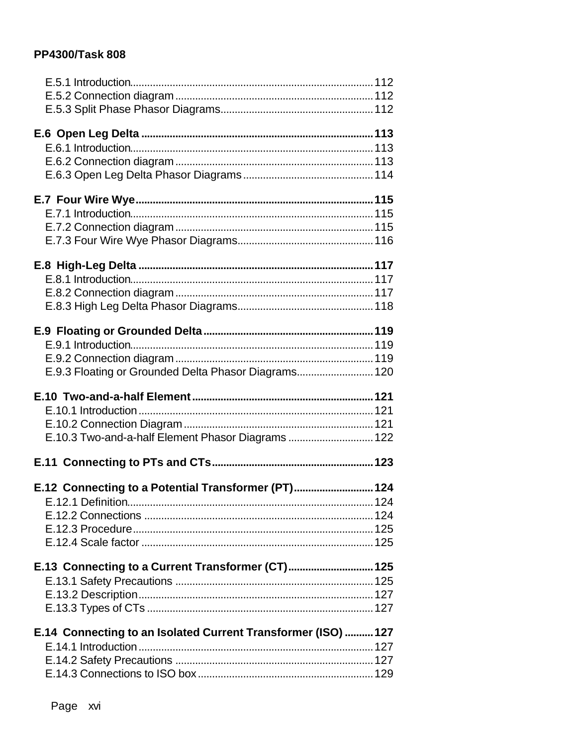## **PP4300/Task 808**

| E.9.3 Floating or Grounded Delta Phasor Diagrams 120          |  |
|---------------------------------------------------------------|--|
|                                                               |  |
|                                                               |  |
|                                                               |  |
| E.10.3 Two-and-a-half Element Phasor Diagrams  122            |  |
|                                                               |  |
|                                                               |  |
| E.12 Connecting to a Potential Transformer (PT) 124           |  |
|                                                               |  |
|                                                               |  |
|                                                               |  |
|                                                               |  |
| E.13 Connecting to a Current Transformer (CT) 125             |  |
|                                                               |  |
|                                                               |  |
|                                                               |  |
| E.14 Connecting to an Isolated Current Transformer (ISO)  127 |  |
|                                                               |  |
|                                                               |  |
|                                                               |  |
|                                                               |  |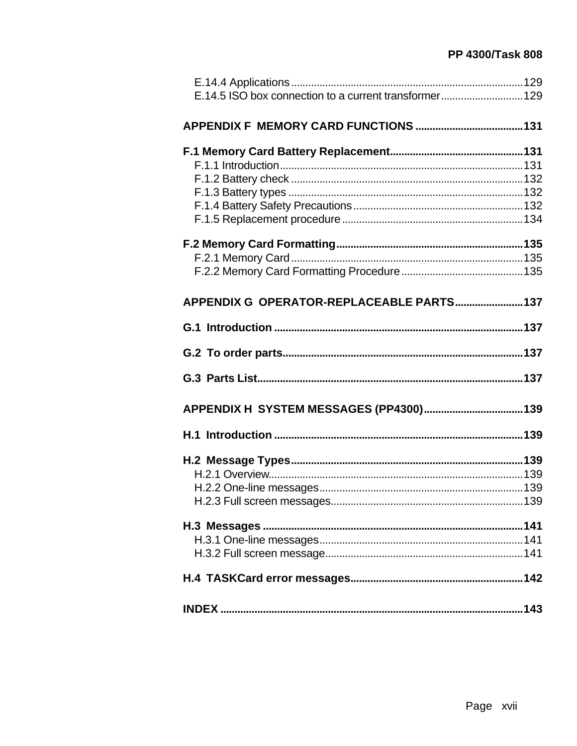## PP 4300/Task 808

| E.14.5 ISO box connection to a current transformer 129 |  |
|--------------------------------------------------------|--|
|                                                        |  |
|                                                        |  |
|                                                        |  |
|                                                        |  |
|                                                        |  |
|                                                        |  |
|                                                        |  |
|                                                        |  |
|                                                        |  |
|                                                        |  |
|                                                        |  |
|                                                        |  |
| APPENDIX G OPERATOR-REPLACEABLE PARTS 137              |  |
|                                                        |  |
|                                                        |  |
|                                                        |  |
|                                                        |  |
|                                                        |  |
|                                                        |  |
|                                                        |  |
|                                                        |  |
|                                                        |  |
|                                                        |  |
|                                                        |  |
|                                                        |  |
|                                                        |  |
|                                                        |  |
|                                                        |  |
|                                                        |  |
|                                                        |  |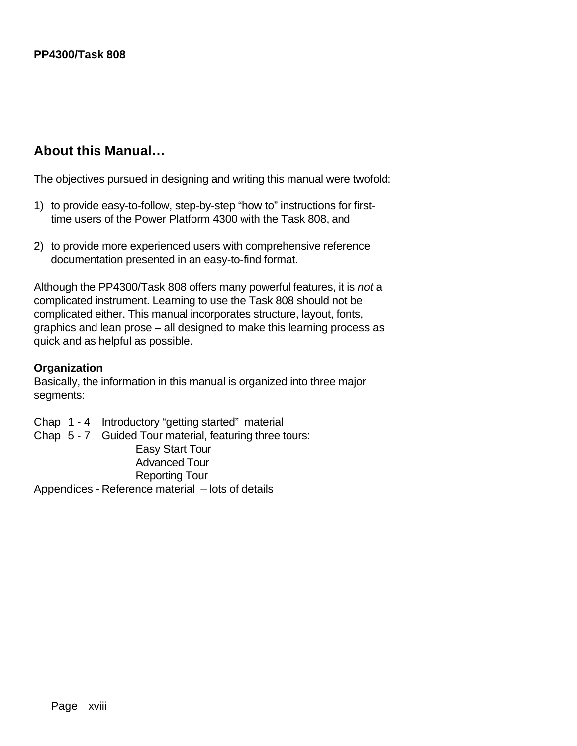## **About this Manual…**

The objectives pursued in designing and writing this manual were twofold:

- 1) to provide easy-to-follow, step-by-step "how to" instructions for firsttime users of the Power Platform 4300 with the Task 808, and
- 2) to provide more experienced users with comprehensive reference documentation presented in an easy-to-find format.

Although the PP4300/Task 808 offers many powerful features, it is *not* a complicated instrument. Learning to use the Task 808 should not be complicated either. This manual incorporates structure, layout, fonts, graphics and lean prose – all designed to make this learning process as quick and as helpful as possible.

#### **Organization**

Basically, the information in this manual is organized into three major segments:

Chap 1 - 4 Introductory "getting started" material Chap 5 - 7 Guided Tour material, featuring three tours: Easy Start Tour Advanced Tour Reporting Tour Appendices - Reference material – lots of details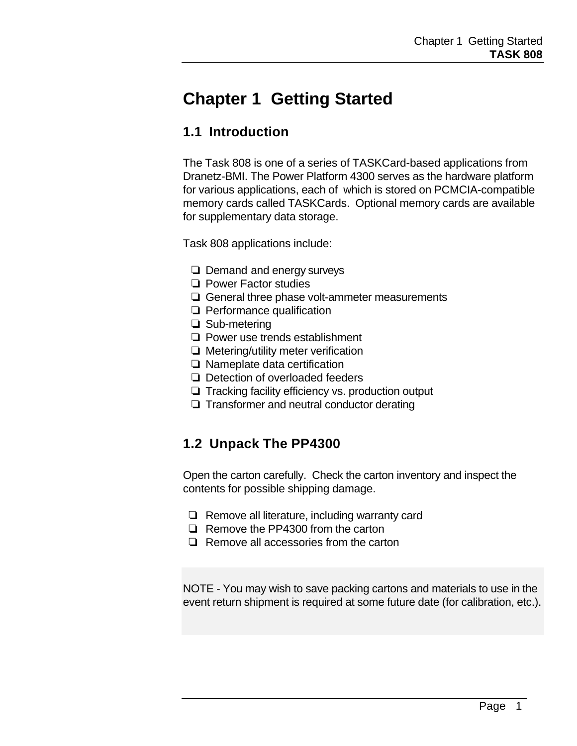## **Chapter 1 Getting Started**

## **1.1 Introduction**

The Task 808 is one of a series of TASKCard-based applications from Dranetz-BMI. The Power Platform 4300 serves as the hardware platform for various applications, each of which is stored on PCMCIA-compatible memory cards called TASKCards. Optional memory cards are available for supplementary data storage.

Task 808 applications include:

- $\Box$  Demand and energy surveys
- $\Box$  Power Factor studies
- $\Box$  General three phase volt-ammeter measurements
- $\Box$  Performance qualification
- $\Box$  Sub-metering
- $\Box$  Power use trends establishment
- $\Box$  Metering/utility meter verification
- $\Box$  Nameplate data certification
- $\Box$  Detection of overloaded feeders
- $\Box$  Tracking facility efficiency vs. production output
- $\Box$  Transformer and neutral conductor derating

## **1.2 Unpack The PP4300**

Open the carton carefully. Check the carton inventory and inspect the contents for possible shipping damage.

- $\Box$  Remove all literature, including warranty card
- $\Box$  Remove the PP4300 from the carton
- $\Box$  Remove all accessories from the carton

NOTE - You may wish to save packing cartons and materials to use in the event return shipment is required at some future date (for calibration, etc.).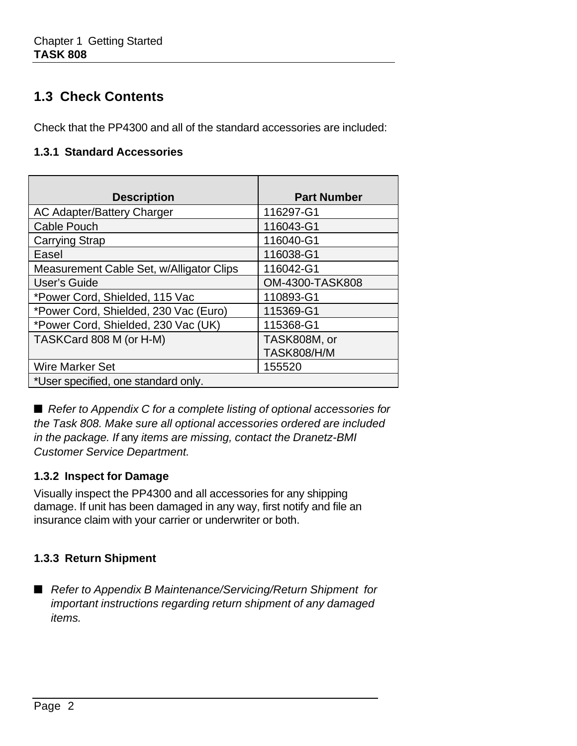## **1.3 Check Contents**

Check that the PP4300 and all of the standard accessories are included:

#### **1.3.1 Standard Accessories**

| <b>Description</b>                       | <b>Part Number</b> |
|------------------------------------------|--------------------|
| <b>AC Adapter/Battery Charger</b>        | 116297-G1          |
| <b>Cable Pouch</b>                       | 116043-G1          |
| <b>Carrying Strap</b>                    | 116040-G1          |
| Easel                                    | 116038-G1          |
| Measurement Cable Set, w/Alligator Clips | 116042-G1          |
| User's Guide                             | OM-4300-TASK808    |
| *Power Cord, Shielded, 115 Vac           | 110893-G1          |
| *Power Cord, Shielded, 230 Vac (Euro)    | 115369-G1          |
| *Power Cord, Shielded, 230 Vac (UK)      | 115368-G1          |
| TASKCard 808 M (or H-M)                  | TASK808M, or       |
|                                          | <b>TASK808/H/M</b> |
| <b>Wire Marker Set</b>                   | 155520             |
| *User specified, one standard only.      |                    |

■ Refer to Appendix C for a complete listing of optional accessories for *the Task 808. Make sure all optional accessories ordered are included in the package. If* any *items are missing, contact the Dranetz-BMI Customer Service Department.*

#### **1.3.2 Inspect for Damage**

Visually inspect the PP4300 and all accessories for any shipping damage. If unit has been damaged in any way, first notify and file an insurance claim with your carrier or underwriter or both.

#### **1.3.3 Return Shipment**

■ Refer to Appendix B Maintenance/Servicing/Return Shipment for *important instructions regarding return shipment of any damaged items.*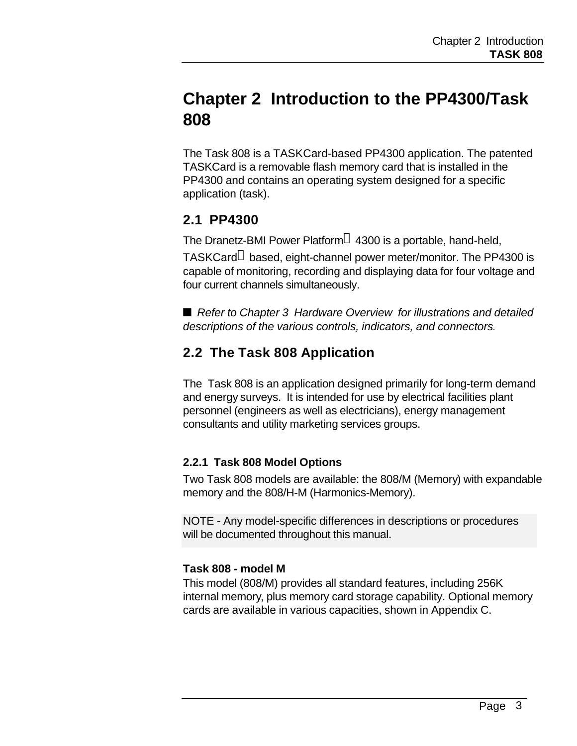## **Chapter 2 Introduction to the PP4300/Task 808**

The Task 808 is a TASKCard-based PP4300 application. The patented TASKCard is a removable flash memory card that is installed in the PP4300 and contains an operating system designed for a specific application (task).

## **2.1 PP4300**

The Dranetz-BMI Power Platform $\mathcal{R}$  4300 is a portable, hand-held,

TASKCard<sup>®</sup> based, eight-channel power meter/monitor. The PP4300 is capable of monitoring, recording and displaying data for four voltage and four current channels simultaneously.

■ Refer to Chapter 3 Hardware Overview for illustrations and detailed *descriptions of the various controls, indicators, and connectors.*

## **2.2 The Task 808 Application**

The Task 808 is an application designed primarily for long-term demand and energy surveys. It is intended for use by electrical facilities plant personnel (engineers as well as electricians), energy management consultants and utility marketing services groups.

## **2.2.1 Task 808 Model Options**

Two Task 808 models are available: the 808/M (Memory) with expandable memory and the 808/H-M (Harmonics-Memory).

NOTE - Any model-specific differences in descriptions or procedures will be documented throughout this manual.

#### **Task 808 - model M**

This model (808/M) provides all standard features, including 256K internal memory, plus memory card storage capability. Optional memory cards are available in various capacities, shown in Appendix C.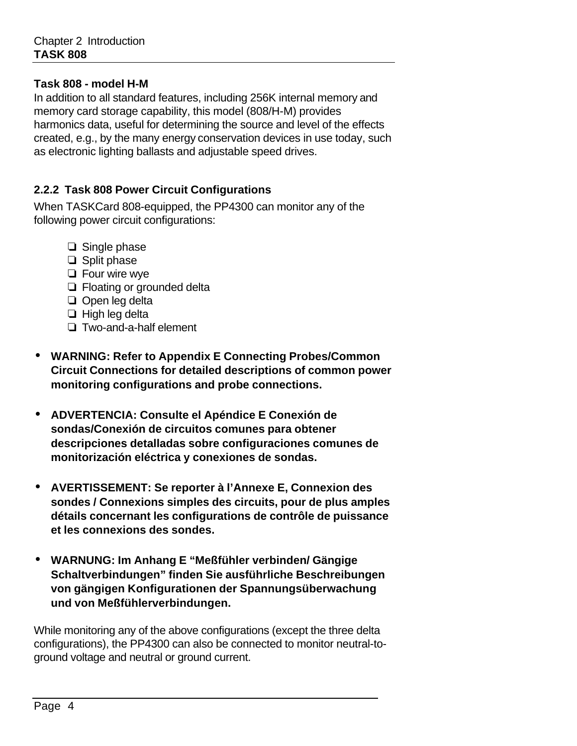#### **Task 808 - model H-M**

In addition to all standard features, including 256K internal memory and memory card storage capability, this model (808/H-M) provides harmonics data, useful for determining the source and level of the effects created, e.g., by the many energy conservation devices in use today, such as electronic lighting ballasts and adjustable speed drives.

#### **2.2.2 Task 808 Power Circuit Configurations**

When TASKCard 808-equipped, the PP4300 can monitor any of the following power circuit configurations:

- $\Box$  Single phase
- $\Box$  Split phase
- $\Box$  Four wire wye
- $\Box$  Floating or grounded delta
- $\Box$  Open leg delta
- $\Box$  High leg delta
- $\Box$  Two-and-a-half element
- **WARNING: Refer to Appendix E Connecting Probes/Common Circuit Connections for detailed descriptions of common power monitoring configurations and probe connections.**
- **ADVERTENCIA: Consulte el Apéndice E Conexión de sondas/Conexión de circuitos comunes para obtener descripciones detalladas sobre configuraciones comunes de monitorización eléctrica y conexiones de sondas.**
- **AVERTISSEMENT: Se reporter à l'Annexe E, Connexion des sondes / Connexions simples des circuits, pour de plus amples détails concernant les configurations de contrôle de puissance et les connexions des sondes.**
- **WARNUNG: Im Anhang E "Meßfühler verbinden/ Gängige Schaltverbindungen" finden Sie ausführliche Beschreibungen von gängigen Konfigurationen der Spannungsüberwachung und von Meßfühlerverbindungen.**

While monitoring any of the above configurations (except the three delta configurations), the PP4300 can also be connected to monitor neutral-toground voltage and neutral or ground current.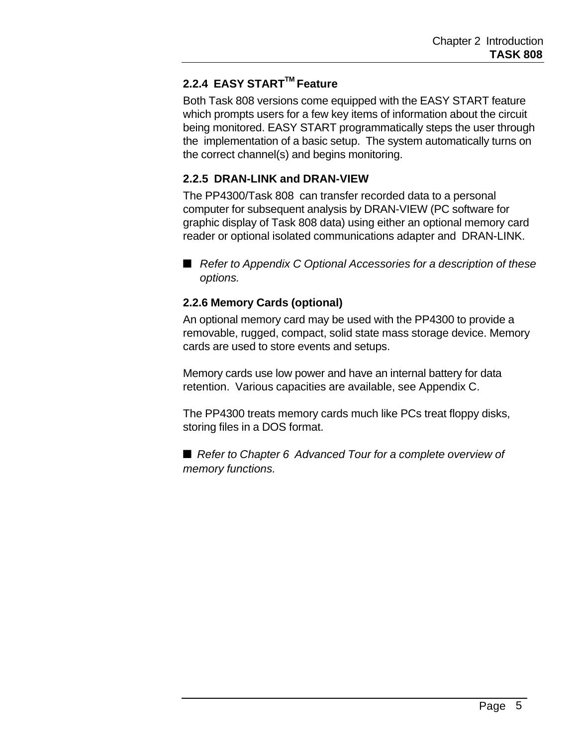#### **2.2.4 EASY STARTTM Feature**

Both Task 808 versions come equipped with the EASY START feature which prompts users for a few key items of information about the circuit being monitored. EASY START programmatically steps the user through the implementation of a basic setup. The system automatically turns on the correct channel(s) and begins monitoring.

#### **2.2.5 DRAN-LINK and DRAN-VIEW**

The PP4300/Task 808 can transfer recorded data to a personal computer for subsequent analysis by DRAN-VIEW (PC software for graphic display of Task 808 data) using either an optional memory card reader or optional isolated communications adapter and DRAN-LINK.

■ *Refer to Appendix C Optional Accessories for a description of these options.*

#### **2.2.6 Memory Cards (optional)**

An optional memory card may be used with the PP4300 to provide a removable, rugged, compact, solid state mass storage device. Memory cards are used to store events and setups.

Memory cards use low power and have an internal battery for data retention. Various capacities are available, see Appendix C.

The PP4300 treats memory cards much like PCs treat floppy disks, storing files in a DOS format.

■ Refer to Chapter 6 Advanced Tour for a complete overview of *memory functions.*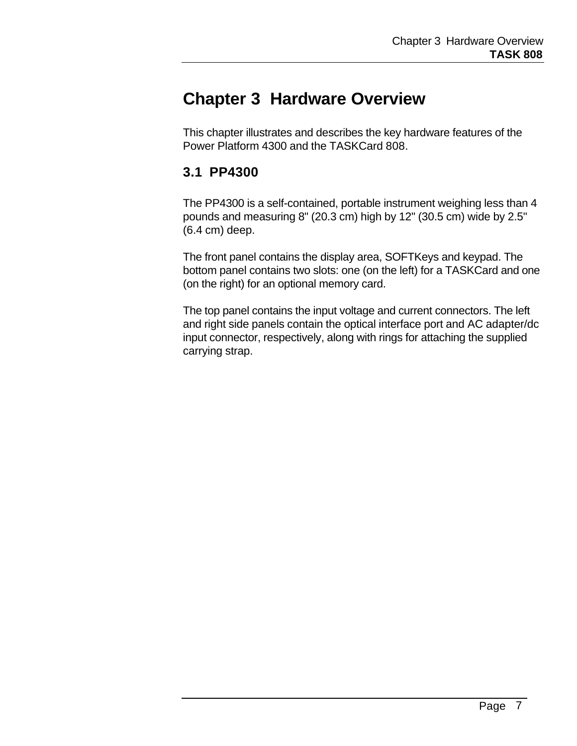## **Chapter 3 Hardware Overview**

This chapter illustrates and describes the key hardware features of the Power Platform 4300 and the TASKCard 808.

## **3.1 PP4300**

The PP4300 is a self-contained, portable instrument weighing less than 4 pounds and measuring 8" (20.3 cm) high by 12" (30.5 cm) wide by 2.5" (6.4 cm) deep.

The front panel contains the display area, SOFTKeys and keypad. The bottom panel contains two slots: one (on the left) for a TASKCard and one (on the right) for an optional memory card.

The top panel contains the input voltage and current connectors. The left and right side panels contain the optical interface port and AC adapter/dc input connector, respectively, along with rings for attaching the supplied carrying strap.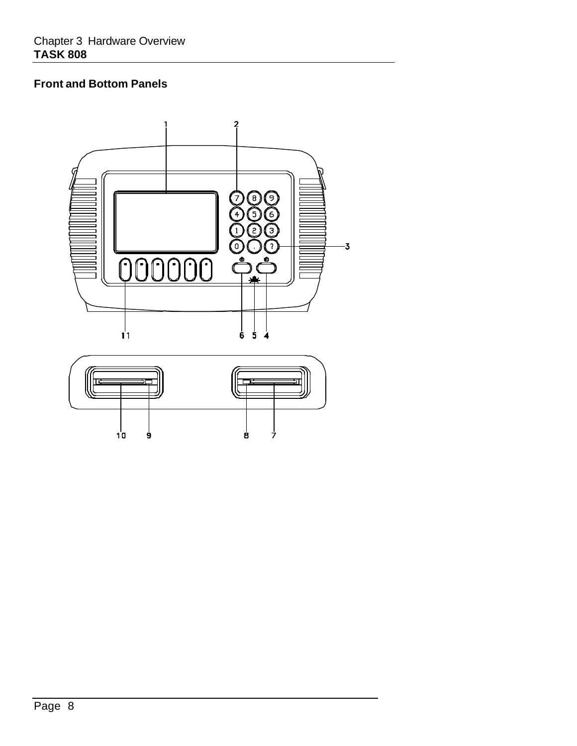## **Front and Bottom Panels**



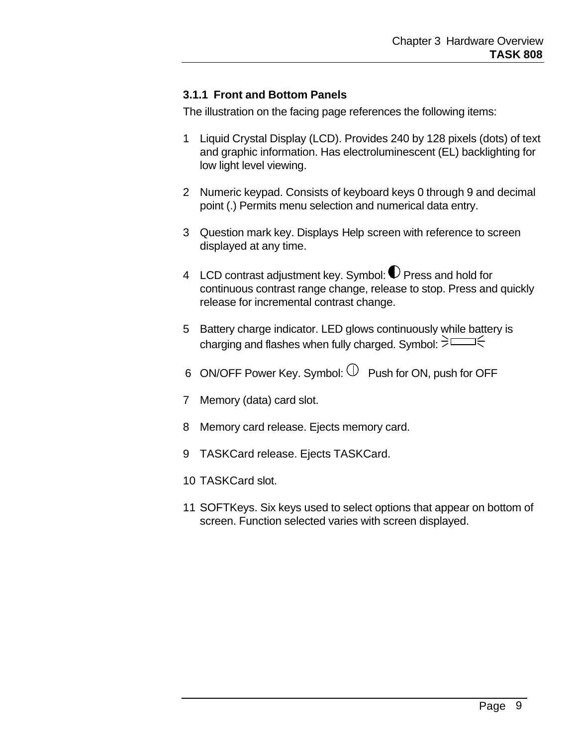#### **3.1.1 Front and Bottom Panels**

The illustration on the facing page references the following items:

- 1 Liquid Crystal Display (LCD). Provides 240 by 128 pixels (dots) of text and graphic information. Has electroluminescent (EL) backlighting for low light level viewing.
- 2 Numeric keypad. Consists of keyboard keys 0 through 9 and decimal point (.) Permits menu selection and numerical data entry.
- 3 Question mark key. Displays Help screen with reference to screen displayed at any time.
- 4 LCD contrast adjustment key. Symbol:  $\bigcirc$  Press and hold for continuous contrast range change, release to stop. Press and quickly release for incremental contrast change.
- 5 Battery charge indicator. LED glows continuously while battery is charging and flashes when fully charged. Symbol:  $\geq$   $\geq$   $\geq$
- 6 ON/OFF Power Key. Symbol:  $\mathbb{D}$  Push for ON, push for OFF
- 7 Memory (data) card slot.
- 8 Memory card release. Ejects memory card.
- 9 TASKCard release. Ejects TASKCard.
- 10 TASKCard slot.
- 11 SOFTKeys. Six keys used to select options that appear on bottom of screen. Function selected varies with screen displayed.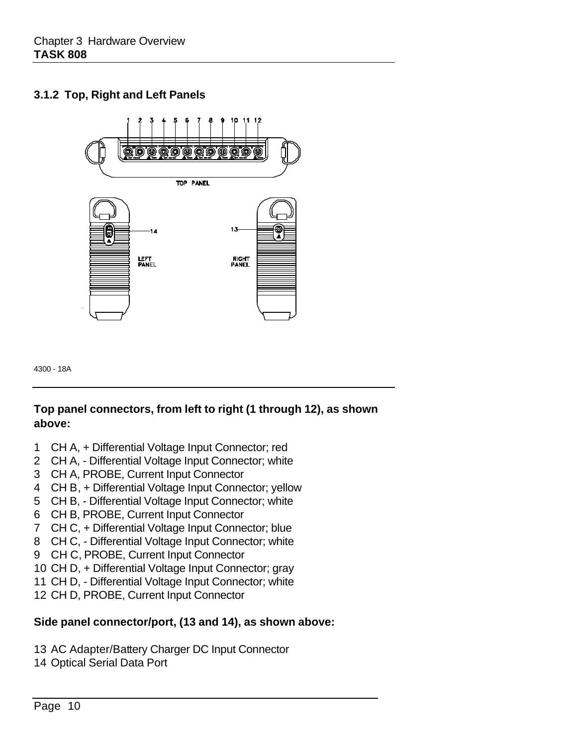#### **3.1.2 Top, Right and Left Panels**



4300 - 18A

#### **Top panel connectors, from left to right (1 through 12), as shown above:**

- 1 CH A, + Differential Voltage Input Connector; red
- 2 CH A, Differential Voltage Input Connector; white
- 3 CH A, PROBE, Current Input Connector
- 4 CH B, + Differential Voltage Input Connector; yellow
- 5 CH B, Differential Voltage Input Connector; white
- 6 CH B, PROBE, Current Input Connector
- 7 CH C, + Differential Voltage Input Connector; blue
- 8 CH C, Differential Voltage Input Connector; white
- 9 CH C, PROBE, Current Input Connector
- 10 CH D, + Differential Voltage Input Connector; gray
- 11 CH D, Differential Voltage Input Connector; white
- 12 CH D, PROBE, Current Input Connector

#### **Side panel connector/port, (13 and 14), as shown above:**

- 13 AC Adapter/Battery Charger DC Input Connector
- 14 Optical Serial Data Port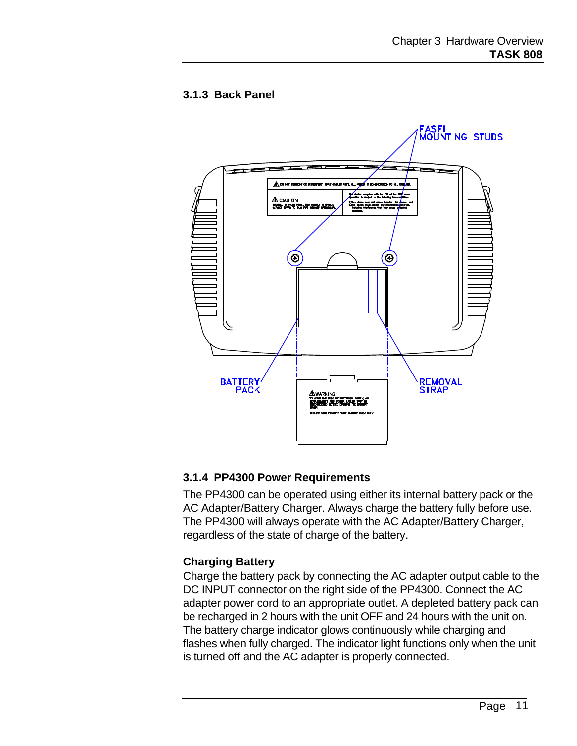#### **3.1.3 Back Panel**



#### **3.1.4 PP4300 Power Requirements**

The PP4300 can be operated using either its internal battery pack or the AC Adapter/Battery Charger. Always charge the battery fully before use. The PP4300 will always operate with the AC Adapter/Battery Charger, regardless of the state of charge of the battery.

#### **Charging Battery**

Charge the battery pack by connecting the AC adapter output cable to the DC INPUT connector on the right side of the PP4300. Connect the AC adapter power cord to an appropriate outlet. A depleted battery pack can be recharged in 2 hours with the unit OFF and 24 hours with the unit on. The battery charge indicator glows continuously while charging and flashes when fully charged. The indicator light functions only when the unit is turned off and the AC adapter is properly connected.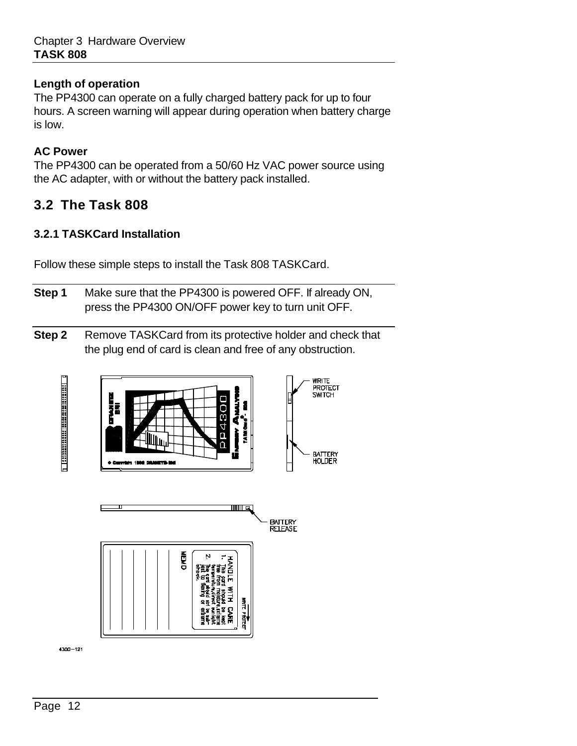#### **Length of operation**

The PP4300 can operate on a fully charged battery pack for up to four hours. A screen warning will appear during operation when battery charge is low.

#### **AC Power**

The PP4300 can be operated from a 50/60 Hz VAC power source using the AC adapter, with or without the battery pack installed.

#### **3.2 The Task 808**

#### **3.2.1 TASKCard Installation**

Follow these simple steps to install the Task 808 TASKCard.

- **Step 1** Make sure that the PP4300 is powered OFF. If already ON, press the PP4300 ON/OFF power key to turn unit OFF.
- **Step 2** Remove TASKCard from its protective holder and check that the plug end of card is clean and free of any obstruction.

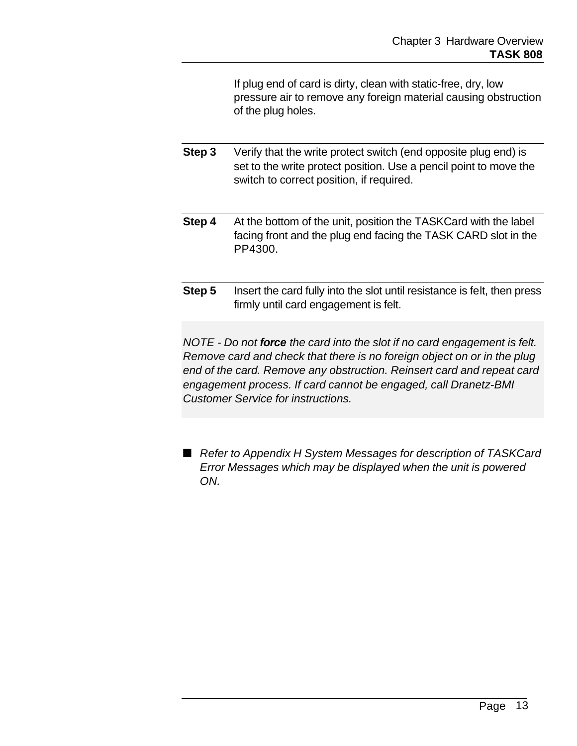If plug end of card is dirty, clean with static-free, dry, low pressure air to remove any foreign material causing obstruction of the plug holes.

- **Step 3** Verify that the write protect switch (end opposite plug end) is set to the write protect position. Use a pencil point to move the switch to correct position, if required.
- **Step 4** At the bottom of the unit, position the TASKCard with the label facing front and the plug end facing the TASK CARD slot in the PP4300.
- **Step 5** Insert the card fully into the slot until resistance is felt, then press firmly until card engagement is felt.

*NOTE - Do not force the card into the slot if no card engagement is felt. Remove card and check that there is no foreign object on or in the plug end of the card. Remove any obstruction. Reinsert card and repeat card engagement process. If card cannot be engaged, call Dranetz-BMI Customer Service for instructions.*

■ *Refer to Appendix H System Messages for description of TASKCard Error Messages which may be displayed when the unit is powered ON.*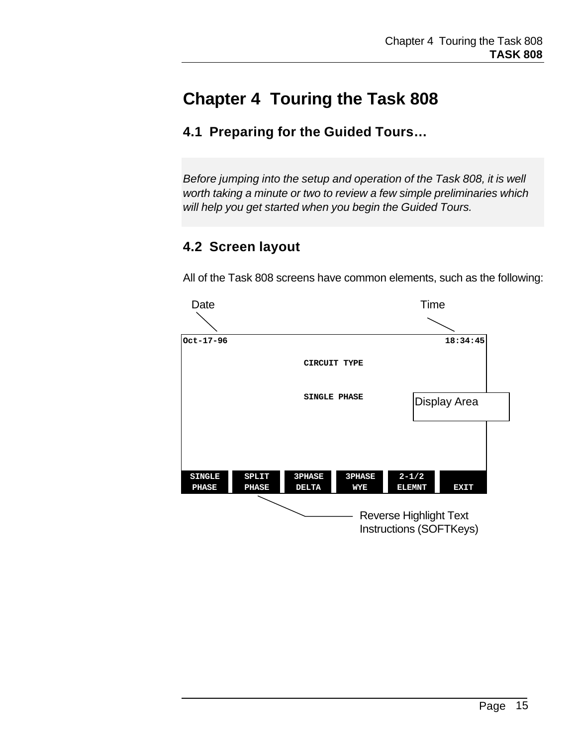## **Chapter 4 Touring the Task 808**

## **4.1 Preparing for the Guided Tours…**

*Before jumping into the setup and operation of the Task 808, it is well worth taking a minute or two to review a few simple preliminaries which will help you get started when you begin the Guided Tours.*

## **4.2 Screen layout**

All of the Task 808 screens have common elements, such as the following:

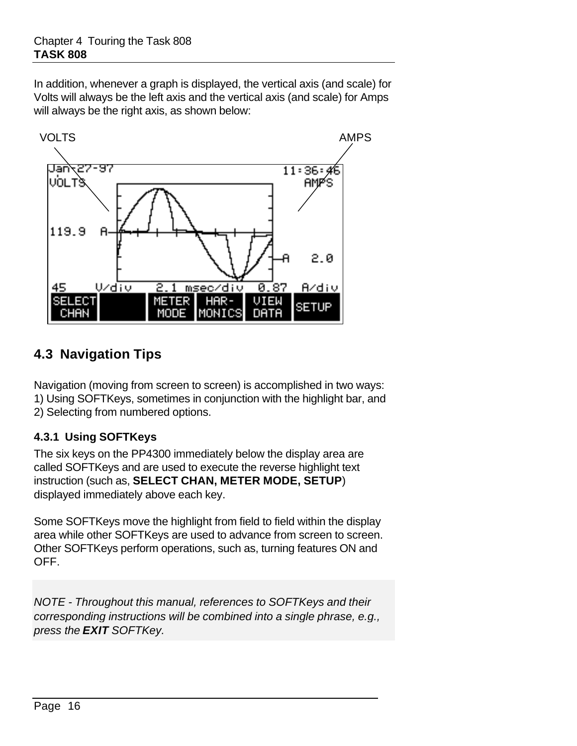In addition, whenever a graph is displayed, the vertical axis (and scale) for Volts will always be the left axis and the vertical axis (and scale) for Amps will always be the right axis, as shown below:



## **4.3 Navigation Tips**

Navigation (moving from screen to screen) is accomplished in two ways: 1) Using SOFTKeys, sometimes in conjunction with the highlight bar, and 2) Selecting from numbered options.

#### **4.3.1 Using SOFTKeys**

The six keys on the PP4300 immediately below the display area are called SOFTKeys and are used to execute the reverse highlight text instruction (such as, **SELECT CHAN, METER MODE, SETUP**) displayed immediately above each key.

Some SOFTKeys move the highlight from field to field within the display area while other SOFTKeys are used to advance from screen to screen. Other SOFTKeys perform operations, such as, turning features ON and OFF.

*NOTE - Throughout this manual, references to SOFTKeys and their corresponding instructions will be combined into a single phrase, e.g., press the EXIT SOFTKey.*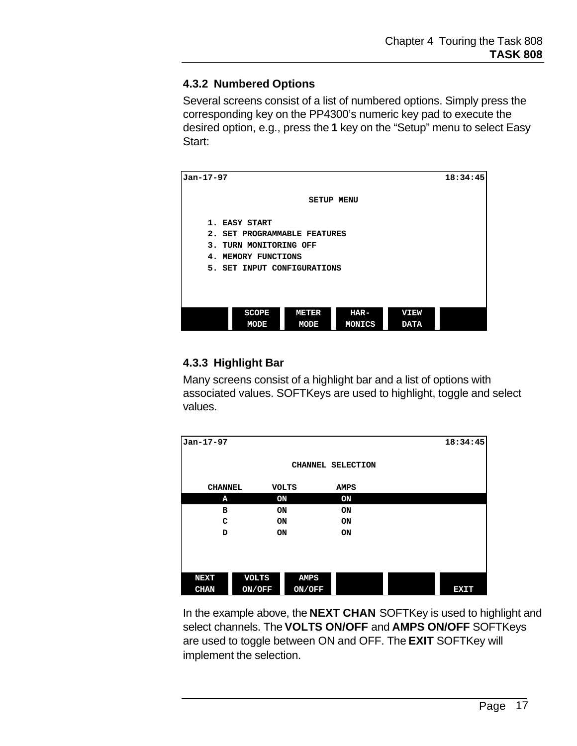#### **4.3.2 Numbered Options**

Several screens consist of a list of numbered options. Simply press the corresponding key on the PP4300's numeric key pad to execute the desired option, e.g., press the **1** key on the "Setup" menu to select Easy Start:



#### **4.3.3 Highlight Bar**

Many screens consist of a highlight bar and a list of options with associated values. SOFTKeys are used to highlight, toggle and select values.

| Jan-17-97      |              |              |                   | 18:34:45    |
|----------------|--------------|--------------|-------------------|-------------|
|                |              |              | CHANNEL SELECTION |             |
| <b>CHANNEL</b> |              | <b>VOLTS</b> | <b>AMPS</b>       |             |
| Α              |              | ON           | ON                |             |
| B              |              | ON           | ON                |             |
| c              |              | ON           | ON                |             |
| D              |              | ON           | ON                |             |
|                |              |              |                   |             |
|                |              |              |                   |             |
|                |              |              |                   |             |
| <b>NEXT</b>    | <b>VOLTS</b> | <b>AMPS</b>  |                   |             |
| <b>CHAN</b>    | ON/OFF       | ON/OFF       |                   | <b>EXIT</b> |

In the example above, the **NEXT CHAN** SOFTKey is used to highlight and select channels. The **VOLTS ON/OFF** and **AMPS ON/OFF** SOFTKeys are used to toggle between ON and OFF. The **EXIT** SOFTKey will implement the selection.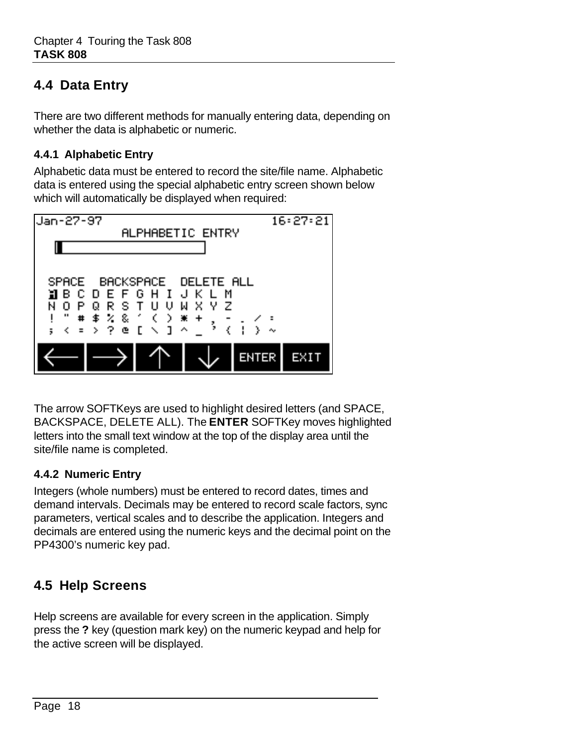## **4.4 Data Entry**

There are two different methods for manually entering data, depending on whether the data is alphabetic or numeric.

#### **4.4.1 Alphabetic Entry**

Alphabetic data must be entered to record the site/file name. Alphabetic data is entered using the special alphabetic entry screen shown below which will automatically be displayed when required:



The arrow SOFTKeys are used to highlight desired letters (and SPACE, BACKSPACE, DELETE ALL). The **ENTER** SOFTKey moves highlighted letters into the small text window at the top of the display area until the site/file name is completed.

#### **4.4.2 Numeric Entry**

Integers (whole numbers) must be entered to record dates, times and demand intervals. Decimals may be entered to record scale factors, sync parameters, vertical scales and to describe the application. Integers and decimals are entered using the numeric keys and the decimal point on the PP4300's numeric key pad.

## **4.5 Help Screens**

Help screens are available for every screen in the application. Simply press the **?** key (question mark key) on the numeric keypad and help for the active screen will be displayed.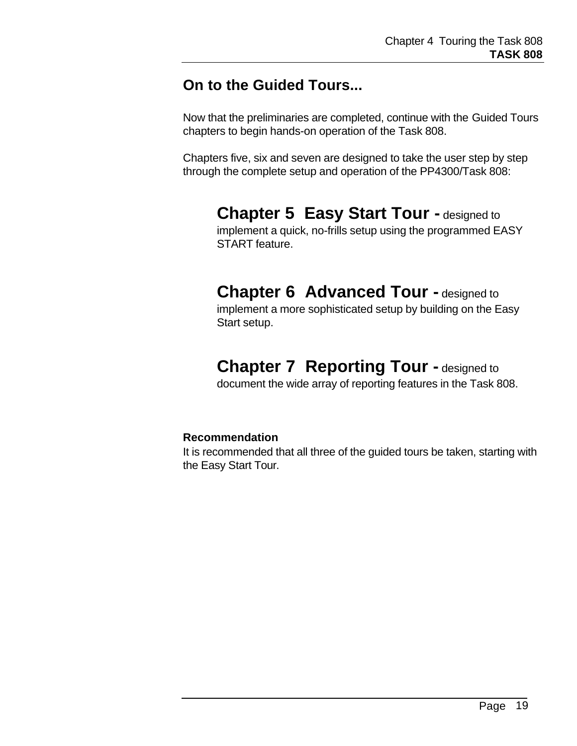## **On to the Guided Tours...**

Now that the preliminaries are completed, continue with the Guided Tours chapters to begin hands-on operation of the Task 808.

Chapters five, six and seven are designed to take the user step by step through the complete setup and operation of the PP4300/Task 808:

# **Chapter 5 Easy Start Tour -** designed to

implement a quick, no-frills setup using the programmed EASY START feature.

## **Chapter 6 Advanced Tour - designed to**

implement a more sophisticated setup by building on the Easy Start setup.

## **Chapter 7 Reporting Tour - designed to**

document the wide array of reporting features in the Task 808.

#### **Recommendation**

It is recommended that all three of the guided tours be taken, starting with the Easy Start Tour.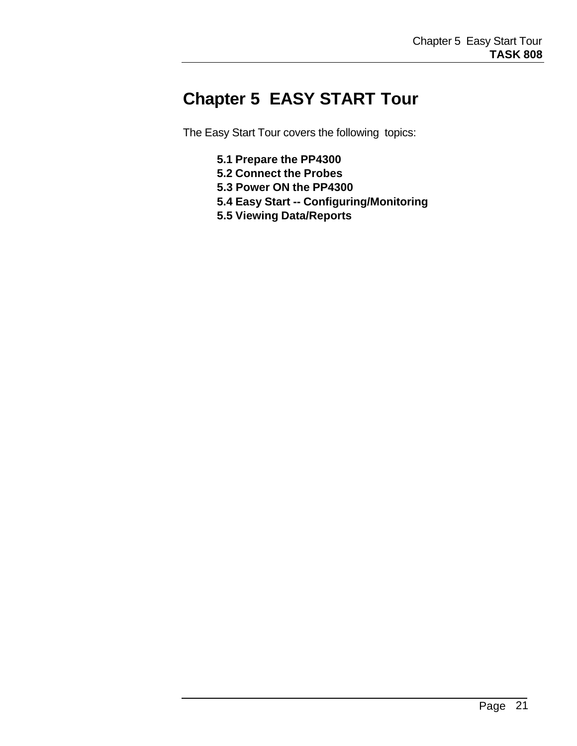## **Chapter 5 EASY START Tour**

The Easy Start Tour covers the following topics:

- **5.1 Prepare the PP4300**
- **5.2 Connect the Probes**
- **5.3 Power ON the PP4300**
- **5.4 Easy Start -- Configuring/Monitoring**
- **5.5 Viewing Data/Reports**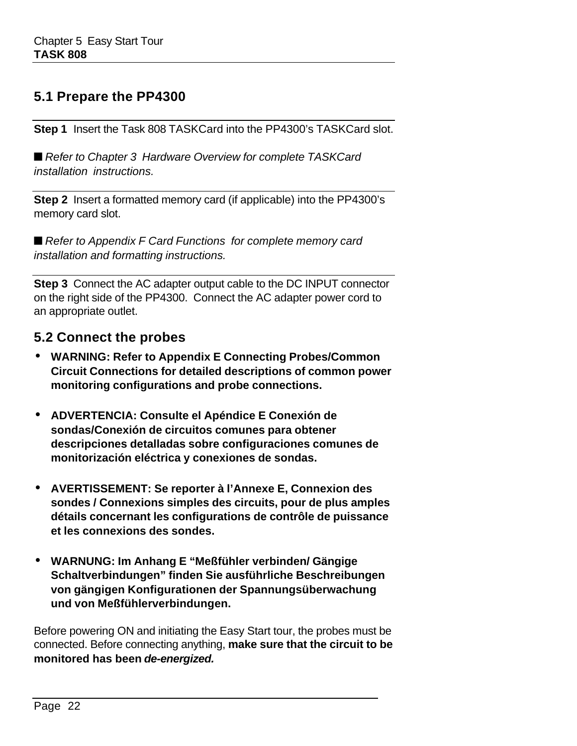### **5.1 Prepare the PP4300**

**Step 1** Insert the Task 808 TASKCard into the PP4300's TASKCard slot.

■ Refer to Chapter 3 Hardware Overview for complete TASKCard *installation instructions.*

**Step 2** Insert a formatted memory card (if applicable) into the PP4300's memory card slot.

■ Refer to Appendix F Card Functions for complete memory card *installation and formatting instructions.*

**Step 3** Connect the AC adapter output cable to the DC INPUT connector on the right side of the PP4300. Connect the AC adapter power cord to an appropriate outlet.

### **5.2 Connect the probes**

- **WARNING: Refer to Appendix E Connecting Probes/Common Circuit Connections for detailed descriptions of common power monitoring configurations and probe connections.**
- **ADVERTENCIA: Consulte el Apéndice E Conexión de sondas/Conexión de circuitos comunes para obtener descripciones detalladas sobre configuraciones comunes de monitorización eléctrica y conexiones de sondas.**
- **AVERTISSEMENT: Se reporter à l'Annexe E, Connexion des sondes / Connexions simples des circuits, pour de plus amples détails concernant les configurations de contrôle de puissance et les connexions des sondes.**
- **WARNUNG: Im Anhang E "Meßfühler verbinden/ Gängige Schaltverbindungen" finden Sie ausführliche Beschreibungen von gängigen Konfigurationen der Spannungsüberwachung und von Meßfühlerverbindungen.**

Before powering ON and initiating the Easy Start tour, the probes must be connected. Before connecting anything, **make sure that the circuit to be monitored has been** *de-energized.*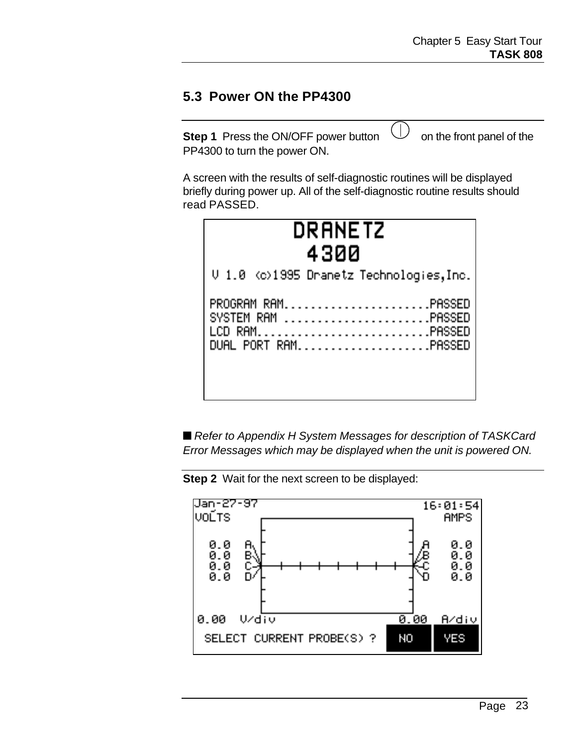### **5.3 Power ON the PP4300**

**Step 1** Press the ON/OFF power button  $\cup$  on the front panel of the PP4300 to turn the power ON.

A screen with the results of self-diagnostic routines will be displayed briefly during power up. All of the self-diagnostic routine results should read PASSED.

| <b>DRANETZ</b><br>4300                                                         |
|--------------------------------------------------------------------------------|
| V 1.0 (c)1995 Dranetz Technologies, Inc.                                       |
| PROGRAM RAMPASSED<br>SYSTEM RAM PASSED<br>LCD RAMPASSED<br>DUAL PORT RAMPASSED |

■ Refer to Appendix H System Messages for description of TASKCard *Error Messages which may be displayed when the unit is powered ON.*

**Step 2** Wait for the next screen to be displayed:

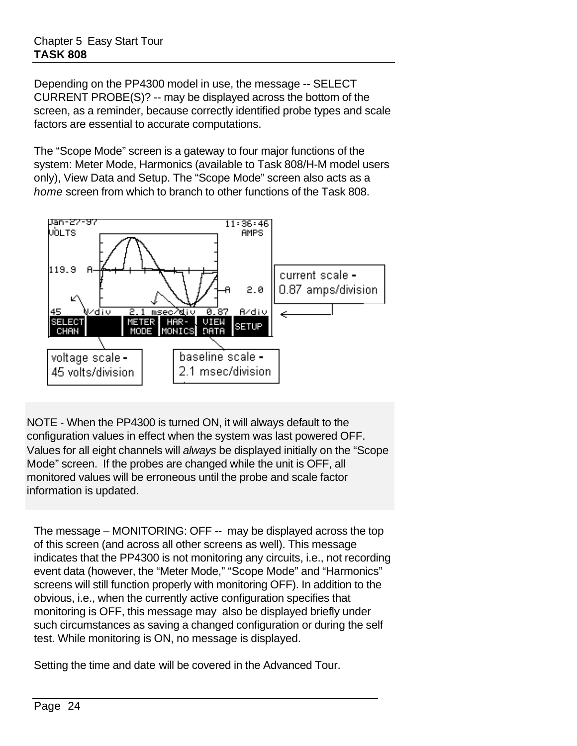Depending on the PP4300 model in use, the message -- SELECT CURRENT PROBE(S)? -- may be displayed across the bottom of the screen, as a reminder, because correctly identified probe types and scale factors are essential to accurate computations.

The "Scope Mode" screen is a gateway to four major functions of the system: Meter Mode, Harmonics (available to Task 808/H-M model users only), View Data and Setup. The "Scope Mode" screen also acts as a *home* screen from which to branch to other functions of the Task 808.



NOTE - When the PP4300 is turned ON, it will always default to the configuration values in effect when the system was last powered OFF. Values for all eight channels will *always* be displayed initially on the "Scope Mode" screen. If the probes are changed while the unit is OFF, all monitored values will be erroneous until the probe and scale factor information is updated.

The message – MONITORING: OFF -- may be displayed across the top of this screen (and across all other screens as well). This message indicates that the PP4300 is not monitoring any circuits, i.e., not recording event data (however, the "Meter Mode," "Scope Mode" and "Harmonics" screens will still function properly with monitoring OFF). In addition to the obvious, i.e., when the currently active configuration specifies that monitoring is OFF, this message may also be displayed briefly under such circumstances as saving a changed configuration or during the self test. While monitoring is ON, no message is displayed.

Setting the time and date will be covered in the Advanced Tour.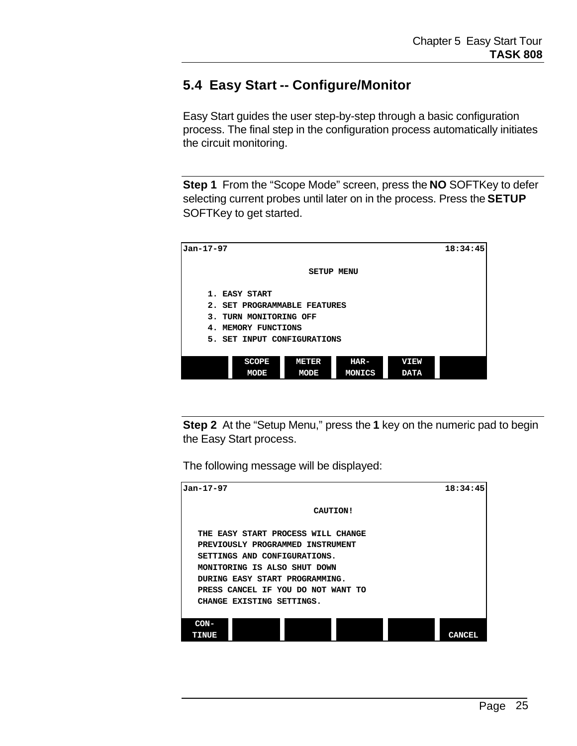### **5.4 Easy Start -- Configure/Monitor**

Easy Start guides the user step-by-step through a basic configuration process. The final step in the configuration process automatically initiates the circuit monitoring.

**Step 1** From the "Scope Mode" screen, press the **NO** SOFTKey to defer selecting current probes until later on in the process. Press the **SETUP** SOFTKey to get started.

| Jan-17-97                                                                                            | 18:34:45                   |
|------------------------------------------------------------------------------------------------------|----------------------------|
| <b>SETUP MENU</b>                                                                                    |                            |
| 1. EASY START<br>2. SET PROGRAMMABLE FEATURES<br>3.<br>TURN MONITORING OFF<br>MEMORY FUNCTIONS<br>4. |                            |
| 5. SET INPUT CONFIGURATIONS<br>SCOPE<br><b>METER</b><br>$HAR-$<br>MONICS<br><b>MODE</b><br>MODE      | <b>VIEW</b><br><b>DATA</b> |

**Step 2** At the "Setup Menu," press the **1** key on the numeric pad to begin the Easy Start process.

The following message will be displayed:

| Jan-17-97                                                                                                                                                                                                                                   | 18:34:45      |
|---------------------------------------------------------------------------------------------------------------------------------------------------------------------------------------------------------------------------------------------|---------------|
| CAUTION!                                                                                                                                                                                                                                    |               |
| THE EASY START PROCESS WILL CHANGE<br>PREVIOUSLY PROGRAMMED INSTRUMENT<br>SETTINGS AND CONFIGURATIONS.<br>MONITORING IS ALSO SHUT DOWN<br>DURING EASY START PROGRAMMING.<br>PRESS CANCEL IF YOU DO NOT WANT TO<br>CHANGE EXISTING SETTINGS. |               |
| CON-<br><b>TINUE</b>                                                                                                                                                                                                                        | <b>CANCEL</b> |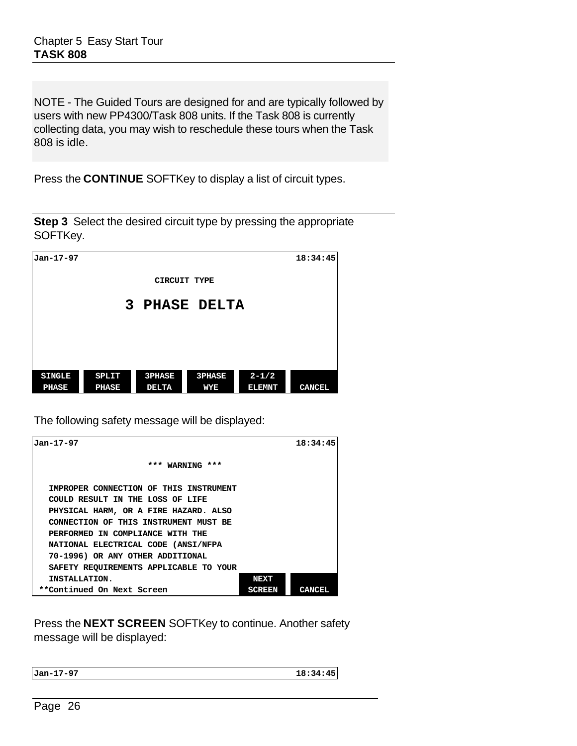SOFTKey.

NOTE - The Guided Tours are designed for and are typically followed by users with new PP4300/Task 808 units. If the Task 808 is currently collecting data, you may wish to reschedule these tours when the Task 808 is idle.

Press the **CONTINUE** SOFTKey to display a list of circuit types.

**Step 3** Select the desired circuit type by pressing the appropriate

| Jan-17-97     |              |               |               |               | 18:34:45      |
|---------------|--------------|---------------|---------------|---------------|---------------|
|               |              | CIRCUIT TYPE  |               |               |               |
|               |              | 3 PHASE DELTA |               |               |               |
|               |              |               |               |               |               |
|               |              |               |               |               |               |
| <b>SINGLE</b> | <b>SPLIT</b> | <b>3PHASE</b> | <b>3PHASE</b> | $2 - 1/2$     |               |
| <b>PHASE</b>  | <b>PHASE</b> | <b>DELTA</b>  | WYE           | <b>ELEMNT</b> | <b>CANCEL</b> |

The following safety message will be displayed:

| Jan-17-97                                                                                                           |               | 18:34:45      |
|---------------------------------------------------------------------------------------------------------------------|---------------|---------------|
| *** WARNING ***                                                                                                     |               |               |
| IMPROPER CONNECTION OF THIS INSTRUMENT<br>COULD RESULT IN THE LOSS OF LIFE<br>PHYSICAL HARM, OR A FIRE HAZARD. ALSO |               |               |
| CONNECTION OF THIS INSTRUMENT MUST BE<br>PERFORMED IN COMPLIANCE WITH THE                                           |               |               |
| NATIONAL ELECTRICAL CODE (ANSI/NFPA<br>70-1996) OR ANY OTHER ADDITIONAL<br>SAFETY REQUIREMENTS APPLICABLE TO YOUR   |               |               |
| INSTALLATION.                                                                                                       | <b>NEXT</b>   |               |
| **Continued On Next Screen*                                                                                         | <b>SCREEN</b> | <b>CANCEL</b> |

Press the **NEXT SCREEN** SOFTKey to continue. Another safety message will be displayed:

**Jan-17-97 18:34:45**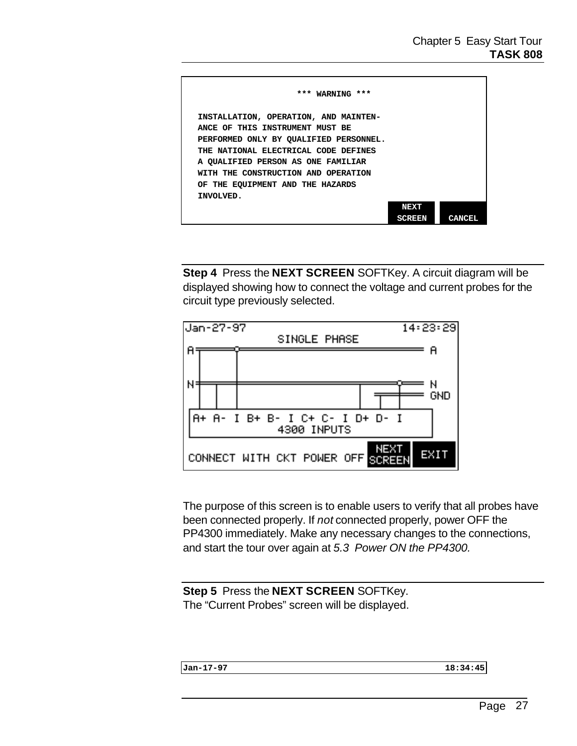| *** WARNING ***                        |               |               |
|----------------------------------------|---------------|---------------|
| INSTALLATION, OPERATION, AND MAINTEN-  |               |               |
| ANCE OF THIS INSTRUMENT MUST BE        |               |               |
| PERFORMED ONLY BY QUALIFIED PERSONNEL. |               |               |
| THE NATIONAL ELECTRICAL CODE DEFINES   |               |               |
| A OUALIFIED PERSON AS ONE FAMILIAR     |               |               |
| WITH THE CONSTRUCTION AND OPERATION    |               |               |
| OF THE EQUIPMENT AND THE HAZARDS       |               |               |
| INVOLVED.                              |               |               |
|                                        | <b>NEXT</b>   |               |
|                                        | <b>SCREEN</b> | <b>CANCEL</b> |

**Step 4** Press the **NEXT SCREEN** SOFTKey. A circuit diagram will be displayed showing how to connect the voltage and current probes for the circuit type previously selected.



The purpose of this screen is to enable users to verify that all probes have been connected properly. If *not* connected properly, power OFF the PP4300 immediately. Make any necessary changes to the connections, and start the tour over again at *5.3 Power ON the PP4300.*

**Step 5** Press the **NEXT SCREEN** SOFTKey. The "Current Probes" screen will be displayed.

**Jan-17-97 18:34:45**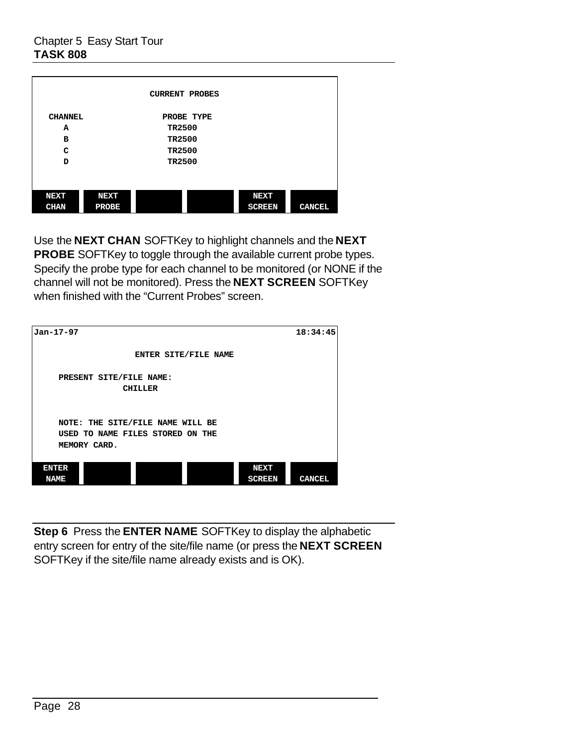|                | <b>CURRENT PROBES</b>                          |
|----------------|------------------------------------------------|
| <b>CHANNEL</b> | PROBE TYPE                                     |
| А              | <b>TR2500</b>                                  |
| B              | <b>TR2500</b>                                  |
| c              | <b>TR2500</b>                                  |
| D              | <b>TR2500</b>                                  |
|                |                                                |
|                |                                                |
| <b>NEXT</b>    | <b>NEXT</b><br><b>NEXT</b>                     |
| <b>CHAN</b>    | <b>PROBE</b><br><b>CANCEL</b><br><b>SCREEN</b> |

Use the **NEXT CHAN** SOFTKey to highlight channels and the **NEXT PROBE** SOFTKey to toggle through the available current probe types. Specify the probe type for each channel to be monitored (or NONE if the channel will not be monitored). Press the **NEXT SCREEN** SOFTKey when finished with the "Current Probes" screen.

| Jan-17-97                                                                            |                              | 18:34:45      |
|--------------------------------------------------------------------------------------|------------------------------|---------------|
| ENTER SITE/FILE NAME                                                                 |                              |               |
| PRESENT SITE/FILE NAME:<br><b>CHILLER</b>                                            |                              |               |
| NOTE: THE SITE/FILE NAME WILL BE<br>USED TO NAME FILES STORED ON THE<br>MEMORY CARD. |                              |               |
| <b>ENTER</b><br><b>NAME</b>                                                          | <b>NEXT</b><br><b>SCREEN</b> | <b>CANCEL</b> |

**Step 6** Press the **ENTER NAME** SOFTKey to display the alphabetic entry screen for entry of the site/file name (or press the **NEXT SCREEN** SOFTKey if the site/file name already exists and is OK).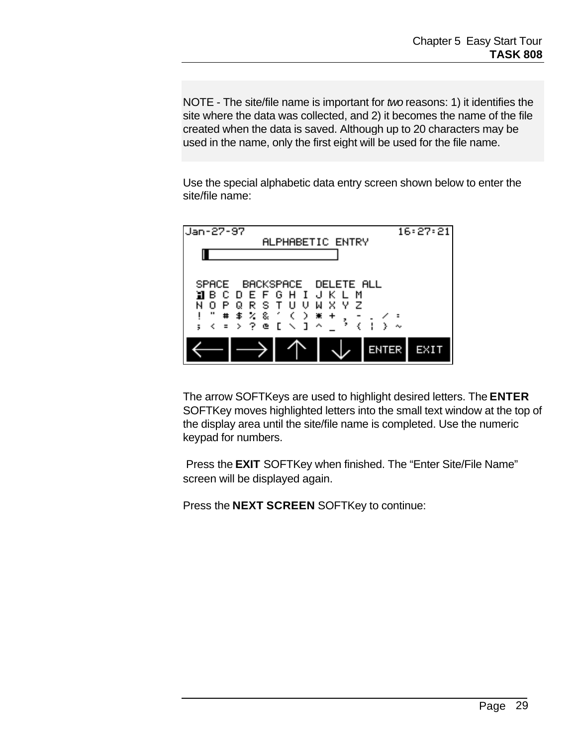NOTE - The site/file name is important for *two* reasons: 1) it identifies the site where the data was collected, and 2) it becomes the name of the file created when the data is saved. Although up to 20 characters may be used in the name, only the first eight will be used for the file name.

Use the special alphabetic data entry screen shown below to enter the site/file name:

| Jan-27-97                                                                                                                                                                                                                                                                                                                                                                                                                                       | 16=27=21 |
|-------------------------------------------------------------------------------------------------------------------------------------------------------------------------------------------------------------------------------------------------------------------------------------------------------------------------------------------------------------------------------------------------------------------------------------------------|----------|
| ALPHABETIC ENTRY                                                                                                                                                                                                                                                                                                                                                                                                                                |          |
|                                                                                                                                                                                                                                                                                                                                                                                                                                                 |          |
| <b>BACKSPACE</b><br>DELETE ALL<br>SPACE<br>IJK<br>-11<br>G<br>н<br>$\mathsf{L}$<br>В<br>-E.<br>П<br>F<br>X Y<br>$\blacksquare$<br>- U<br>$\mathbf{M}$<br>- 7<br>n<br>S<br>Р<br>-Q<br>-R.<br>$\mathsf{T}$<br>$\left( \begin{array}{c} 1 \end{array} \right)$<br>$\mathbf{g}_\mathrm{c}$<br>ш<br>f<br>生之。<br>#<br>$\bullet$<br>┿<br>t,<br>¢<br>١<br>7<br>$\sim$<br>$\mathbf{E} = \mathbf{E} \mathbf{E}$<br>色<br>$\mathcal{N}_{\mathcal{N}}$<br>k. | dia.     |
| <b>ENTER</b>                                                                                                                                                                                                                                                                                                                                                                                                                                    | EXIT     |

The arrow SOFTKeys are used to highlight desired letters. The **ENTER** SOFTKey moves highlighted letters into the small text window at the top of the display area until the site/file name is completed. Use the numeric keypad for numbers.

 Press the **EXIT** SOFTKey when finished. The "Enter Site/File Name" screen will be displayed again.

Press the **NEXT SCREEN** SOFTKey to continue: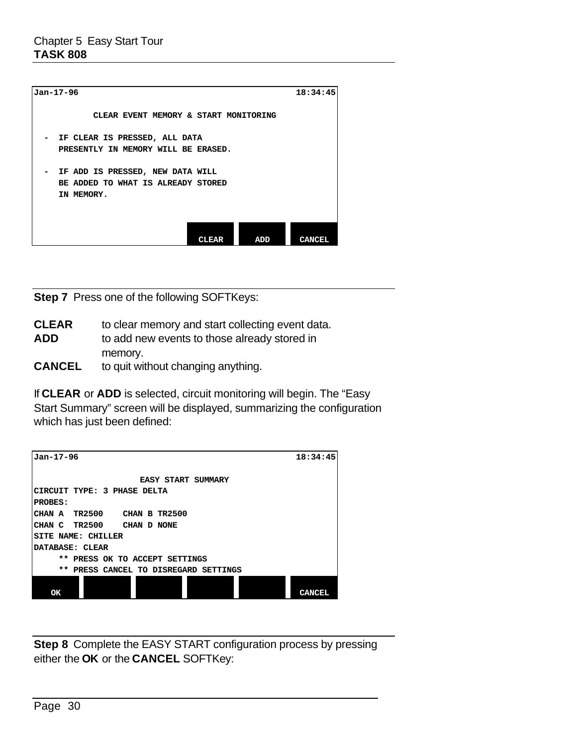

**Step 7** Press one of the following SOFTKeys:

- **CLEAR** to clear memory and start collecting event data.
- **ADD** to add new events to those already stored in memory.
- **CANCEL** to quit without changing anything.

If **CLEAR** or **ADD** is selected, circuit monitoring will begin. The "Easy Start Summary" screen will be displayed, summarizing the configuration which has just been defined:



| <b>Step 8</b> Complete the EASY START configuration process by pressing |  |
|-------------------------------------------------------------------------|--|
| either the OK or the CANCEL SOFTKey:                                    |  |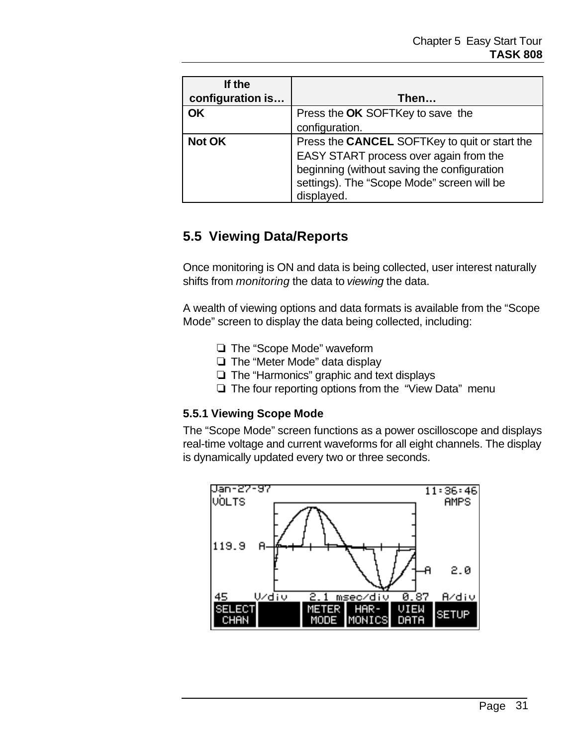| If the           |                                                      |
|------------------|------------------------------------------------------|
| configuration is | Then                                                 |
| <b>OK</b>        | Press the OK SOFTKey to save the                     |
|                  | configuration.                                       |
| Not OK           | Press the <b>CANCEL</b> SOFTKey to quit or start the |
|                  | EASY START process over again from the               |
|                  | beginning (without saving the configuration          |
|                  | settings). The "Scope Mode" screen will be           |
|                  | displayed.                                           |

### **5.5 Viewing Data/Reports**

Once monitoring is ON and data is being collected, user interest naturally shifts from *monitoring* the data to *viewing* the data.

A wealth of viewing options and data formats is available from the "Scope Mode" screen to display the data being collected, including:

- $\Box$  The "Scope Mode" waveform
- $\Box$  The "Meter Mode" data display
- $\Box$  The "Harmonics" graphic and text displays
- $\Box$  The four reporting options from the "View Data" menu

#### **5.5.1 Viewing Scope Mode**

The "Scope Mode" screen functions as a power oscilloscope and displays real-time voltage and current waveforms for all eight channels. The display is dynamically updated every two or three seconds.

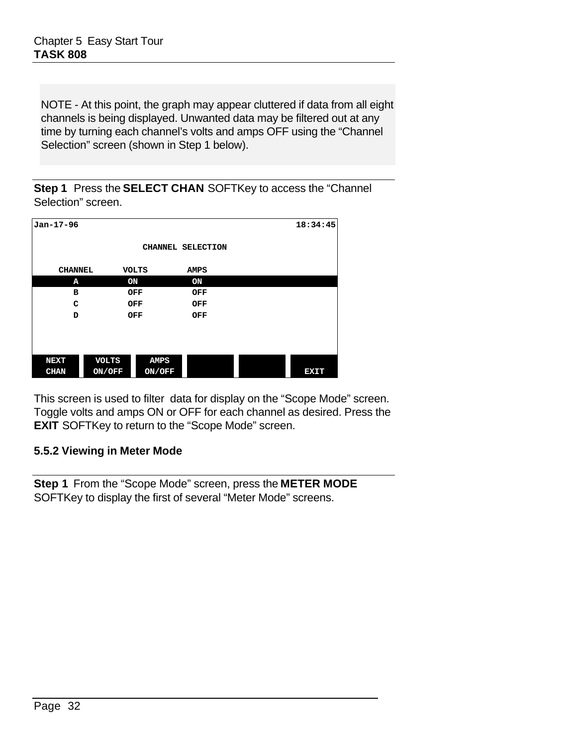NOTE - At this point, the graph may appear cluttered if data from all eight channels is being displayed. Unwanted data may be filtered out at any time by turning each channel's volts and amps OFF using the "Channel Selection" screen (shown in Step 1 below).

**Step 1** Press the **SELECT CHAN** SOFTKey to access the "Channel Selection" screen.

| Jan-17-96         |              |              |            |  | 18:34:45    |
|-------------------|--------------|--------------|------------|--|-------------|
| CHANNEL SELECTION |              |              |            |  |             |
| <b>CHANNEL</b>    |              | <b>VOLTS</b> | AMPS       |  |             |
| A                 | ON           |              | ON         |  |             |
| в                 |              | <b>OFF</b>   | OFF        |  |             |
| c                 |              | OFF          | OFF        |  |             |
| D                 |              | <b>OFF</b>   | <b>OFF</b> |  |             |
|                   |              |              |            |  |             |
|                   |              |              |            |  |             |
|                   |              |              |            |  |             |
| <b>NEXT</b>       | <b>VOLTS</b> | <b>AMPS</b>  |            |  |             |
| <b>CHAN</b>       | ON/OFF       | ON/OFF       |            |  | <b>EXIT</b> |

This screen is used to filter data for display on the "Scope Mode" screen. Toggle volts and amps ON or OFF for each channel as desired. Press the **EXIT** SOFTKey to return to the "Scope Mode" screen.

#### **5.5.2 Viewing in Meter Mode**

**Step 1** From the "Scope Mode" screen, press the **METER MODE** SOFTKey to display the first of several "Meter Mode" screens.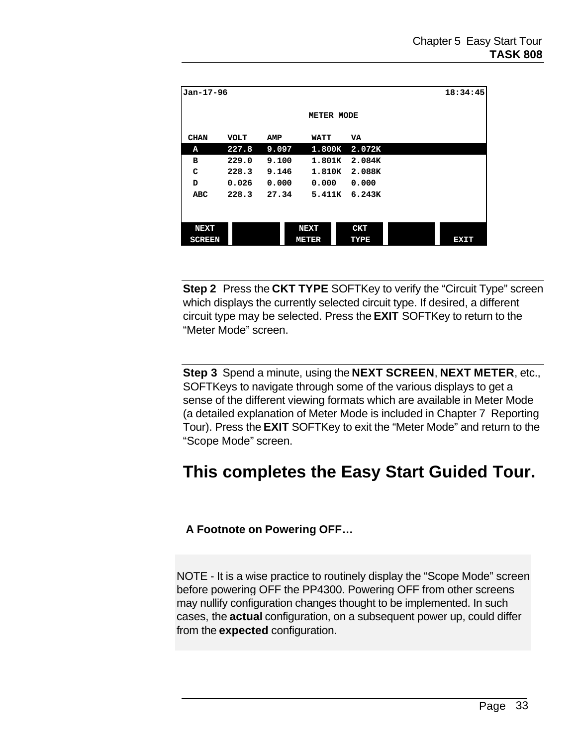| Jan-17-96     |             |       |              |             | 18:34:45    |
|---------------|-------------|-------|--------------|-------------|-------------|
|               |             |       | <b>METER</b> | MODE        |             |
| <b>CHAN</b>   | <b>VOLT</b> | AMP   | <b>WATT</b>  | VA          |             |
| A             | 227.8       | 9.097 | 1.800K       | 2.072K      |             |
| в             | 229.0       | 9.100 | 1.801K       | 2.084K      |             |
| C             | 228.3       | 9.146 | 1.810K       | 2.088K      |             |
| D             | 0.026       | 0.000 | 0.000        | 0.000       |             |
| ABC           | 228.3       | 27.34 | 5.411K       | 6.243K      |             |
|               |             |       |              |             |             |
|               |             |       |              |             |             |
| <b>NEXT</b>   |             |       | <b>NEXT</b>  | <b>CKT</b>  |             |
| <b>SCREEN</b> |             |       | <b>METER</b> | <b>TYPE</b> | <b>EXIT</b> |

**Step 2** Press the **CKT TYPE** SOFTKey to verify the "Circuit Type" screen which displays the currently selected circuit type. If desired, a different circuit type may be selected. Press the **EXIT** SOFTKey to return to the "Meter Mode" screen.

**Step 3** Spend a minute, using the **NEXT SCREEN**, **NEXT METER**, etc., SOFTKeys to navigate through some of the various displays to get a sense of the different viewing formats which are available in Meter Mode (a detailed explanation of Meter Mode is included in Chapter 7 Reporting Tour). Press the **EXIT** SOFTKey to exit the "Meter Mode" and return to the "Scope Mode" screen.

## **This completes the Easy Start Guided Tour.**

#### **A Footnote on Powering OFF…**

NOTE - It is a wise practice to routinely display the "Scope Mode" screen before powering OFF the PP4300. Powering OFF from other screens may nullify configuration changes thought to be implemented. In such cases, the **actual** configuration, on a subsequent power up, could differ from the **expected** configuration.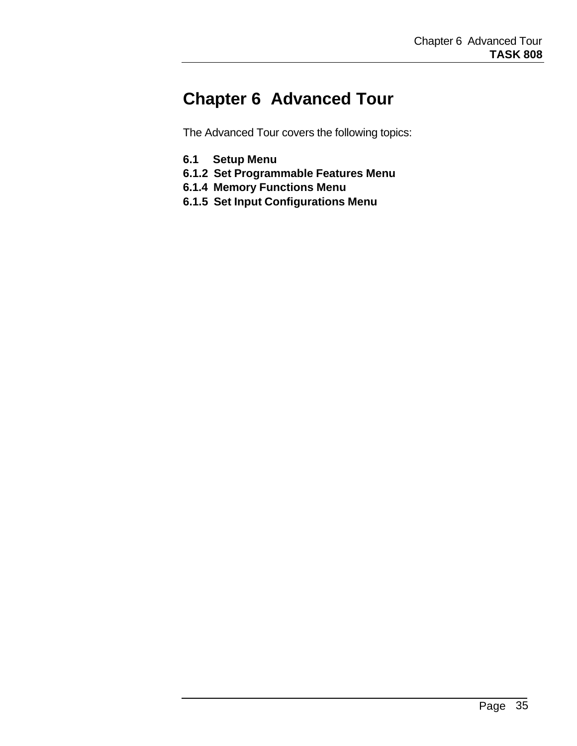## **Chapter 6 Advanced Tour**

The Advanced Tour covers the following topics:

- **6.1 Setup Menu**
- **6.1.2 Set Programmable Features Menu**
- **6.1.4 Memory Functions Menu**
- **6.1.5 Set Input Configurations Menu**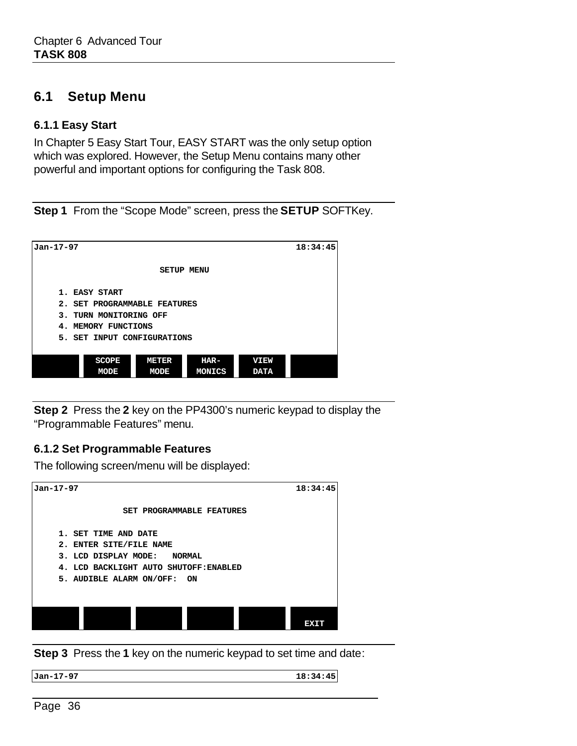### **6.1 Setup Menu**

#### **6.1.1 Easy Start**

In Chapter 5 Easy Start Tour, EASY START was the only setup option which was explored. However, the Setup Menu contains many other powerful and important options for configuring the Task 808.



| Jan-17-97                            | 18:34:45    |
|--------------------------------------|-------------|
| <b>SETUP MENU</b>                    |             |
| 1.<br><b>EASY START</b>              |             |
| 2. SET PROGRAMMABLE FEATURES         |             |
| 3. TURN MONITORING OFF               |             |
| 4. MEMORY FUNCTIONS                  |             |
| 5. SET INPUT CONFIGURATIONS          |             |
| SCOPE<br><b>METER</b><br>HAR-        | <b>VIEW</b> |
| MONICS<br><b>MODE</b><br><b>MODE</b> | <b>DATA</b> |

**Step 2** Press the **2** key on the PP4300's numeric keypad to display the "Programmable Features" menu.

#### **6.1.2 Set Programmable Features**

The following screen/menu will be displayed:

| Jan-17-97                              | 18:34:45 |
|----------------------------------------|----------|
| SET PROGRAMMABLE FEATURES              |          |
| 1. SET TIME AND DATE                   |          |
| 2. ENTER SITE/FILE NAME                |          |
| 3. LCD DISPLAY MODE: NORMAL            |          |
| 4. LCD BACKLIGHT AUTO SHUTOFF: ENABLED |          |
| 5. AUDIBLE ALARM ON/OFF:<br>ON         |          |
|                                        |          |
|                                        |          |
|                                        |          |
|                                        | EXIT     |

**Step 3** Press the **1** key on the numeric keypad to set time and date:

**Jan-17-97 18:34:45**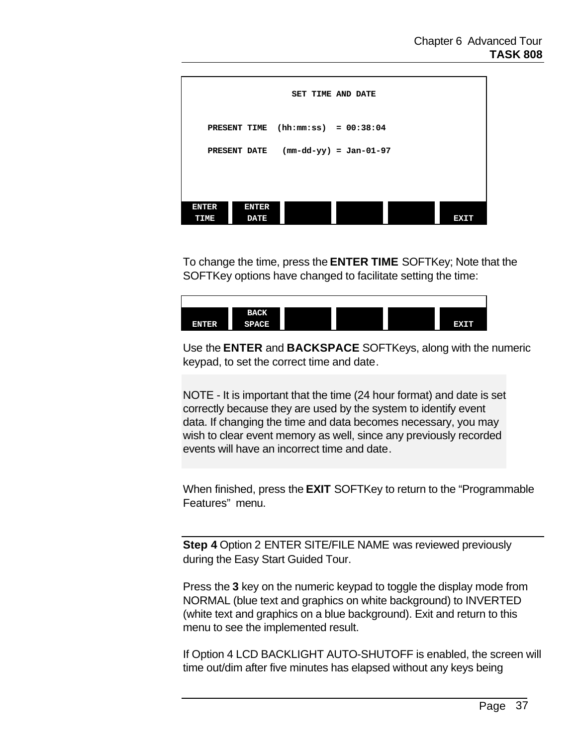|              |                     |                                      | SET TIME AND DATE                |      |
|--------------|---------------------|--------------------------------------|----------------------------------|------|
|              |                     | PRESENT TIME $(hh:mm:ss) = 00:38:04$ |                                  |      |
|              | <b>PRESENT DATE</b> |                                      | $(mm - dd - yy) = Jan - 01 - 97$ |      |
|              |                     |                                      |                                  |      |
|              |                     |                                      |                                  |      |
| <b>ENTER</b> | <b>ENTER</b>        |                                      |                                  |      |
| <b>TIME</b>  | <b>DATE</b>         |                                      |                                  | EXIT |

To change the time, press the **ENTER TIME** SOFTKey; Note that the SOFTKey options have changed to facilitate setting the time:



Use the **ENTER** and **BACKSPACE** SOFTKeys, along with the numeric keypad, to set the correct time and date.

NOTE - It is important that the time (24 hour format) and date is set correctly because they are used by the system to identify event data. If changing the time and data becomes necessary, you may wish to clear event memory as well, since any previously recorded events will have an incorrect time and date.

When finished, press the **EXIT** SOFTKey to return to the "Programmable Features" menu.

**Step 4** Option 2 ENTER SITE/FILE NAME was reviewed previously during the Easy Start Guided Tour.

Press the **3** key on the numeric keypad to toggle the display mode from NORMAL (blue text and graphics on white background) to INVERTED (white text and graphics on a blue background). Exit and return to this menu to see the implemented result.

If Option 4 LCD BACKLIGHT AUTO-SHUTOFF is enabled, the screen will time out/dim after five minutes has elapsed without any keys being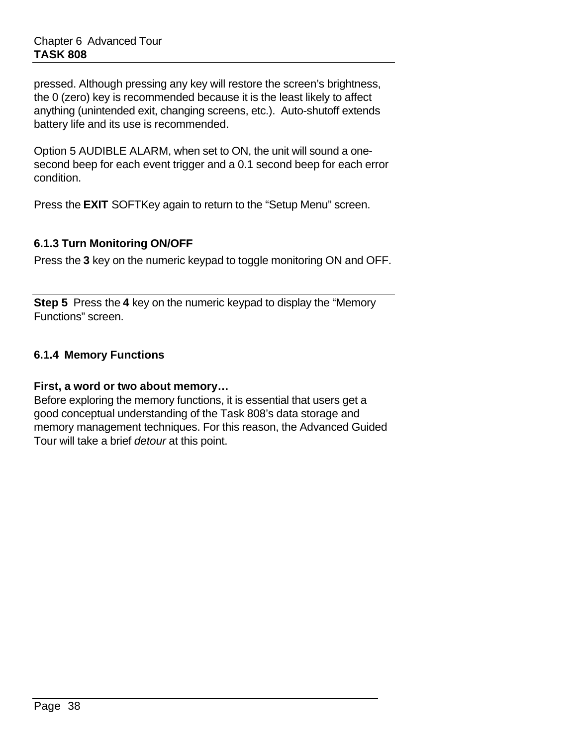pressed. Although pressing any key will restore the screen's brightness, the 0 (zero) key is recommended because it is the least likely to affect anything (unintended exit, changing screens, etc.). Auto-shutoff extends battery life and its use is recommended.

Option 5 AUDIBLE ALARM, when set to ON, the unit will sound a onesecond beep for each event trigger and a 0.1 second beep for each error condition.

Press the **EXIT** SOFTKey again to return to the "Setup Menu" screen.

#### **6.1.3 Turn Monitoring ON/OFF**

Press the **3** key on the numeric keypad to toggle monitoring ON and OFF.

**Step 5** Press the **4** key on the numeric keypad to display the "Memory Functions" screen.

#### **6.1.4 Memory Functions**

#### **First, a word or two about memory…**

Before exploring the memory functions, it is essential that users get a good conceptual understanding of the Task 808's data storage and memory management techniques. For this reason, the Advanced Guided Tour will take a brief *detour* at this point.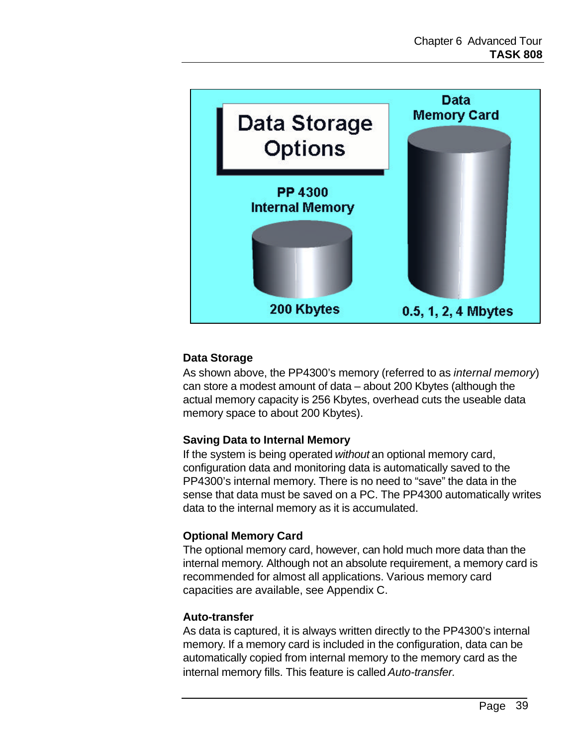

#### **Data Storage**

As shown above, the PP4300's memory (referred to as *internal memory*) can store a modest amount of data – about 200 Kbytes (although the actual memory capacity is 256 Kbytes, overhead cuts the useable data memory space to about 200 Kbytes).

#### **Saving Data to Internal Memory**

If the system is being operated *without* an optional memory card, configuration data and monitoring data is automatically saved to the PP4300's internal memory. There is no need to "save" the data in the sense that data must be saved on a PC. The PP4300 automatically writes data to the internal memory as it is accumulated.

#### **Optional Memory Card**

The optional memory card, however, can hold much more data than the internal memory. Although not an absolute requirement, a memory card is recommended for almost all applications. Various memory card capacities are available, see Appendix C.

#### **Auto-transfer**

As data is captured, it is always written directly to the PP4300's internal memory. If a memory card is included in the configuration, data can be automatically copied from internal memory to the memory card as the internal memory fills. This feature is called *Auto-transfer.*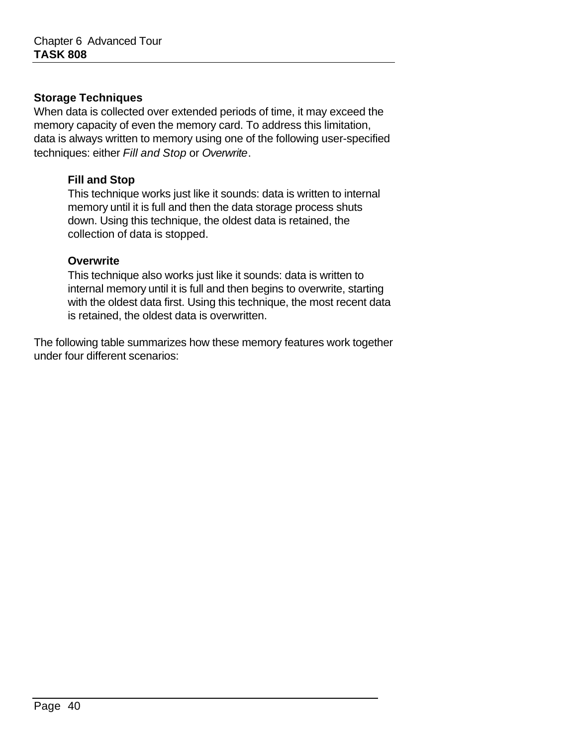#### **Storage Techniques**

When data is collected over extended periods of time, it may exceed the memory capacity of even the memory card. To address this limitation, data is always written to memory using one of the following user-specified techniques: either *Fill and Stop* or *Overwrite*.

#### **Fill and Stop**

This technique works just like it sounds: data is written to internal memory until it is full and then the data storage process shuts down. Using this technique, the oldest data is retained, the collection of data is stopped.

#### **Overwrite**

This technique also works just like it sounds: data is written to internal memory until it is full and then begins to overwrite, starting with the oldest data first. Using this technique, the most recent data is retained, the oldest data is overwritten.

The following table summarizes how these memory features work together under four different scenarios: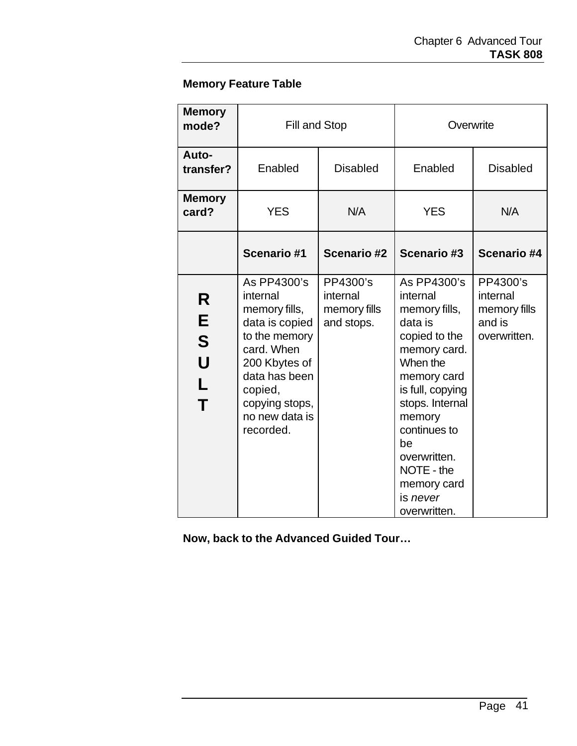#### **Memory Feature Table**

| <b>Memory</b><br>mode?     | Fill and Stop                                                                                                                                                                           |                                                    | Overwrite                                                                                                                                                                                                                                                       |                                                                |
|----------------------------|-----------------------------------------------------------------------------------------------------------------------------------------------------------------------------------------|----------------------------------------------------|-----------------------------------------------------------------------------------------------------------------------------------------------------------------------------------------------------------------------------------------------------------------|----------------------------------------------------------------|
| Auto-<br>transfer?         | Enabled                                                                                                                                                                                 | <b>Disabled</b>                                    | Enabled                                                                                                                                                                                                                                                         | <b>Disabled</b>                                                |
| <b>Memory</b><br>card?     | <b>YES</b>                                                                                                                                                                              | N/A                                                | <b>YES</b>                                                                                                                                                                                                                                                      | N/A                                                            |
|                            | Scenario #1                                                                                                                                                                             | <b>Scenario #2</b>                                 | Scenario #3                                                                                                                                                                                                                                                     | <b>Scenario #4</b>                                             |
| R<br>Е<br>S<br>U<br>L<br>Т | As PP4300's<br>internal<br>memory fills,<br>data is copied<br>to the memory<br>card. When<br>200 Kbytes of<br>data has been<br>copied,<br>copying stops,<br>no new data is<br>recorded. | PP4300's<br>internal<br>memory fills<br>and stops. | As PP4300's<br>internal<br>memory fills,<br>data is<br>copied to the<br>memory card.<br>When the<br>memory card<br>is full, copying<br>stops. Internal<br>memory<br>continues to<br>be<br>overwritten.<br>NOTE - the<br>memory card<br>is never<br>overwritten. | PP4300's<br>internal<br>memory fills<br>and is<br>overwritten. |

**Now, back to the Advanced Guided Tour…**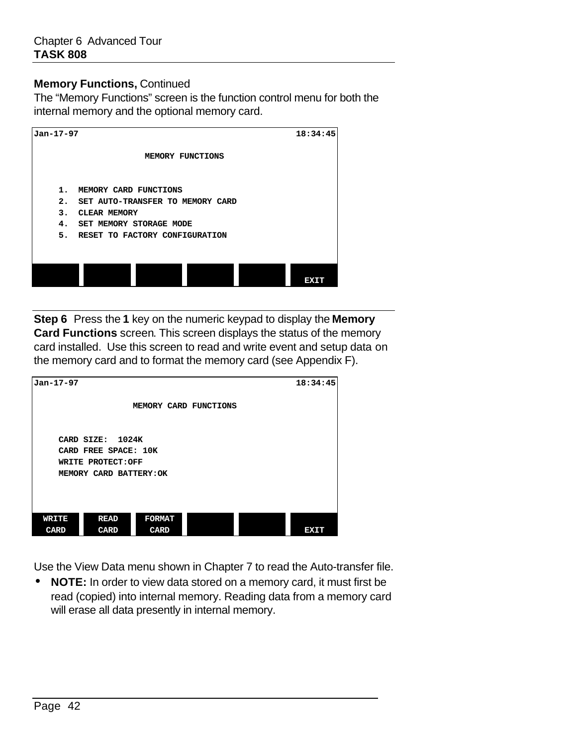#### **Memory Functions,** Continued

The "Memory Functions" screen is the function control menu for both the internal memory and the optional memory card.



**Step 6** Press the **1** key on the numeric keypad to display the **Memory Card Functions** screen. This screen displays the status of the memory card installed. Use this screen to read and write event and setup data on the memory card and to format the memory card (see Appendix F).

| Jan-17-97     |                                                                                          |                       |  | 18:34:45    |
|---------------|------------------------------------------------------------------------------------------|-----------------------|--|-------------|
|               |                                                                                          | MEMORY CARD FUNCTIONS |  |             |
|               | CARD SIZE: 1024K<br>CARD FREE SPACE: 10K<br>WRITE PROTECT:OFF<br>MEMORY CARD BATTERY: OK |                       |  |             |
| WRITE<br>CARD | <b>READ</b><br>CARD                                                                      | <b>FORMAT</b><br>CARD |  | <b>EXIT</b> |

Use the View Data menu shown in Chapter 7 to read the Auto-transfer file.

• **NOTE:** In order to view data stored on a memory card, it must first be read (copied) into internal memory. Reading data from a memory card will erase all data presently in internal memory.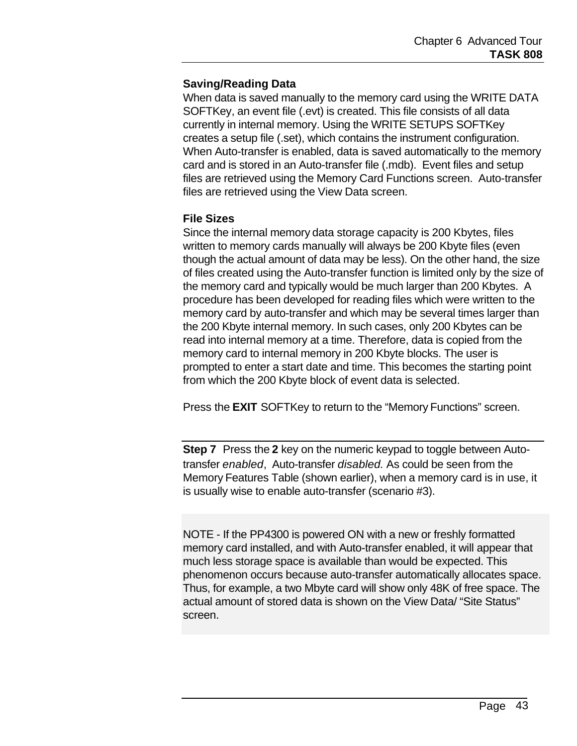#### **Saving/Reading Data**

When data is saved manually to the memory card using the WRITE DATA SOFTKey, an event file (.evt) is created. This file consists of all data currently in internal memory. Using the WRITE SETUPS SOFTKey creates a setup file (.set), which contains the instrument configuration. When Auto-transfer is enabled, data is saved automatically to the memory card and is stored in an Auto-transfer file (.mdb). Event files and setup files are retrieved using the Memory Card Functions screen. Auto-transfer files are retrieved using the View Data screen.

#### **File Sizes**

Since the internal memory data storage capacity is 200 Kbytes, files written to memory cards manually will always be 200 Kbyte files (even though the actual amount of data may be less). On the other hand, the size of files created using the Auto-transfer function is limited only by the size of the memory card and typically would be much larger than 200 Kbytes. A procedure has been developed for reading files which were written to the memory card by auto-transfer and which may be several times larger than the 200 Kbyte internal memory. In such cases, only 200 Kbytes can be read into internal memory at a time. Therefore, data is copied from the memory card to internal memory in 200 Kbyte blocks. The user is prompted to enter a start date and time. This becomes the starting point from which the 200 Kbyte block of event data is selected.

Press the **EXIT** SOFTKey to return to the "Memory Functions" screen.

**Step 7** Press the **2** key on the numeric keypad to toggle between Autotransfer *enabled*, Auto-transfer *disabled.* As could be seen from the Memory Features Table (shown earlier), when a memory card is in use, it is usually wise to enable auto-transfer (scenario #3).

NOTE - If the PP4300 is powered ON with a new or freshly formatted memory card installed, and with Auto-transfer enabled, it will appear that much less storage space is available than would be expected. This phenomenon occurs because auto-transfer automatically allocates space. Thus, for example, a two Mbyte card will show only 48K of free space. The actual amount of stored data is shown on the View Data/ "Site Status" screen.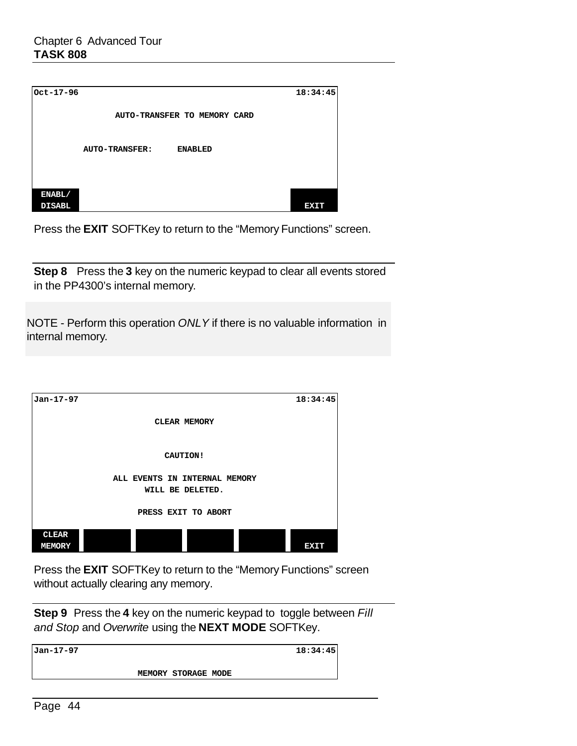| Oct-17-96               |                                         | 18:34:45 |
|-------------------------|-----------------------------------------|----------|
|                         | AUTO-TRANSFER TO MEMORY CARD            |          |
|                         | <b>AUTO-TRANSFER:</b><br><b>ENABLED</b> |          |
|                         |                                         |          |
| ENABL/<br><b>DISABL</b> |                                         | EXIT     |

Press the **EXIT** SOFTKey to return to the "Memory Functions" screen.

**Step 8** Press the **3** key on the numeric keypad to clear all events stored in the PP4300's internal memory.

NOTE - Perform this operation *ONLY* if there is no valuable information in internal memory.

| Jan-17-97     |                               | 18:34:45 |
|---------------|-------------------------------|----------|
|               | <b>CLEAR MEMORY</b>           |          |
|               |                               |          |
|               | <b>CAUTION!</b>               |          |
|               | ALL EVENTS IN INTERNAL MEMORY |          |
|               | WILL BE DELETED.              |          |
|               | PRESS EXIT TO ABORT           |          |
| <b>CLEAR</b>  |                               |          |
| <b>MEMORY</b> |                               | EXIT     |

Press the **EXIT** SOFTKey to return to the "Memory Functions" screen without actually clearing any memory.

**Step 9** Press the **4** key on the numeric keypad to toggle between *Fill and Stop* and *Overwrite* using the **NEXT MODE** SOFTKey.

**Jan-17-97 18:34:45 MEMORY STORAGE MODE**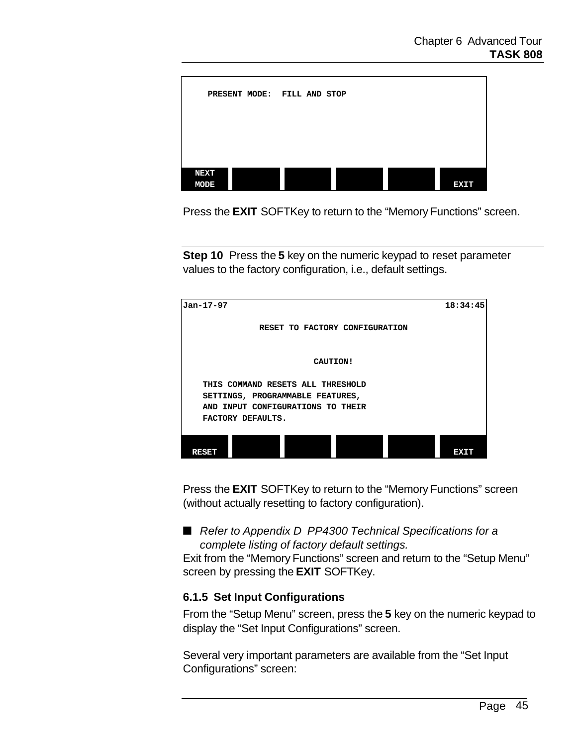|                     | PRESENT MODE: FILL AND STOP |  |             |
|---------------------|-----------------------------|--|-------------|
|                     |                             |  |             |
|                     |                             |  |             |
| <b>NEXT</b><br>MODE |                             |  | <b>EXIT</b> |

Press the **EXIT** SOFTKey to return to the "Memory Functions" screen.

**Step 10** Press the 5 key on the numeric keypad to reset parameter values to the factory configuration, i.e., default settings.



Press the **EXIT** SOFTKey to return to the "Memory Functions" screen (without actually resetting to factory configuration).

■ *Refer to Appendix D PP4300 Technical Specifications for a complete listing of factory default settings.*

Exit from the "Memory Functions" screen and return to the "Setup Menu" screen by pressing the **EXIT** SOFTKey.

#### **6.1.5 Set Input Configurations**

From the "Setup Menu" screen, press the **5** key on the numeric keypad to display the "Set Input Configurations" screen.

Several very important parameters are available from the "Set Input Configurations" screen: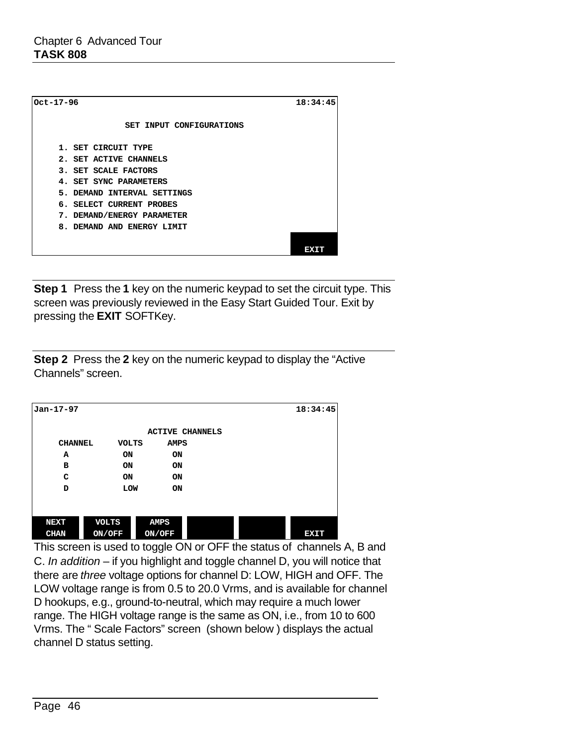| $Oct-17-96$                 | 18:34:45 |
|-----------------------------|----------|
| SET INPUT CONFIGURATIONS    |          |
| 1. SET CIRCUIT TYPE         |          |
| 2. SET ACTIVE CHANNELS      |          |
| 3. SET SCALE FACTORS        |          |
| 4. SET SYNC PARAMETERS      |          |
| 5. DEMAND INTERVAL SETTINGS |          |
| 6. SELECT CURRENT PROBES    |          |
| 7. DEMAND/ENERGY PARAMETER  |          |
| 8. DEMAND AND ENERGY LIMIT  |          |
|                             |          |
|                             | EXTT     |

**Step 1** Press the **1** key on the numeric keypad to set the circuit type. This screen was previously reviewed in the Easy Start Guided Tour. Exit by pressing the **EXIT** SOFTKey.

**Step 2** Press the **2** key on the numeric keypad to display the "Active Channels" screen.

| Jan-17-97      |              |             |                        | 18:34:45    |
|----------------|--------------|-------------|------------------------|-------------|
|                |              |             | <b>ACTIVE CHANNELS</b> |             |
| <b>CHANNEL</b> | <b>VOLTS</b> | <b>AMPS</b> |                        |             |
| A              | ON           | ON          |                        |             |
| в              | ON           | ON          |                        |             |
| c              | ON           | ON          |                        |             |
| D              | LOW          | ON          |                        |             |
|                |              |             |                        |             |
|                |              |             |                        |             |
| <b>NEXT</b>    | <b>VOLTS</b> | AMPS        |                        |             |
| <b>CHAN</b>    | ON/OFF       | ON/OFF      |                        | <b>EXIT</b> |

This screen is used to toggle ON or OFF the status of channels A, B and C. *In addition* – if you highlight and toggle channel D, you will notice that there are *three* voltage options for channel D: LOW, HIGH and OFF. The LOW voltage range is from 0.5 to 20.0 Vrms, and is available for channel D hookups, e.g., ground-to-neutral, which may require a much lower range. The HIGH voltage range is the same as ON, i.e., from 10 to 600 Vrms. The " Scale Factors" screen (shown below ) displays the actual channel D status setting.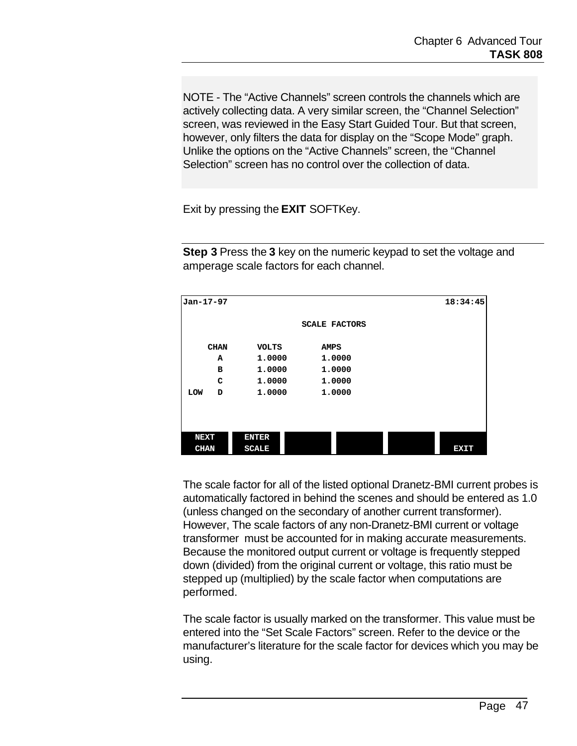NOTE - The "Active Channels" screen controls the channels which are actively collecting data. A very similar screen, the "Channel Selection" screen, was reviewed in the Easy Start Guided Tour. But that screen, however, only filters the data for display on the "Scope Mode" graph. Unlike the options on the "Active Channels" screen, the "Channel Selection" screen has no control over the collection of data.

Exit by pressing the **EXIT** SOFTKey.

**Step 3** Press the **3** key on the numeric keypad to set the voltage and amperage scale factors for each channel.

| Jan-17-97   |             |              |                      | 18:34:45    |
|-------------|-------------|--------------|----------------------|-------------|
|             |             |              | <b>SCALE FACTORS</b> |             |
|             | <b>CHAN</b> | <b>VOLTS</b> | <b>AMPS</b>          |             |
|             | A           | 1.0000       | 1,0000               |             |
|             | в           | 1.0000       | 1.0000               |             |
|             | c           | 1,0000       | 1.0000               |             |
| LOW         | D           | 1.0000       | 1.0000               |             |
|             |             |              |                      |             |
|             |             |              |                      |             |
|             |             |              |                      |             |
| <b>NEXT</b> |             | <b>ENTER</b> |                      |             |
| <b>CHAN</b> |             | <b>SCALE</b> |                      | <b>EXIT</b> |

The scale factor for all of the listed optional Dranetz-BMI current probes is automatically factored in behind the scenes and should be entered as 1.0 (unless changed on the secondary of another current transformer). However, The scale factors of any non-Dranetz-BMI current or voltage transformer must be accounted for in making accurate measurements. Because the monitored output current or voltage is frequently stepped down (divided) from the original current or voltage, this ratio must be stepped up (multiplied) by the scale factor when computations are performed.

The scale factor is usually marked on the transformer. This value must be entered into the "Set Scale Factors" screen. Refer to the device or the manufacturer's literature for the scale factor for devices which you may be using.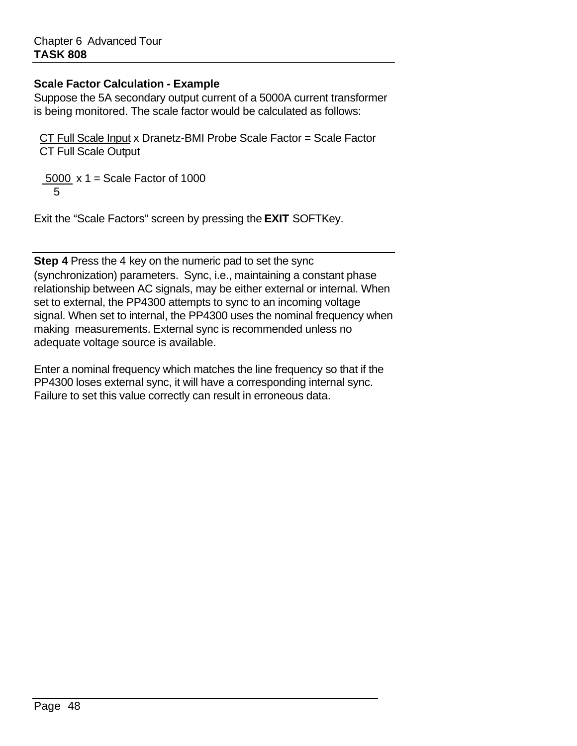#### **Scale Factor Calculation - Example**

Suppose the 5A secondary output current of a 5000A current transformer is being monitored. The scale factor would be calculated as follows:

 CT Full Scale Input x Dranetz-BMI Probe Scale Factor = Scale Factor CT Full Scale Output

 5000 x 1 = Scale Factor of 1000 5

Exit the "Scale Factors" screen by pressing the **EXIT** SOFTKey.

**Step 4** Press the 4 key on the numeric pad to set the sync (synchronization) parameters. Sync, i.e., maintaining a constant phase relationship between AC signals, may be either external or internal. When set to external, the PP4300 attempts to sync to an incoming voltage signal. When set to internal, the PP4300 uses the nominal frequency when making measurements. External sync is recommended unless no adequate voltage source is available.

Enter a nominal frequency which matches the line frequency so that if the PP4300 loses external sync, it will have a corresponding internal sync. Failure to set this value correctly can result in erroneous data.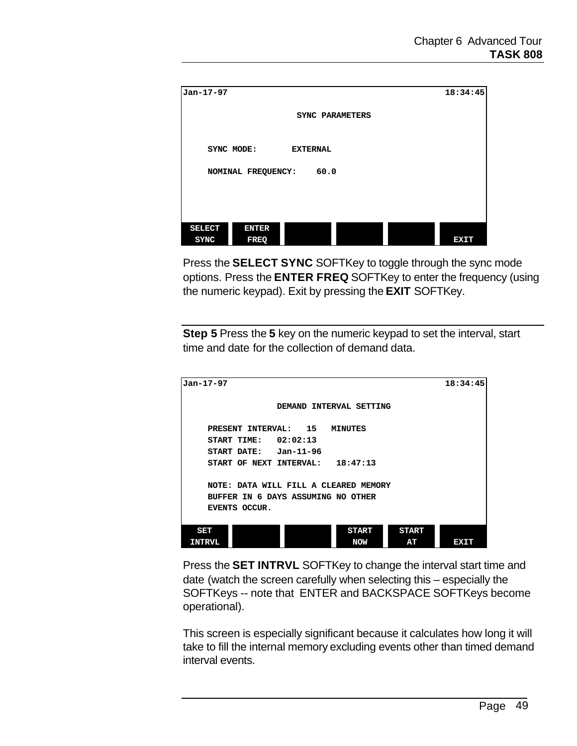| Jan-17-97                  |              |                 |                 |  | 18:34:45    |
|----------------------------|--------------|-----------------|-----------------|--|-------------|
|                            |              |                 | SYNC PARAMETERS |  |             |
|                            |              |                 |                 |  |             |
|                            | SYNC MODE:   | <b>EXTERNAL</b> |                 |  |             |
| 60.0<br>NOMINAL FREQUENCY: |              |                 |                 |  |             |
|                            |              |                 |                 |  |             |
|                            |              |                 |                 |  |             |
| <b>SELECT</b>              | <b>ENTER</b> |                 |                 |  |             |
| SYNC                       | <b>FREQ</b>  |                 |                 |  | <b>EXIT</b> |

Press the **SELECT SYNC** SOFTKey to toggle through the sync mode options. Press the **ENTER FREQ** SOFTKey to enter the frequency (using the numeric keypad). Exit by pressing the **EXIT** SOFTKey.

**Step 5** Press the **5** key on the numeric keypad to set the interval, start time and date for the collection of demand data.

| Jan-17-97                                                                                    | 18:34:45 |  |  |  |  |
|----------------------------------------------------------------------------------------------|----------|--|--|--|--|
| DEMAND INTERVAL SETTING                                                                      |          |  |  |  |  |
| PRESENT INTERVAL: 15 MINUTES<br>START TIME: 02:02:13<br>START DATE: Jan-11-96                |          |  |  |  |  |
| START OF NEXT INTERVAL: 18:47:13                                                             |          |  |  |  |  |
| NOTE: DATA WILL FILL A CLEARED MEMORY<br>BUFFER IN 6 DAYS ASSUMING NO OTHER<br>EVENTS OCCUR. |          |  |  |  |  |
| SET<br><b>START</b><br><b>START</b><br>AТ<br><b>INTRVL</b><br><b>NOW</b>                     | EXIT     |  |  |  |  |

Press the **SET INTRVL** SOFTKey to change the interval start time and date (watch the screen carefully when selecting this – especially the SOFTKeys -- note that ENTER and BACKSPACE SOFTKeys become operational).

This screen is especially significant because it calculates how long it will take to fill the internal memory excluding events other than timed demand interval events.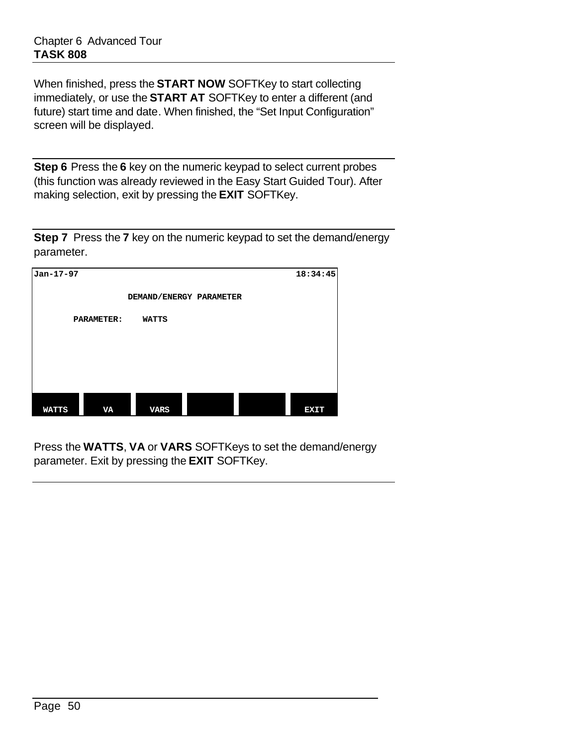When finished, press the **START NOW** SOFTKey to start collecting immediately, or use the **START AT** SOFTKey to enter a different (and future) start time and date. When finished, the "Set Input Configuration" screen will be displayed.

**Step 6** Press the **6** key on the numeric keypad to select current probes (this function was already reviewed in the Easy Start Guided Tour). After making selection, exit by pressing the **EXIT** SOFTKey.

**Step 7** Press the **7** key on the numeric keypad to set the demand/energy parameter.

| Jan-17-97    |            |                         |  | 18:34:45    |
|--------------|------------|-------------------------|--|-------------|
|              |            | DEMAND/ENERGY PARAMETER |  |             |
|              | PARAMETER: | <b>WATTS</b>            |  |             |
|              |            |                         |  |             |
|              |            |                         |  |             |
|              |            |                         |  |             |
| <b>WATTS</b> | VA.        | <b>VARS</b>             |  | <b>EXIT</b> |

Press the **WATTS**, **VA** or **VARS** SOFTKeys to set the demand/energy parameter. Exit by pressing the **EXIT** SOFTKey.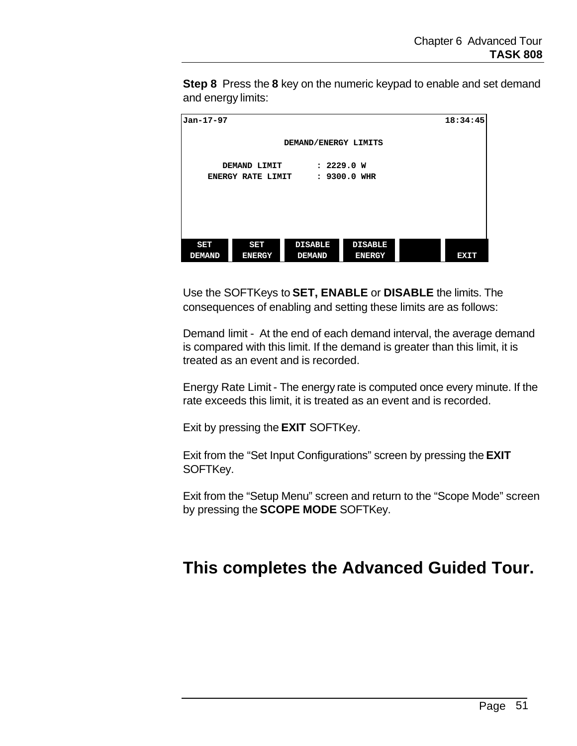**Step 8** Press the **8** key on the numeric keypad to enable and set demand and energy limits:

| Jan-17-97                                |               |                |                |  | 18:34:45 |  |
|------------------------------------------|---------------|----------------|----------------|--|----------|--|
| DEMAND/ENERGY LIMITS                     |               |                |                |  |          |  |
|                                          | DEMAND LIMIT  |                | : 2229.0 W     |  |          |  |
| : 9300.0 WHR<br><b>ENERGY RATE LIMIT</b> |               |                |                |  |          |  |
|                                          |               |                |                |  |          |  |
|                                          |               |                |                |  |          |  |
|                                          |               |                |                |  |          |  |
| SET                                      | SET           | <b>DISABLE</b> | <b>DISABLE</b> |  |          |  |
| <b>DEMAND</b>                            | <b>ENERGY</b> | <b>DEMAND</b>  | <b>ENERGY</b>  |  | EXIT     |  |

Use the SOFTKeys to **SET, ENABLE** or **DISABLE** the limits. The consequences of enabling and setting these limits are as follows:

Demand limit - At the end of each demand interval, the average demand is compared with this limit. If the demand is greater than this limit, it is treated as an event and is recorded.

Energy Rate Limit - The energy rate is computed once every minute. If the rate exceeds this limit, it is treated as an event and is recorded.

Exit by pressing the **EXIT** SOFTKey.

Exit from the "Set Input Configurations" screen by pressing the **EXIT** SOFTKey.

Exit from the "Setup Menu" screen and return to the "Scope Mode" screen by pressing the **SCOPE MODE** SOFTKey.

## **This completes the Advanced Guided Tour.**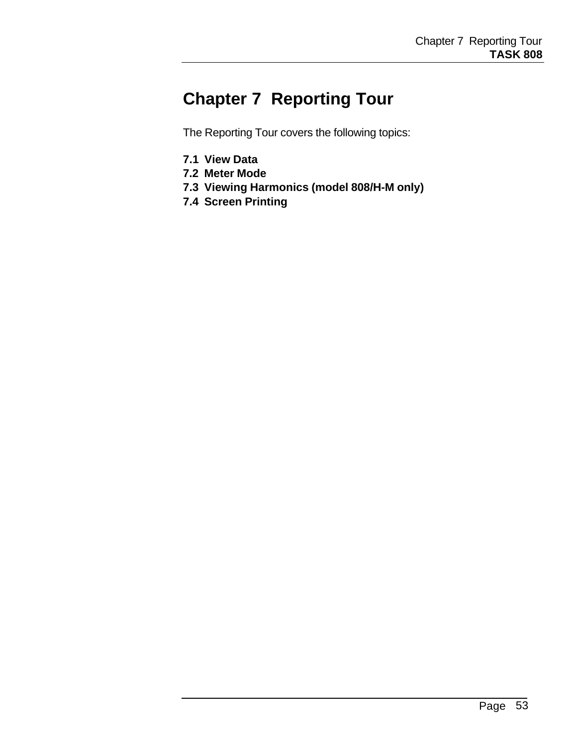## **Chapter 7 Reporting Tour**

The Reporting Tour covers the following topics:

- **7.1 View Data**
- **7.2 Meter Mode**
- **7.3 Viewing Harmonics (model 808/H-M only)**
- **7.4 Screen Printing**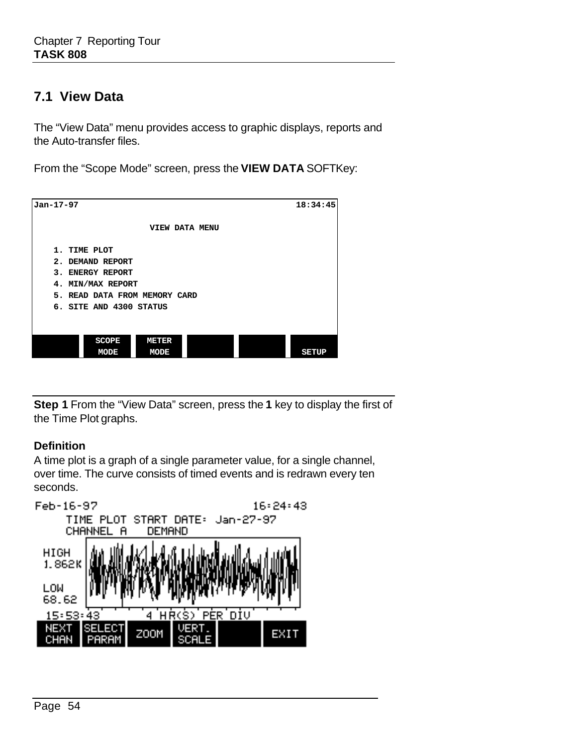### **7.1 View Data**

The "View Data" menu provides access to graphic displays, reports and the Auto-transfer files.

From the "Scope Mode" screen, press the **VIEW DATA** SOFTKey:



**Step 1** From the "View Data" screen, press the **1** key to display the first of the Time Plot graphs.

#### **Definition**

A time plot is a graph of a single parameter value, for a single channel, over time. The curve consists of timed events and is redrawn every ten seconds.

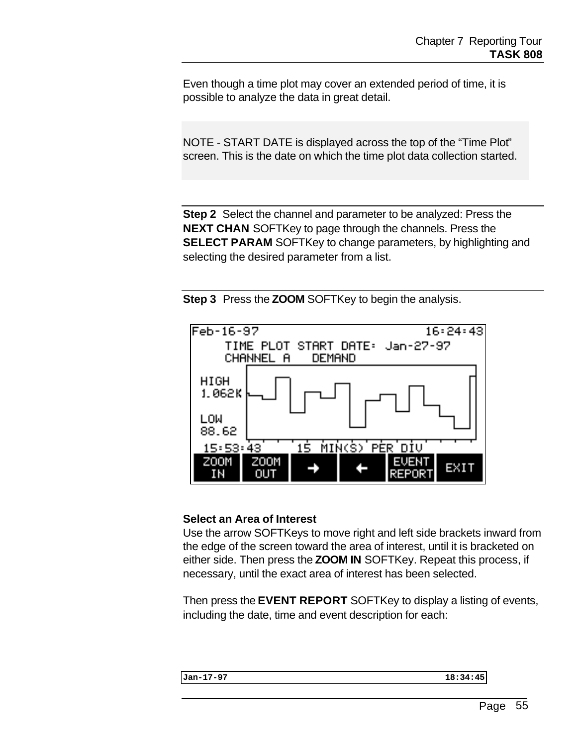Even though a time plot may cover an extended period of time, it is possible to analyze the data in great detail.

NOTE - START DATE is displayed across the top of the "Time Plot" screen. This is the date on which the time plot data collection started.

**Step 2** Select the channel and parameter to be analyzed: Press the **NEXT CHAN** SOFTKey to page through the channels. Press the **SELECT PARAM** SOFTKey to change parameters, by highlighting and selecting the desired parameter from a list.

**Step 3** Press the **ZOOM** SOFTKey to begin the analysis.



#### **Select an Area of Interest**

Use the arrow SOFTKeys to move right and left side brackets inward from the edge of the screen toward the area of interest, until it is bracketed on either side. Then press the **ZOOM IN** SOFTKey. Repeat this process, if necessary, until the exact area of interest has been selected.

Then press the **EVENT REPORT** SOFTKey to display a listing of events, including the date, time and event description for each:

**Jan-17-97 18:34:45**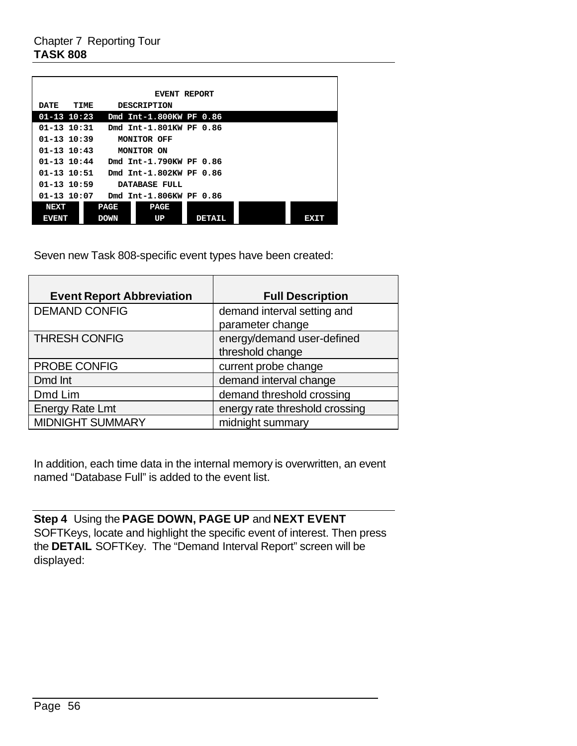|                   |      |             |                         | <b>EVENT REPORT</b> |      |
|-------------------|------|-------------|-------------------------|---------------------|------|
| <b>DATE</b>       | TIME |             | <b>DESCRIPTION</b>      |                     |      |
| $01 - 13$ $10:23$ |      |             | Dmd Int-1.800KW PF 0.86 |                     |      |
| $01 - 13$ $10:31$ |      |             | Dmd Int-1.801KW PF 0.86 |                     |      |
| $01 - 13$ $10:39$ |      |             | MONITOR OFF             |                     |      |
| $01 - 13$ $10:43$ |      |             | MONITOR ON              |                     |      |
| $01 - 13$ $10:44$ |      |             | Dmd Int-1.790KW PF 0.86 |                     |      |
| $01 - 13$ $10:51$ |      |             | Dmd Int-1.802KW PF 0.86 |                     |      |
| $01 - 13$ $10:59$ |      |             | <b>DATABASE FULL</b>    |                     |      |
| $01 - 13$ $10:07$ |      |             | Dmd Int-1.806KW PF 0.86 |                     |      |
| <b>NEXT</b>       |      | <b>PAGE</b> | <b>PAGE</b>             |                     |      |
| <b>EVENT</b>      |      | <b>DOWN</b> | UP                      | <b>DETAIL</b>       | EXIT |

Seven new Task 808-specific event types have been created:

| <b>Event Report Abbreviation</b> | <b>Full Description</b>                         |
|----------------------------------|-------------------------------------------------|
| <b>DEMAND CONFIG</b>             | demand interval setting and<br>parameter change |
| <b>THRESH CONFIG</b>             | energy/demand user-defined<br>threshold change  |
| PROBE CONFIG                     | current probe change                            |
| Dmd Int                          | demand interval change                          |
| Dmd Lim                          | demand threshold crossing                       |
| <b>Energy Rate Lmt</b>           | energy rate threshold crossing                  |
| <b>MIDNIGHT SUMMARY</b>          | midnight summary                                |

In addition, each time data in the internal memory is overwritten, an event named "Database Full" is added to the event list.

**Step 4** Using the **PAGE DOWN, PAGE UP** and **NEXT EVENT** SOFTKeys, locate and highlight the specific event of interest. Then press the **DETAIL** SOFTKey. The "Demand Interval Report" screen will be displayed: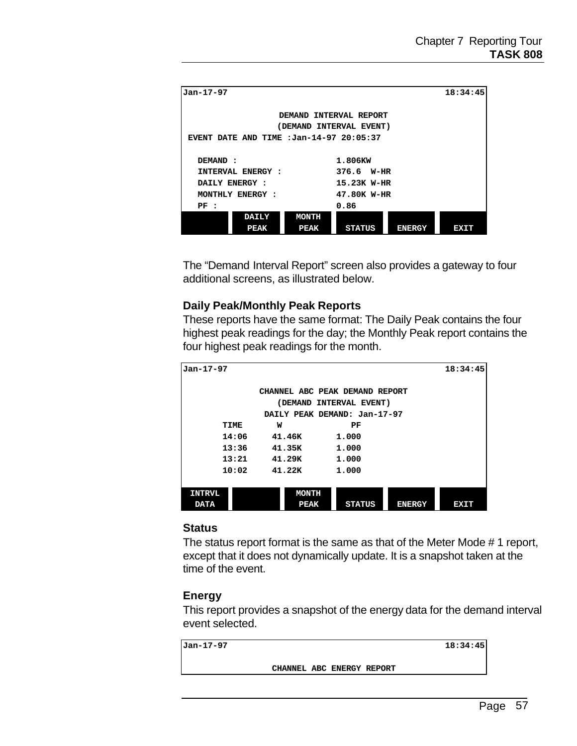| Jan-17-97 |                                            |              |                         |               | 18:34:45 |
|-----------|--------------------------------------------|--------------|-------------------------|---------------|----------|
|           | DEMAND INTERVAL REPORT                     |              |                         |               |          |
|           |                                            |              | (DEMAND INTERVAL EVENT) |               |          |
|           | EVENT DATE AND TIME : $Jan-14-97$ 20:05:37 |              |                         |               |          |
|           |                                            |              |                         |               |          |
| DEMAND :  |                                            |              | 1.806KW                 |               |          |
|           | INTERVAL ENERGY :                          |              | 376.6 W-HR              |               |          |
|           | DAILY ENERGY :                             |              | 15.23K W-HR             |               |          |
|           | MONTHLY ENERGY:                            | 47.80K W-HR  |                         |               |          |
| PF:       |                                            |              | 0.86                    |               |          |
|           | <b>DAILY</b>                               | <b>MONTH</b> |                         |               |          |
|           | <b>PEAK</b>                                | PEAK         | <b>STATUS</b>           | <b>ENERGY</b> | EXIT     |

The "Demand Interval Report" screen also provides a gateway to four additional screens, as illustrated below.

#### **Daily Peak/Monthly Peak Reports**

These reports have the same format: The Daily Peak contains the four highest peak readings for the day; the Monthly Peak report contains the four highest peak readings for the month.

| Jan-17-97     |       |              |                                |               | 18:34:45 |
|---------------|-------|--------------|--------------------------------|---------------|----------|
|               |       |              | CHANNEL ABC PEAK DEMAND REPORT |               |          |
|               |       |              | (DEMAND INTERVAL EVENT)        |               |          |
|               |       |              | DAILY PEAK DEMAND: Jan-17-97   |               |          |
|               | TIME  | W            | PF                             |               |          |
|               | 14:06 | 41.46K       | 1,000                          |               |          |
|               | 13:36 | 41.35K       | 1.000                          |               |          |
|               | 13:21 | 41.29K       | 1,000                          |               |          |
|               | 10:02 | 41.22K       | 1.000                          |               |          |
|               |       |              |                                |               |          |
| <b>INTRVL</b> |       | <b>MONTH</b> |                                |               |          |
| <b>DATA</b>   |       | <b>PEAK</b>  | <b>STATUS</b>                  | <b>ENERGY</b> | EXIT     |

#### **Status**

The status report format is the same as that of the Meter Mode # 1 report, except that it does not dynamically update. It is a snapshot taken at the time of the event.

#### **Energy**

This report provides a snapshot of the energy data for the demand interval event selected.

| Jan-17-97 |                           |  |  | 18:34:45 |
|-----------|---------------------------|--|--|----------|
|           | CHANNEL ABC ENERGY REPORT |  |  |          |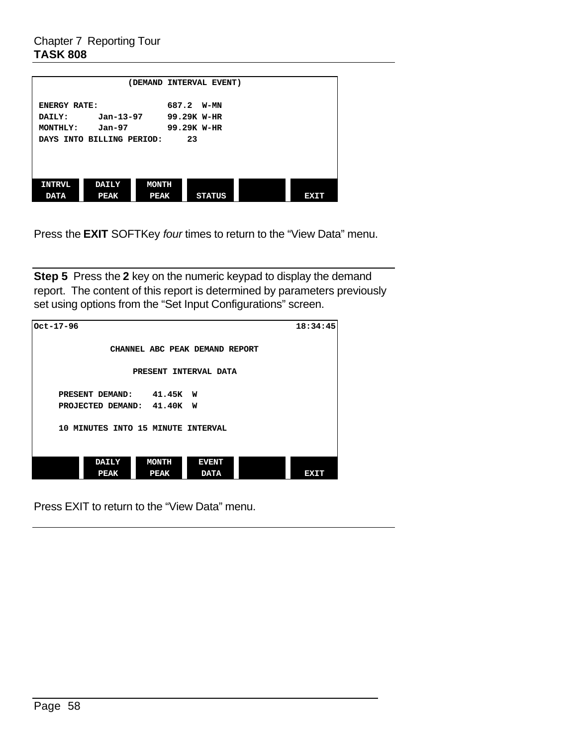|                                                             | (DEMAND INTERVAL EVENT)                              |
|-------------------------------------------------------------|------------------------------------------------------|
| <b>ENERGY RATE:</b>                                         | 687.2 W-MN                                           |
| Jan-13-97<br><b>DAILY:</b>                                  | 99.29K W-HR                                          |
| <b>MONTHLY:</b><br>Jan-97                                   | 99.29K W-HR                                          |
| DAYS INTO BILLING PERIOD:                                   | 23                                                   |
| <b>INTRVL</b><br><b>DAILY</b><br><b>DATA</b><br><b>PEAK</b> | <b>MONTH</b><br><b>PEAK</b><br><b>STATUS</b><br>EXIT |

Press the **EXIT** SOFTKey *four* times to return to the "View Data" menu.

**Step 5** Press the **2** key on the numeric keypad to display the demand report. The content of this report is determined by parameters previously set using options from the "Set Input Configurations" screen.

| Oct-17-96                                    | 18:34:45 |  |  |  |  |
|----------------------------------------------|----------|--|--|--|--|
| CHANNEL ABC PEAK DEMAND REPORT               |          |  |  |  |  |
| PRESENT INTERVAL DATA                        |          |  |  |  |  |
| PRESENT DEMAND: 41.45K<br>w                  |          |  |  |  |  |
| PROJECTED DEMAND: 41.40K W                   |          |  |  |  |  |
| 10 MINUTES INTO 15 MINUTE INTERVAL           |          |  |  |  |  |
|                                              |          |  |  |  |  |
| <b>DAILY</b><br><b>MONTH</b><br><b>EVENT</b> |          |  |  |  |  |
| PEAK<br>PEAK<br><b>DATA</b>                  | EXTT     |  |  |  |  |

Press EXIT to return to the "View Data" menu.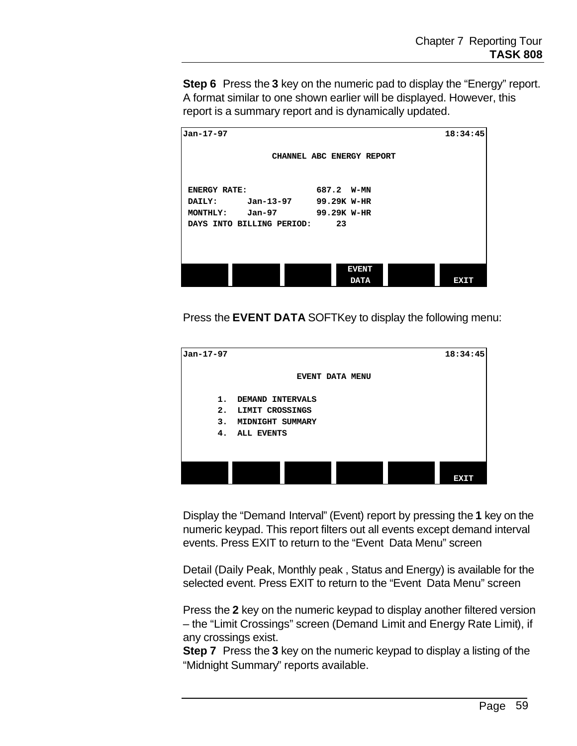**Step 6** Press the **3** key on the numeric pad to display the "Energy" report. A format similar to one shown earlier will be displayed. However, this report is a summary report and is dynamically updated.

| Jan-17-97                  |                           | 18:34:45    |
|----------------------------|---------------------------|-------------|
|                            | CHANNEL ABC ENERGY REPORT |             |
| <b>ENERGY RATE:</b>        | 687.2 W-MN                |             |
| Jan-13-97<br><b>DAILY:</b> | 99.29K W-HR               |             |
| MONTHLY: Jan-97            | 99.29K W-HR               |             |
| DAYS INTO BILLING PERIOD:  | 23                        |             |
|                            |                           |             |
|                            |                           |             |
|                            |                           |             |
|                            | <b>EVENT</b>              |             |
|                            | <b>DATA</b>               | <b>EXIT</b> |

Press the **EVENT DATA** SOFTKey to display the following menu:

| Jan-17-97      |                  | 18:34:45    |
|----------------|------------------|-------------|
|                | EVENT DATA MENU  |             |
| 1.             | DEMAND INTERVALS |             |
| $\mathbf{2}$ . | LIMIT CROSSINGS  |             |
| з.             | MIDNIGHT SUMMARY |             |
| 4.             | ALL EVENTS       |             |
|                |                  |             |
|                |                  |             |
|                |                  |             |
|                |                  | <b>EXIT</b> |

Display the "Demand Interval" (Event) report by pressing the **1** key on the numeric keypad. This report filters out all events except demand interval events. Press EXIT to return to the "Event Data Menu" screen

Detail (Daily Peak, Monthly peak , Status and Energy) is available for the selected event. Press EXIT to return to the "Event Data Menu" screen

Press the **2** key on the numeric keypad to display another filtered version – the "Limit Crossings" screen (Demand Limit and Energy Rate Limit), if any crossings exist.

**Step 7** Press the **3** key on the numeric keypad to display a listing of the "Midnight Summary" reports available.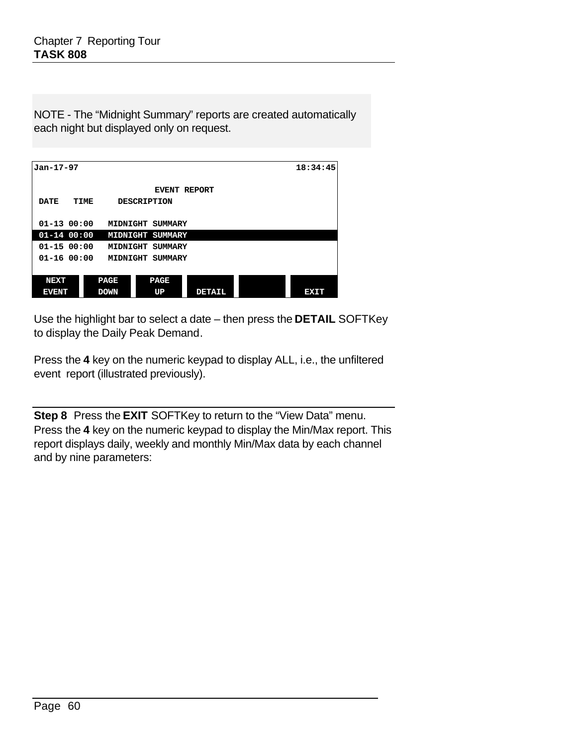NOTE - The "Midnight Summary" reports are created automatically each night but displayed only on request.

| Jan-17-97      |                 |                    |               | 18:34:45 |
|----------------|-----------------|--------------------|---------------|----------|
|                |                 | <b>EVENT</b>       | <b>REPORT</b> |          |
| <b>DATE</b>    | TIME            | <b>DESCRIPTION</b> |               |          |
| $01 - 1300:00$ | <b>MIDNIGHT</b> | <b>SUMMARY</b>     |               |          |
| $01 - 1400:00$ |                 | MIDNIGHT SUMMARY   |               |          |
| $01 - 1500:00$ | <b>MIDNIGHT</b> | <b>SUMMARY</b>     |               |          |
| $01 - 1600:00$ |                 | MIDNIGHT SUMMARY   |               |          |
|                |                 |                    |               |          |
| <b>NEXT</b>    | <b>PAGE</b>     | <b>PAGE</b>        |               |          |
| <b>EVENT</b>   | <b>DOWN</b>     | UP                 | <b>DETAIL</b> | EXIT     |

Use the highlight bar to select a date – then press the **DETAIL** SOFTKey to display the Daily Peak Demand.

Press the **4** key on the numeric keypad to display ALL, i.e., the unfiltered event report (illustrated previously).

**Step 8** Press the **EXIT** SOFTKey to return to the "View Data" menu. Press the **4** key on the numeric keypad to display the Min/Max report. This report displays daily, weekly and monthly Min/Max data by each channel and by nine parameters: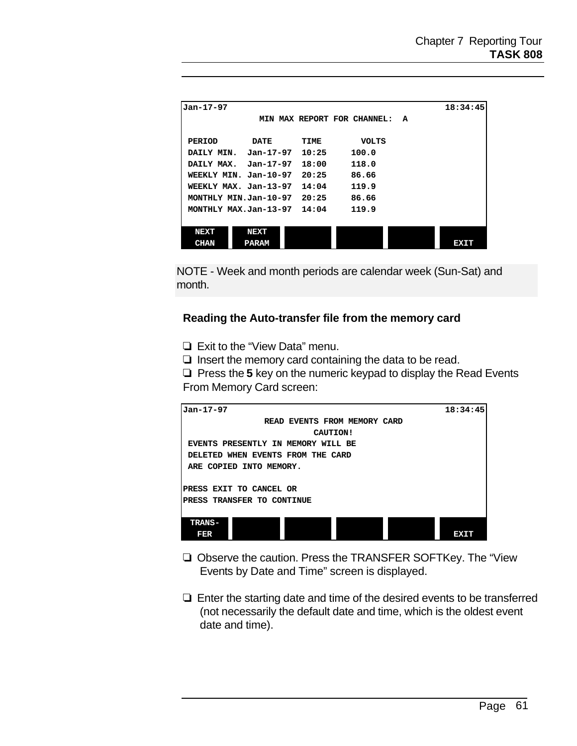| Jan-17-97   |                       |       |                             |   | 18:34:45 |
|-------------|-----------------------|-------|-----------------------------|---|----------|
|             |                       |       | MIN MAX REPORT FOR CHANNEL: | A |          |
|             |                       |       |                             |   |          |
| PERIOD      | <b>DATE</b>           | TIME  | <b>VOLTS</b>                |   |          |
| DAILY MIN.  | Jan-17-97             | 10:25 | 100.0                       |   |          |
| DAILY MAX.  | Jan-17-97             | 18:00 | 118.0                       |   |          |
|             | WEEKLY MIN. Jan-10-97 | 20:25 | 86.66                       |   |          |
|             | WEEKLY MAX. Jan-13-97 | 14:04 | 119.9                       |   |          |
|             | MONTHLY MIN.Jan-10-97 | 20:25 | 86.66                       |   |          |
|             | MONTHLY MAX.Jan-13-97 | 14:04 | 119.9                       |   |          |
|             |                       |       |                             |   |          |
| <b>NEXT</b> | <b>NEXT</b>           |       |                             |   |          |
| <b>CHAN</b> | <b>PARAM</b>          |       |                             |   | EXIT     |

NOTE - Week and month periods are calendar week (Sun-Sat) and month.

#### **Reading the Auto-transfer file from the memory card**

- $\Box$  Exit to the "View Data" menu.
- $\Box$  Insert the memory card containing the data to be read.

 $\Box$  Press the 5 key on the numeric keypad to display the Read Events From Memory Card screen:

| Jan-17-97                          | 18:34:45 |
|------------------------------------|----------|
| READ EVENTS FROM MEMORY CARD       |          |
| CAUTION!                           |          |
| EVENTS PRESENTLY IN MEMORY WILL BE |          |
| DELETED WHEN EVENTS FROM THE CARD  |          |
| ARE COPIED INTO MEMORY.            |          |
|                                    |          |
| PRESS EXIT TO CANCEL OR            |          |
| PRESS TRANSFER TO CONTINUE         |          |
|                                    |          |
| <b>TRANS-</b>                      |          |
| FER                                | EXIT     |

- $\Box$  Observe the caution. Press the TRANSFER SOFTKey. The "View Events by Date and Time" screen is displayed.
- $\Box$  Enter the starting date and time of the desired events to be transferred (not necessarily the default date and time, which is the oldest event date and time).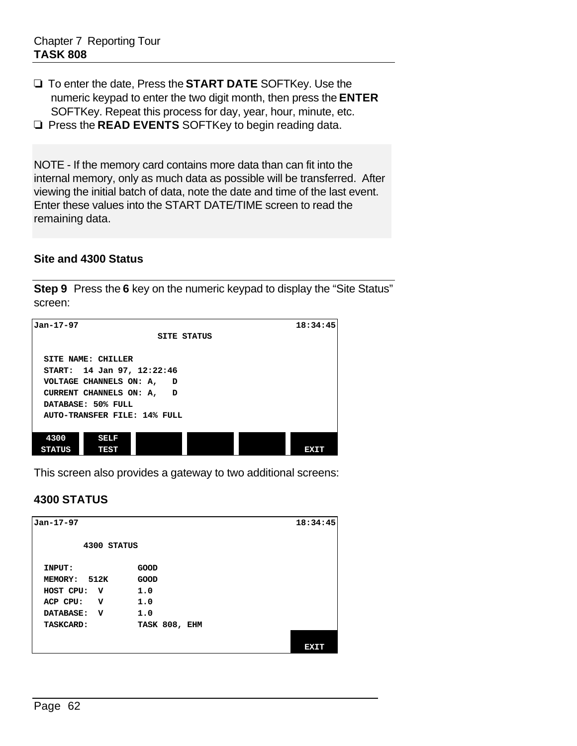- □ To enter the date, Press the **START DATE** SOFTKey. Use the numeric keypad to enter the two digit month, then press the **ENTER** SOFTKey. Repeat this process for day, year, hour, minute, etc.
- □ Press the **READ EVENTS** SOFTKey to begin reading data.

NOTE - If the memory card contains more data than can fit into the internal memory, only as much data as possible will be transferred. After viewing the initial batch of data, note the date and time of the last event. Enter these values into the START DATE/TIME screen to read the remaining data.

#### **Site and 4300 Status**

**Step 9** Press the **6** key on the numeric keypad to display the "Site Status" screen:



This screen also provides a gateway to two additional screens:

#### **4300 STATUS**

| Jan-17-97              |               | 18:34:45    |
|------------------------|---------------|-------------|
| 4300 STATUS            |               |             |
| INPUT:                 | GOOD          |             |
| 512K<br><b>MEMORY:</b> | GOOD          |             |
| HOST CPU:<br>v         | 1.0           |             |
| v<br>ACP CPU:          | 1.0           |             |
| v<br>DATABASE:         | 1.0           |             |
| <b>TASKCARD:</b>       | TASK 808, EHM |             |
|                        |               |             |
|                        |               | <b>EXIT</b> |
|                        |               |             |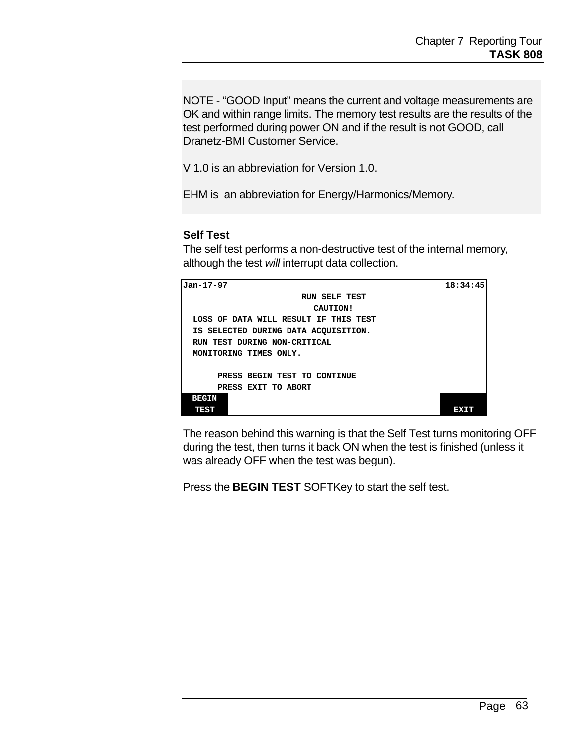NOTE - "GOOD Input" means the current and voltage measurements are OK and within range limits. The memory test results are the results of the test performed during power ON and if the result is not GOOD, call Dranetz-BMI Customer Service.

V 1.0 is an abbreviation for Version 1.0.

EHM is an abbreviation for Energy/Harmonics/Memory.

#### **Self Test**

The self test performs a non-destructive test of the internal memory, although the test *will* interrupt data collection.

| Jan-17-97                             | 18:34:45 |
|---------------------------------------|----------|
| RUN SELF TEST                         |          |
| CAUTION!                              |          |
| LOSS OF DATA WILL RESULT IF THIS TEST |          |
| IS SELECTED DURING DATA ACQUISITION.  |          |
| RUN TEST DURING NON-CRITICAL          |          |
| MONITORING TIMES ONLY.                |          |
|                                       |          |
| PRESS BEGIN TEST TO CONTINUE          |          |
| PRESS EXIT TO ABORT                   |          |
| <b>BEGIN</b>                          |          |
| TEST                                  | пхты     |

The reason behind this warning is that the Self Test turns monitoring OFF during the test, then turns it back ON when the test is finished (unless it was already OFF when the test was begun).

Press the **BEGIN TEST** SOFTKey to start the self test.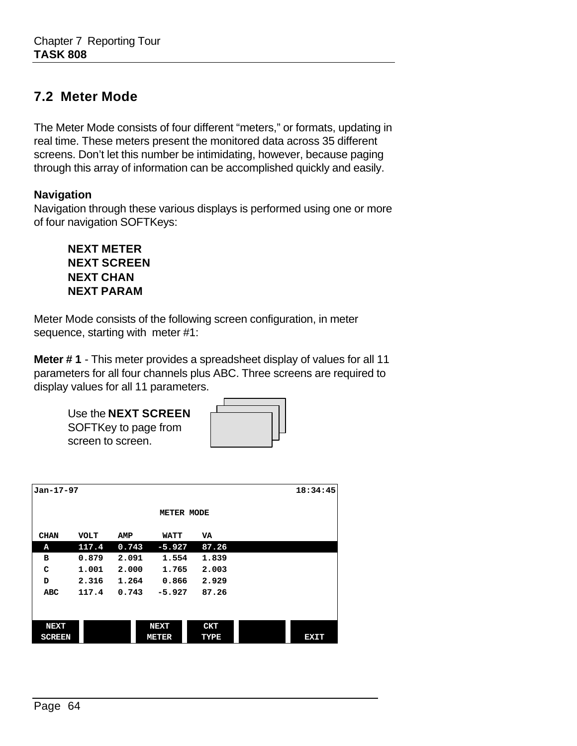### **7.2 Meter Mode**

The Meter Mode consists of four different "meters," or formats, updating in real time. These meters present the monitored data across 35 different screens. Don't let this number be intimidating, however, because paging through this array of information can be accomplished quickly and easily.

#### **Navigation**

Navigation through these various displays is performed using one or more of four navigation SOFTKeys:

**NEXT METER NEXT SCREEN NEXT CHAN NEXT PARAM**

Meter Mode consists of the following screen configuration, in meter sequence, starting with meter #1:

**Meter # 1** - This meter provides a spreadsheet display of values for all 11 parameters for all four channels plus ABC. Three screens are required to display values for all 11 parameters.

| Use the <b>NEXT SCREEN</b> |  |
|----------------------------|--|
| SOFTKey to page from       |  |
| screen to screen.          |  |

| Jan-17-97     |       |       |                   |       | 18:34:45 |
|---------------|-------|-------|-------------------|-------|----------|
|               |       |       | <b>METER MODE</b> |       |          |
| <b>CHAN</b>   | VOLT  | AMP   | <b>WATT</b>       | VA    |          |
| A             | 117.4 | 0.743 | $-5.927$          | 87.26 |          |
| в             | 0.879 | 2.091 | 1.554             | 1.839 |          |
| C             | 1.001 | 2.000 | 1.765             | 2.003 |          |
| D             | 2.316 | 1.264 | 0.866             | 2.929 |          |
| ABC           | 117.4 | 0.743 | $-5.927$          | 87.26 |          |
|               |       |       |                   |       |          |
|               |       |       |                   |       |          |
| <b>NEXT</b>   |       |       | <b>NEXT</b>       | CKT   |          |
| <b>SCREEN</b> |       |       | <b>METER</b>      | TYPE  | EXIT     |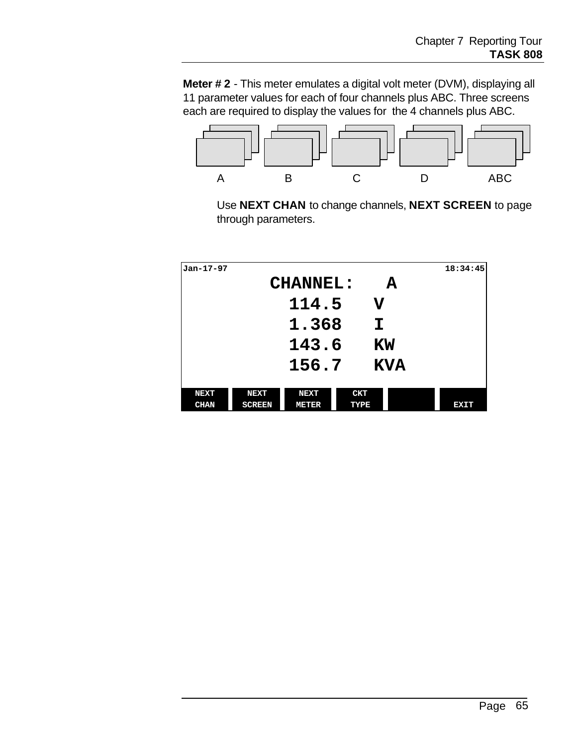**Meter # 2** - This meter emulates a digital volt meter (DVM), displaying all 11 parameter values for each of four channels plus ABC. Three screens each are required to display the values for the 4 channels plus ABC.



Use **NEXT CHAN** to change channels, **NEXT SCREEN** to page through parameters.

| $Jan-17-97$ |               |                 |             |            | 18:34:45 |
|-------------|---------------|-----------------|-------------|------------|----------|
|             |               | <b>CHANNEL:</b> |             | A          |          |
|             |               | 114.5           | V           |            |          |
|             |               | 1.368           | I           |            |          |
|             |               | 143.6           |             | KW         |          |
|             |               | 156.7           |             | <b>KVA</b> |          |
|             |               |                 |             |            |          |
| <b>NEXT</b> | <b>NEXT</b>   | <b>NEXT</b>     | CKT         |            |          |
| CHAN        | <b>SCREEN</b> | <b>METER</b>    | <b>TYPE</b> |            | EX LE    |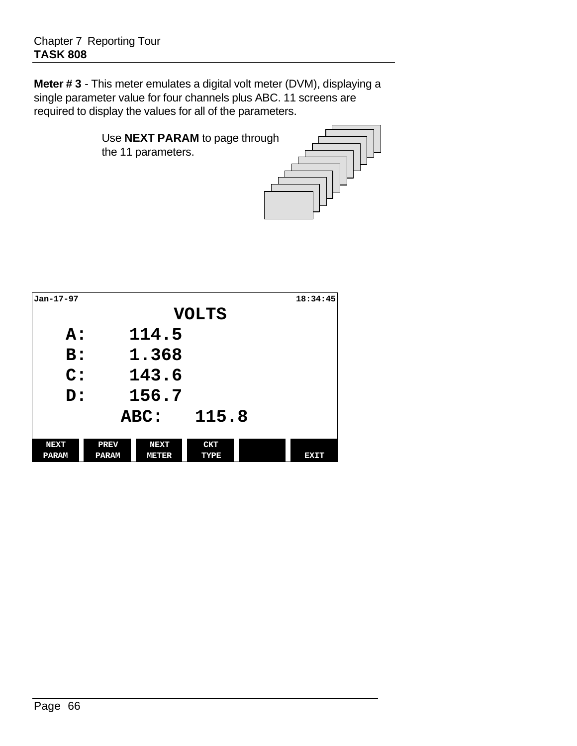**Meter # 3** - This meter emulates a digital volt meter (DVM), displaying a single parameter value for four channels plus ABC. 11 screens are required to display the values for all of the parameters.



| Jan-17-97      |              |              |              | 18:34:45 |
|----------------|--------------|--------------|--------------|----------|
|                |              |              | <b>VOLTS</b> |          |
| A:             |              | 114.5        |              |          |
| B:             |              | 1.368        |              |          |
| $\mathbf{C}$ : |              | 143.6        |              |          |
| D:             |              | 156.7        |              |          |
|                |              | ABC:         | 115.8        |          |
| <b>NEXT</b>    | <b>PREV</b>  | <b>NEXT</b>  | CKT          |          |
| <b>PARAM</b>   | <b>PARAM</b> | <b>METER</b> | TYPE         | ЕХІТ     |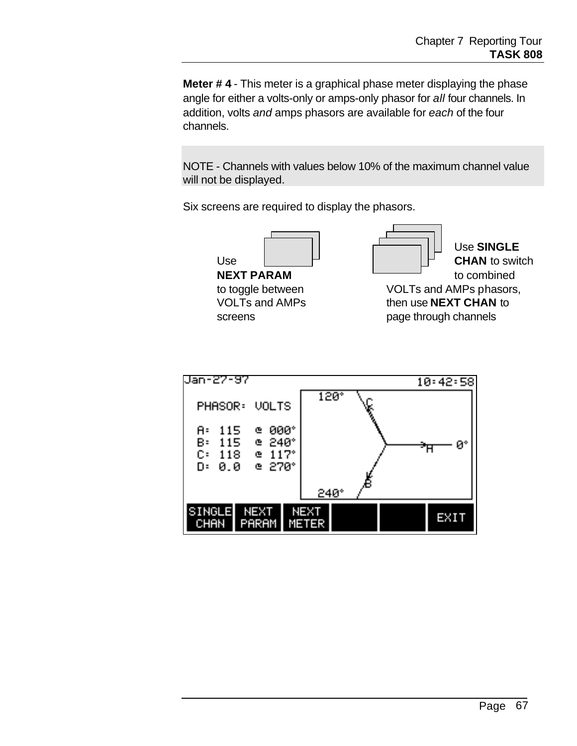**Meter # 4** - This meter is a graphical phase meter displaying the phase angle for either a volts-only or amps-only phasor for *all* four channels. In addition, volts *and* amps phasors are available for *each* of the four channels.

NOTE - Channels with values below 10% of the maximum channel value will not be displayed.

Six screens are required to display the phasors.





Use **SINGLE**

to toggle between VOLTs and AMPs phasors, VOLTs and AMPs then use **NEXT CHAN** to screens **page through channels** 

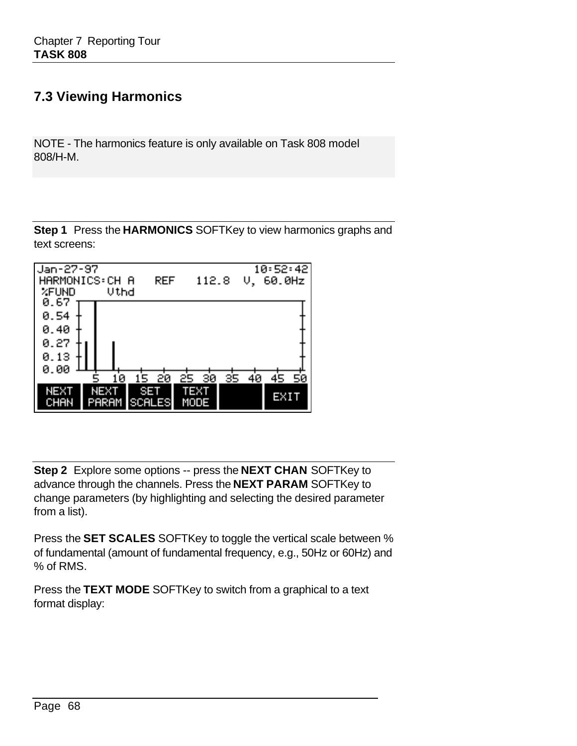## **7.3 Viewing Harmonics**

NOTE - The harmonics feature is only available on Task 808 model 808/H-M.

**Step 1** Press the **HARMONICS** SOFTKey to view harmonics graphs and text screens:



**Step 2** Explore some options -- press the **NEXT CHAN** SOFTKey to advance through the channels. Press the **NEXT PARAM** SOFTKey to change parameters (by highlighting and selecting the desired parameter from a list).

Press the **SET SCALES** SOFTKey to toggle the vertical scale between % of fundamental (amount of fundamental frequency, e.g., 50Hz or 60Hz) and % of RMS.

Press the **TEXT MODE** SOFTKey to switch from a graphical to a text format display: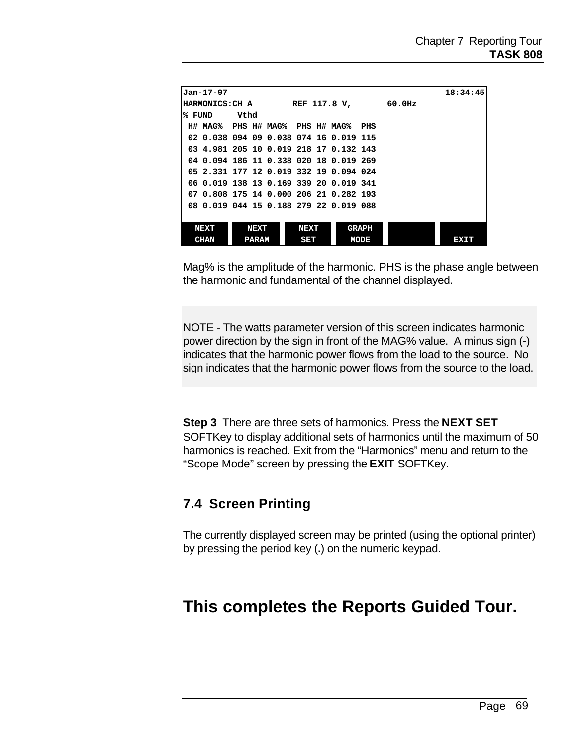| Jan-17-97   |             |             |                                        | 18:34:45 |
|-------------|-------------|-------------|----------------------------------------|----------|
|             |             |             | $HARMONICS:CH A$ REF 117.8 V, 60.0Hz   |          |
| % FUND      | Vthd        |             |                                        |          |
|             |             |             | H# MAG% PHS H# MAG% PHS H# MAG% PHS    |          |
|             |             |             | 02 0.038 094 09 0.038 074 16 0.019 115 |          |
|             |             |             | 03 4.981 205 10 0.019 218 17 0.132 143 |          |
|             |             |             | 04 0.094 186 11 0.338 020 18 0.019 269 |          |
|             |             |             | 05 2.331 177 12 0.019 332 19 0.094 024 |          |
|             |             |             | 06 0.019 138 13 0.169 339 20 0.019 341 |          |
|             |             |             | 07 0.808 175 14 0.000 206 21 0.282 193 |          |
|             |             |             | 08 0.019 044 15 0.188 279 22 0.019 088 |          |
|             |             |             |                                        |          |
| <b>NEXT</b> | <b>NEXT</b> | <b>NEXT</b> | <b>GRAPH</b>                           |          |
| <b>CHAN</b> | PARAM       | SET         | MODE                                   | EXIT     |

Mag% is the amplitude of the harmonic. PHS is the phase angle between the harmonic and fundamental of the channel displayed.

NOTE - The watts parameter version of this screen indicates harmonic power direction by the sign in front of the MAG% value. A minus sign (-) indicates that the harmonic power flows from the load to the source. No sign indicates that the harmonic power flows from the source to the load.

**Step 3** There are three sets of harmonics. Press the **NEXT SET** SOFTKey to display additional sets of harmonics until the maximum of 50 harmonics is reached. Exit from the "Harmonics" menu and return to the "Scope Mode" screen by pressing the **EXIT** SOFTKey.

# **7.4 Screen Printing**

The currently displayed screen may be printed (using the optional printer) by pressing the period key (**.**) on the numeric keypad.

# **This completes the Reports Guided Tour.**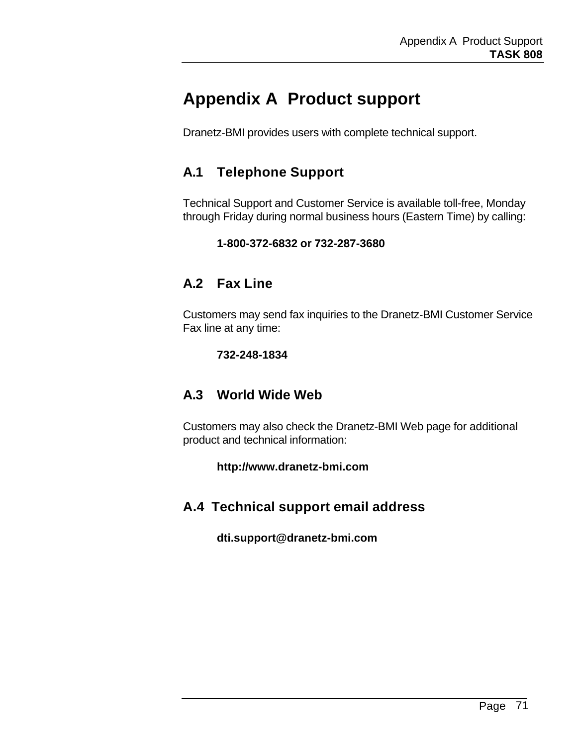# **Appendix A Product support**

Dranetz-BMI provides users with complete technical support.

# **A.1 Telephone Support**

Technical Support and Customer Service is available toll-free, Monday through Friday during normal business hours (Eastern Time) by calling:

#### **1-800-372-6832 or 732-287-3680**

## **A.2 Fax Line**

Customers may send fax inquiries to the Dranetz-BMI Customer Service Fax line at any time:

**732-248-1834**

## **A.3 World Wide Web**

Customers may also check the Dranetz-BMI Web page for additional product and technical information:

**http://www.dranetz-bmi.com**

## **A.4 Technical support email address**

**dti.support@dranetz-bmi.com**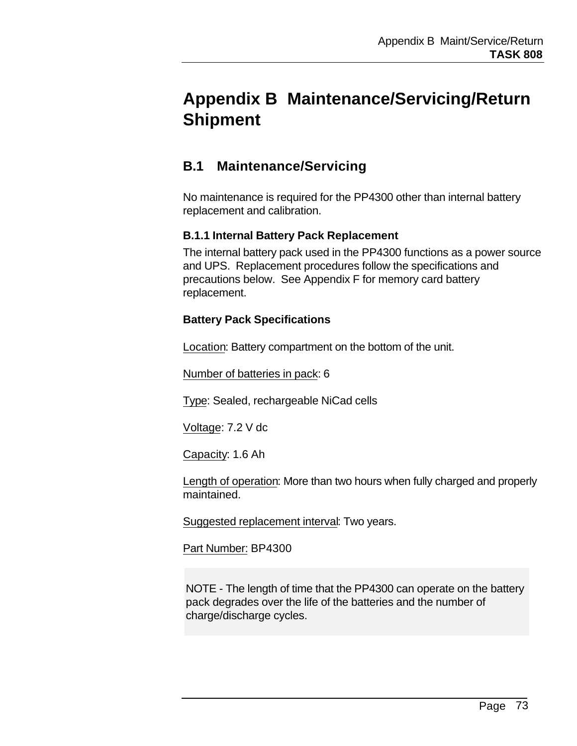# **Appendix B Maintenance/Servicing/Return Shipment**

# **B.1 Maintenance/Servicing**

No maintenance is required for the PP4300 other than internal battery replacement and calibration.

#### **B.1.1 Internal Battery Pack Replacement**

The internal battery pack used in the PP4300 functions as a power source and UPS. Replacement procedures follow the specifications and precautions below. See Appendix F for memory card battery replacement.

#### **Battery Pack Specifications**

Location: Battery compartment on the bottom of the unit.

Number of batteries in pack: 6

Type: Sealed, rechargeable NiCad cells

Voltage: 7.2 V dc

Capacity: 1.6 Ah

Length of operation: More than two hours when fully charged and properly maintained.

Suggested replacement interval: Two years.

Part Number: BP4300

NOTE - The length of time that the PP4300 can operate on the battery pack degrades over the life of the batteries and the number of charge/discharge cycles.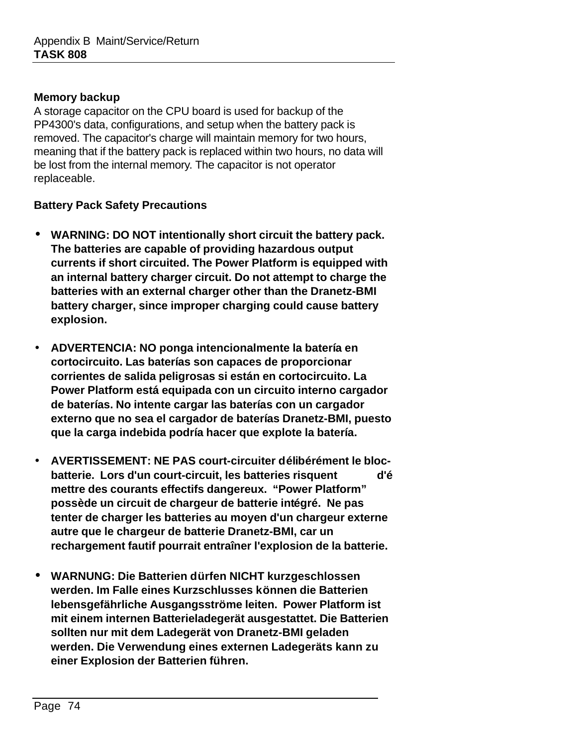#### **Memory backup**

A storage capacitor on the CPU board is used for backup of the PP4300's data, configurations, and setup when the battery pack is removed. The capacitor's charge will maintain memory for two hours, meaning that if the battery pack is replaced within two hours, no data will be lost from the internal memory. The capacitor is not operator replaceable.

#### **Battery Pack Safety Precautions**

- **WARNING: DO NOT intentionally short circuit the battery pack. The batteries are capable of providing hazardous output currents if short circuited. The Power Platform is equipped with an internal battery charger circuit. Do not attempt to charge the batteries with an external charger other than the Dranetz-BMI battery charger, since improper charging could cause battery explosion.**
- **ADVERTENCIA: NO ponga intencionalmente la batería en cortocircuito. Las baterías son capaces de proporcionar corrientes de salida peligrosas si están en cortocircuito. La Power Platform está equipada con un circuito interno cargador de baterías. No intente cargar las baterías con un cargador externo que no sea el cargador de baterías Dranetz-BMI, puesto que la carga indebida podría hacer que explote la batería.**
- **AVERTISSEMENT: NE PAS court-circuiter délibérément le blocbatterie. Lors d'un court-circuit, les batteries risquent d'é mettre des courants effectifs dangereux. "Power Platform" possède un circuit de chargeur de batterie intégré. Ne pas tenter de charger les batteries au moyen d'un chargeur externe autre que le chargeur de batterie Dranetz-BMI, car un rechargement fautif pourrait entraîner l'explosion de la batterie.**
- **WARNUNG: Die Batterien dürfen NICHT kurzgeschlossen werden. Im Falle eines Kurzschlusses können die Batterien lebensgefährliche Ausgangsströme leiten. Power Platform ist mit einem internen Batterieladegerät ausgestattet. Die Batterien sollten nur mit dem Ladegerät von Dranetz-BMI geladen werden. Die Verwendung eines externen Ladegeräts kann zu einer Explosion der Batterien führen.**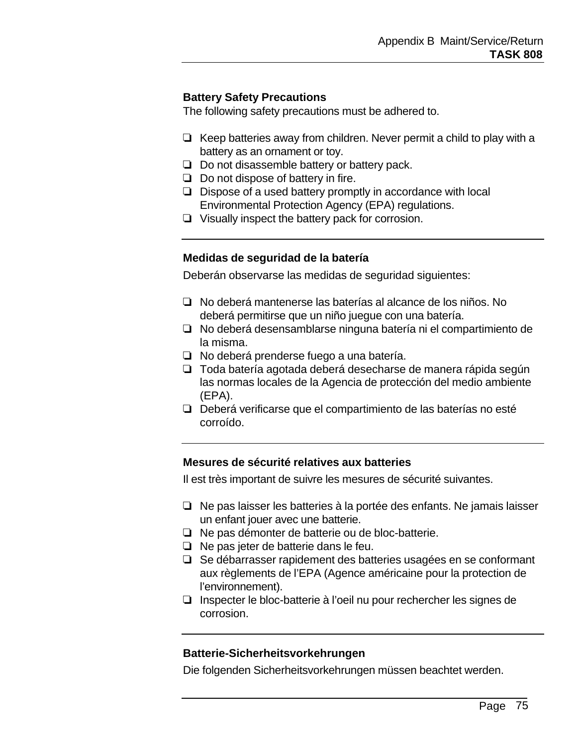#### **Battery Safety Precautions**

The following safety precautions must be adhered to.

- $\Box$  Keep batteries away from children. Never permit a child to play with a battery as an ornament or toy.
- $\Box$  Do not disassemble battery or battery pack.
- $\Box$  Do not dispose of battery in fire.
- $\Box$  Dispose of a used battery promptly in accordance with local Environmental Protection Agency (EPA) regulations.
- $\Box$  Visually inspect the battery pack for corrosion.

#### **Medidas de seguridad de la batería**

Deberán observarse las medidas de seguridad siguientes:

- $\Box$  No deberá mantenerse las baterías al alcance de los niños. No deberá permitirse que un niño juegue con una batería.
- $\Box$  No deberá desensamblarse ninguna batería ni el compartimiento de la misma.
- $\Box$  No deberá prenderse fuego a una batería.
- $\Box$  Toda batería agotada deberá desecharse de manera rápida según las normas locales de la Agencia de protección del medio ambiente (EPA).
- $\Box$  Deberá verificarse que el compartimiento de las baterías no esté corroído.

#### **Mesures de sécurité relatives aux batteries**

Il est très important de suivre les mesures de sécurité suivantes.

- $\Box$  Ne pas laisser les batteries à la portée des enfants. Ne jamais laisser un enfant jouer avec une batterie.
- $\Box$  Ne pas démonter de batterie ou de bloc-batterie.
- $\Box$  Ne pas jeter de batterie dans le feu.
- $\Box$  Se débarrasser rapidement des batteries usagées en se conformant aux règlements de l'EPA (Agence américaine pour la protection de l'environnement).
- $\Box$  Inspecter le bloc-batterie à l'oeil nu pour rechercher les signes de corrosion.

#### **Batterie-Sicherheitsvorkehrungen**

Die folgenden Sicherheitsvorkehrungen müssen beachtet werden.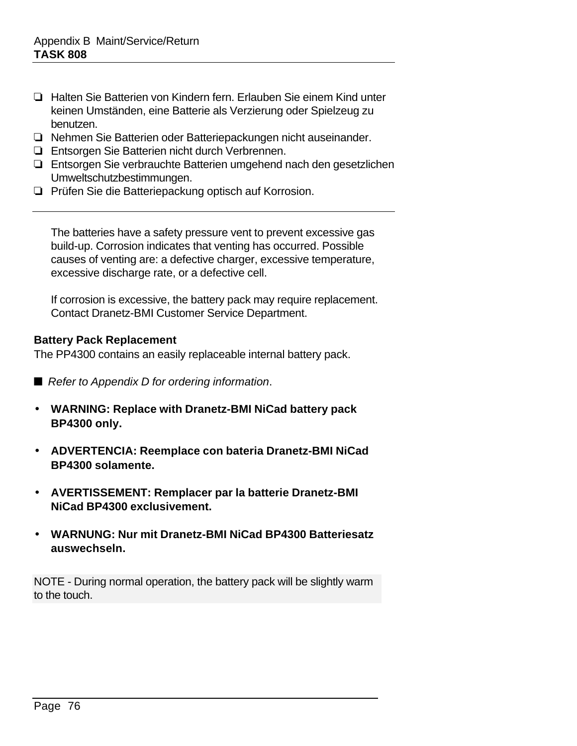- $\Box$  Halten Sie Batterien von Kindern fern. Erlauben Sie einem Kind unter keinen Umständen, eine Batterie als Verzierung oder Spielzeug zu benutzen.
- $\Box$  Nehmen Sie Batterien oder Batteriepackungen nicht auseinander.
- □ Entsorgen Sie Batterien nicht durch Verbrennen.
- □ Entsorgen Sie verbrauchte Batterien umgehend nach den gesetzlichen Umweltschutzbestimmungen.
- $\Box$  Prüfen Sie die Batteriepackung optisch auf Korrosion.

The batteries have a safety pressure vent to prevent excessive gas build-up. Corrosion indicates that venting has occurred. Possible causes of venting are: a defective charger, excessive temperature, excessive discharge rate, or a defective cell.

If corrosion is excessive, the battery pack may require replacement. Contact Dranetz-BMI Customer Service Department.

#### **Battery Pack Replacement**

The PP4300 contains an easily replaceable internal battery pack.

- Refer to Appendix D for ordering information.
- **WARNING: Replace with Dranetz-BMI NiCad battery pack BP4300 only.**
- **ADVERTENCIA: Reemplace con bateria Dranetz-BMI NiCad BP4300 solamente.**
- **AVERTISSEMENT: Remplacer par la batterie Dranetz-BMI NiCad BP4300 exclusivement.**
- **WARNUNG: Nur mit Dranetz-BMI NiCad BP4300 Batteriesatz auswechseln.**

NOTE - During normal operation, the battery pack will be slightly warm to the touch.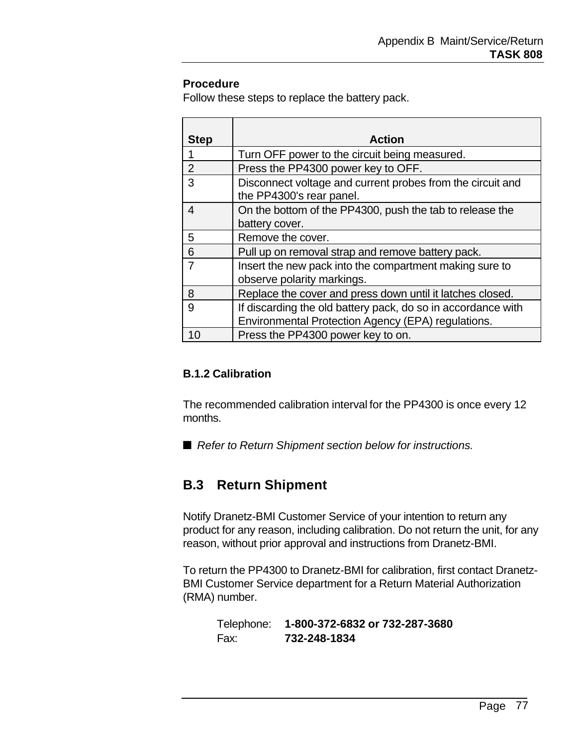#### **Procedure**

Follow these steps to replace the battery pack.

| <b>Step</b>    | <b>Action</b>                                                                                                      |
|----------------|--------------------------------------------------------------------------------------------------------------------|
|                | Turn OFF power to the circuit being measured.                                                                      |
| $\overline{2}$ | Press the PP4300 power key to OFF.                                                                                 |
| 3              | Disconnect voltage and current probes from the circuit and<br>the PP4300's rear panel.                             |
| 4              | On the bottom of the PP4300, push the tab to release the<br>battery cover.                                         |
| 5              | Remove the cover.                                                                                                  |
| 6              | Pull up on removal strap and remove battery pack.                                                                  |
| 7              | Insert the new pack into the compartment making sure to<br>observe polarity markings.                              |
| 8              | Replace the cover and press down until it latches closed.                                                          |
| 9              | If discarding the old battery pack, do so in accordance with<br>Environmental Protection Agency (EPA) regulations. |
| 10             | Press the PP4300 power key to on.                                                                                  |

#### **B.1.2 Calibration**

The recommended calibration interval for the PP4300 is once every 12 months.

■ Refer to Return Shipment section below for instructions.

# **B.3 Return Shipment**

Notify Dranetz-BMI Customer Service of your intention to return any product for any reason, including calibration. Do not return the unit, for any reason, without prior approval and instructions from Dranetz-BMI.

To return the PP4300 to Dranetz-BMI for calibration, first contact Dranetz-BMI Customer Service department for a Return Material Authorization (RMA) number.

Telephone: **1-800-372-6832 or 732-287-3680** Fax: **732-248-1834**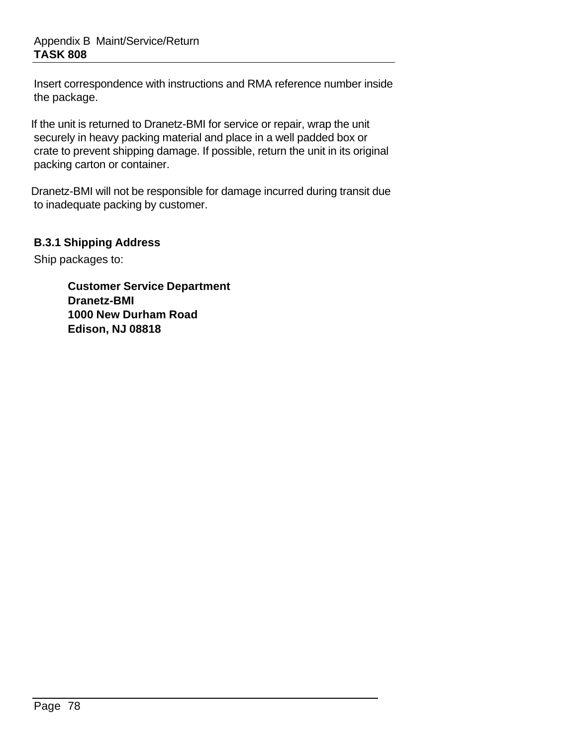Insert correspondence with instructions and RMA reference number inside the package.

 If the unit is returned to Dranetz-BMI for service or repair, wrap the unit securely in heavy packing material and place in a well padded box or crate to prevent shipping damage. If possible, return the unit in its original packing carton or container.

 Dranetz-BMI will not be responsible for damage incurred during transit due to inadequate packing by customer.

#### **B.3.1 Shipping Address**

Ship packages to:

**Customer Service Department Dranetz-BMI 1000 New Durham Road Edison, NJ 08818**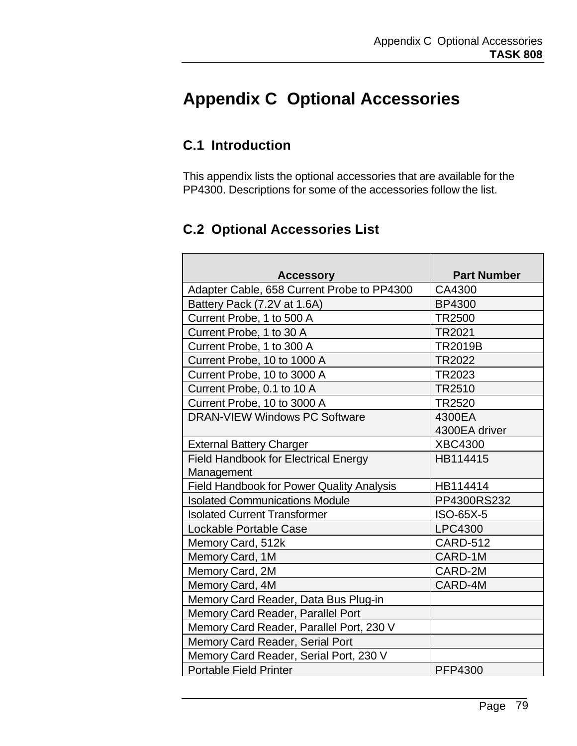# **Appendix C Optional Accessories**

# **C.1 Introduction**

This appendix lists the optional accessories that are available for the PP4300. Descriptions for some of the accessories follow the list.

# **C.2 Optional Accessories List**

| <b>Accessory</b>                                 | <b>Part Number</b> |
|--------------------------------------------------|--------------------|
| Adapter Cable, 658 Current Probe to PP4300       | CA4300             |
| Battery Pack (7.2V at 1.6A)                      | BP4300             |
| Current Probe, 1 to 500 A                        | <b>TR2500</b>      |
| Current Probe, 1 to 30 A                         | <b>TR2021</b>      |
| Current Probe, 1 to 300 A                        | <b>TR2019B</b>     |
| Current Probe, 10 to 1000 A                      | <b>TR2022</b>      |
| Current Probe, 10 to 3000 A                      | TR2023             |
| Current Probe, 0.1 to 10 A                       | TR2510             |
| Current Probe, 10 to 3000 A                      | TR2520             |
| <b>DRAN-VIEW Windows PC Software</b>             | 4300EA             |
|                                                  | 4300EA driver      |
| <b>External Battery Charger</b>                  | <b>XBC4300</b>     |
| <b>Field Handbook for Electrical Energy</b>      | HB114415           |
| Management                                       |                    |
| <b>Field Handbook for Power Quality Analysis</b> | HB114414           |
| <b>Isolated Communications Module</b>            | PP4300RS232        |
| <b>Isolated Current Transformer</b>              | <b>ISO-65X-5</b>   |
| Lockable Portable Case                           | <b>LPC4300</b>     |
| Memory Card, 512k                                | <b>CARD-512</b>    |
| Memory Card, 1M                                  | CARD-1M            |
| Memory Card, 2M                                  | CARD-2M            |
| Memory Card, 4M                                  | CARD-4M            |
| Memory Card Reader, Data Bus Plug-in             |                    |
| Memory Card Reader, Parallel Port                |                    |
| Memory Card Reader, Parallel Port, 230 V         |                    |
| Memory Card Reader, Serial Port                  |                    |
| Memory Card Reader, Serial Port, 230 V           |                    |
| <b>Portable Field Printer</b>                    | <b>PFP4300</b>     |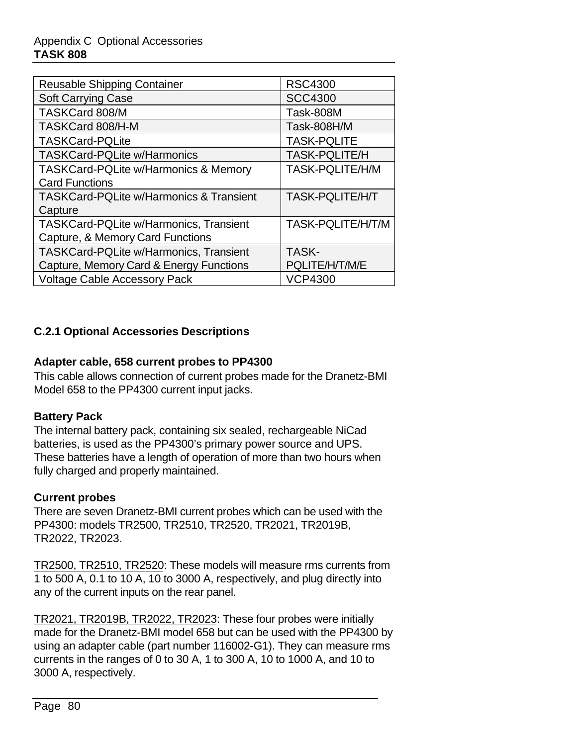| <b>Reusable Shipping Container</b>                 | <b>RSC4300</b>         |
|----------------------------------------------------|------------------------|
| <b>Soft Carrying Case</b>                          | <b>SCC4300</b>         |
| TASKCard 808/M                                     | Task-808M              |
| TASKCard 808/H-M                                   | Task-808H/M            |
| <b>TASKCard-PQLite</b>                             | <b>TASK-PQLITE</b>     |
| <b>TASKCard-PQLite w/Harmonics</b>                 | <b>TASK-PQLITE/H</b>   |
| <b>TASKCard-PQLite w/Harmonics &amp; Memory</b>    | <b>TASK-PQLITE/H/M</b> |
| <b>Card Functions</b>                              |                        |
| <b>TASKCard-PQLite w/Harmonics &amp; Transient</b> | <b>TASK-PQLITE/H/T</b> |
| Capture                                            |                        |
| <b>TASKCard-PQLite w/Harmonics, Transient</b>      | TASK-PQLITE/H/T/M      |
| Capture, & Memory Card Functions                   |                        |
| TASKCard-PQLite w/Harmonics, Transient             | TASK-                  |
| Capture, Memory Card & Energy Functions            | PQLITE/H/T/M/E         |
| <b>Voltage Cable Accessory Pack</b>                | <b>VCP4300</b>         |

#### **C.2.1 Optional Accessories Descriptions**

#### **Adapter cable, 658 current probes to PP4300**

This cable allows connection of current probes made for the Dranetz-BMI Model 658 to the PP4300 current input jacks.

#### **Battery Pack**

The internal battery pack, containing six sealed, rechargeable NiCad batteries, is used as the PP4300's primary power source and UPS. These batteries have a length of operation of more than two hours when fully charged and properly maintained.

#### **Current probes**

There are seven Dranetz-BMI current probes which can be used with the PP4300: models TR2500, TR2510, TR2520, TR2021, TR2019B, TR2022, TR2023.

TR2500, TR2510, TR2520: These models will measure rms currents from 1 to 500 A, 0.1 to 10 A, 10 to 3000 A, respectively, and plug directly into any of the current inputs on the rear panel.

TR2021, TR2019B, TR2022, TR2023: These four probes were initially made for the Dranetz-BMI model 658 but can be used with the PP4300 by using an adapter cable (part number 116002-G1). They can measure rms currents in the ranges of 0 to 30 A, 1 to 300 A, 10 to 1000 A, and 10 to 3000 A, respectively.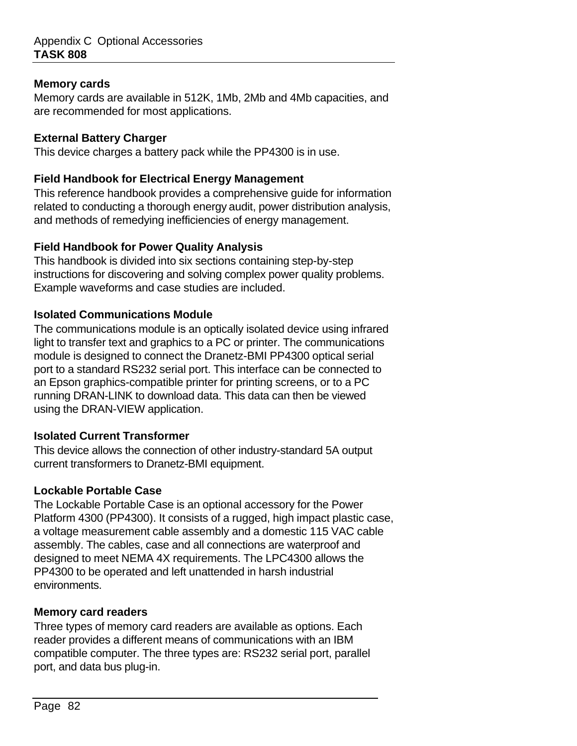#### **Memory cards**

Memory cards are available in 512K, 1Mb, 2Mb and 4Mb capacities, and are recommended for most applications.

#### **External Battery Charger**

This device charges a battery pack while the PP4300 is in use.

#### **Field Handbook for Electrical Energy Management**

This reference handbook provides a comprehensive guide for information related to conducting a thorough energy audit, power distribution analysis, and methods of remedying inefficiencies of energy management.

#### **Field Handbook for Power Quality Analysis**

This handbook is divided into six sections containing step-by-step instructions for discovering and solving complex power quality problems. Example waveforms and case studies are included.

#### **Isolated Communications Module**

The communications module is an optically isolated device using infrared light to transfer text and graphics to a PC or printer. The communications module is designed to connect the Dranetz-BMI PP4300 optical serial port to a standard RS232 serial port. This interface can be connected to an Epson graphics-compatible printer for printing screens, or to a PC running DRAN-LINK to download data. This data can then be viewed using the DRAN-VIEW application.

#### **Isolated Current Transformer**

This device allows the connection of other industry-standard 5A output current transformers to Dranetz-BMI equipment.

#### **Lockable Portable Case**

The Lockable Portable Case is an optional accessory for the Power Platform 4300 (PP4300). It consists of a rugged, high impact plastic case, a voltage measurement cable assembly and a domestic 115 VAC cable assembly. The cables, case and all connections are waterproof and designed to meet NEMA 4X requirements. The LPC4300 allows the PP4300 to be operated and left unattended in harsh industrial environments.

#### **Memory card readers**

Three types of memory card readers are available as options. Each reader provides a different means of communications with an IBM compatible computer. The three types are: RS232 serial port, parallel port, and data bus plug-in.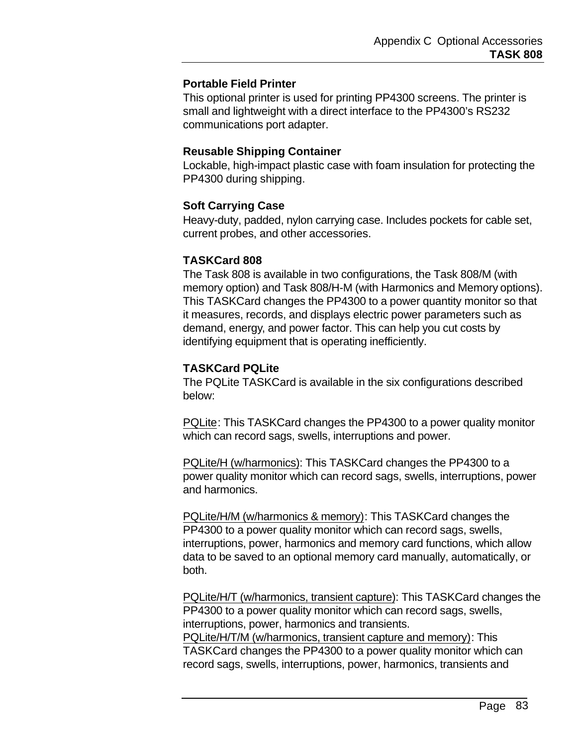#### **Portable Field Printer**

This optional printer is used for printing PP4300 screens. The printer is small and lightweight with a direct interface to the PP4300's RS232 communications port adapter.

#### **Reusable Shipping Container**

Lockable, high-impact plastic case with foam insulation for protecting the PP4300 during shipping.

#### **Soft Carrying Case**

Heavy-duty, padded, nylon carrying case. Includes pockets for cable set, current probes, and other accessories.

#### **TASKCard 808**

The Task 808 is available in two configurations, the Task 808/M (with memory option) and Task 808/H-M (with Harmonics and Memory options). This TASKCard changes the PP4300 to a power quantity monitor so that it measures, records, and displays electric power parameters such as demand, energy, and power factor. This can help you cut costs by identifying equipment that is operating inefficiently.

#### **TASKCard PQLite**

The PQLite TASKCard is available in the six configurations described below:

PQLite: This TASKCard changes the PP4300 to a power quality monitor which can record sags, swells, interruptions and power.

PQLite/H (w/harmonics): This TASKCard changes the PP4300 to a power quality monitor which can record sags, swells, interruptions, power and harmonics.

PQLite/H/M (w/harmonics & memory): This TASKCard changes the PP4300 to a power quality monitor which can record sags, swells, interruptions, power, harmonics and memory card functions, which allow data to be saved to an optional memory card manually, automatically, or both.

PQLite/H/T (w/harmonics, transient capture): This TASKCard changes the PP4300 to a power quality monitor which can record sags, swells, interruptions, power, harmonics and transients.

PQLite/H/T/M (w/harmonics, transient capture and memory): This TASKCard changes the PP4300 to a power quality monitor which can record sags, swells, interruptions, power, harmonics, transients and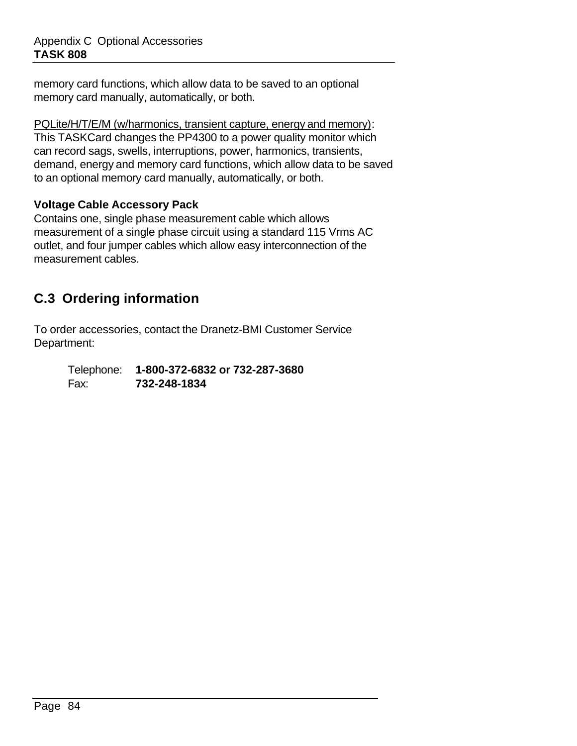memory card functions, which allow data to be saved to an optional memory card manually, automatically, or both.

PQLite/H/T/E/M (w/harmonics, transient capture, energy and memory): This TASKCard changes the PP4300 to a power quality monitor which can record sags, swells, interruptions, power, harmonics, transients, demand, energy and memory card functions, which allow data to be saved to an optional memory card manually, automatically, or both.

#### **Voltage Cable Accessory Pack**

Contains one, single phase measurement cable which allows measurement of a single phase circuit using a standard 115 Vrms AC outlet, and four jumper cables which allow easy interconnection of the measurement cables.

# **C.3 Ordering information**

To order accessories, contact the Dranetz-BMI Customer Service Department:

> Telephone: **1-800-372-6832 or 732-287-3680** Fax: **732-248-1834**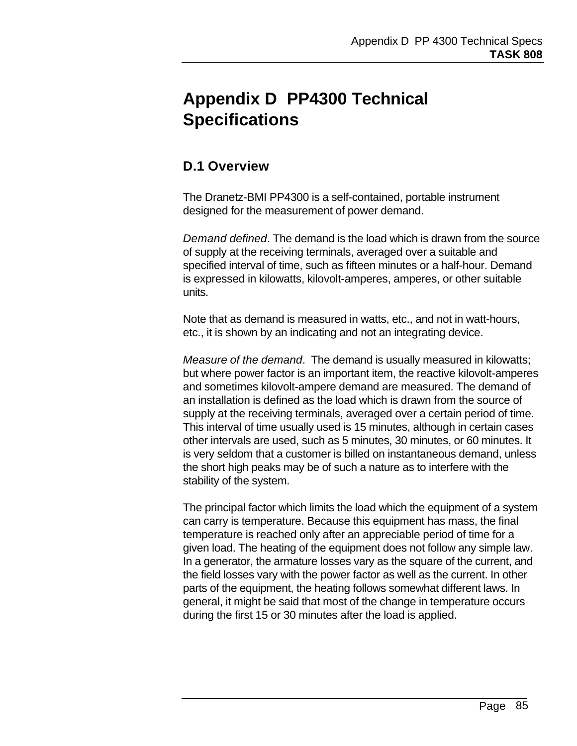# **Appendix D PP4300 Technical Specifications**

# **D.1 Overview**

The Dranetz-BMI PP4300 is a self-contained, portable instrument designed for the measurement of power demand.

*Demand defined*. The demand is the load which is drawn from the source of supply at the receiving terminals, averaged over a suitable and specified interval of time, such as fifteen minutes or a half-hour. Demand is expressed in kilowatts, kilovolt-amperes, amperes, or other suitable units.

Note that as demand is measured in watts, etc., and not in watt-hours, etc., it is shown by an indicating and not an integrating device.

*Measure of the demand*. The demand is usually measured in kilowatts; but where power factor is an important item, the reactive kilovolt-amperes and sometimes kilovolt-ampere demand are measured. The demand of an installation is defined as the load which is drawn from the source of supply at the receiving terminals, averaged over a certain period of time. This interval of time usually used is 15 minutes, although in certain cases other intervals are used, such as 5 minutes, 30 minutes, or 60 minutes. It is very seldom that a customer is billed on instantaneous demand, unless the short high peaks may be of such a nature as to interfere with the stability of the system.

The principal factor which limits the load which the equipment of a system can carry is temperature. Because this equipment has mass, the final temperature is reached only after an appreciable period of time for a given load. The heating of the equipment does not follow any simple law. In a generator, the armature losses vary as the square of the current, and the field losses vary with the power factor as well as the current. In other parts of the equipment, the heating follows somewhat different laws. In general, it might be said that most of the change in temperature occurs during the first 15 or 30 minutes after the load is applied.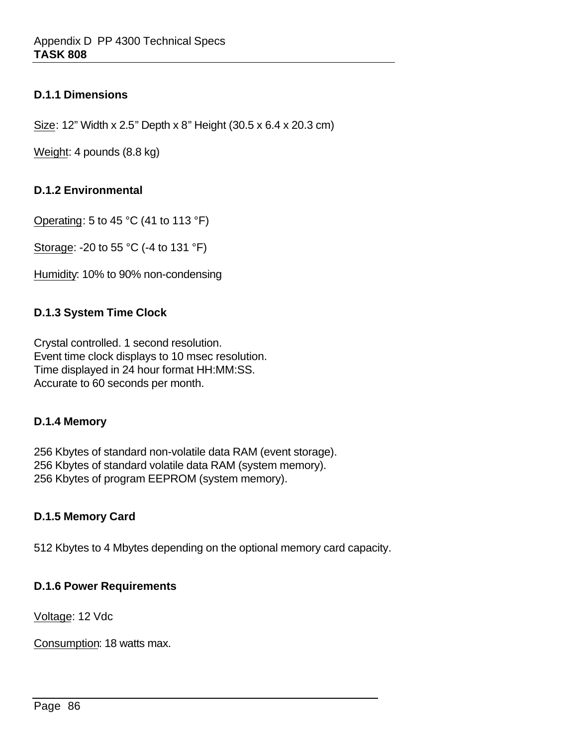#### **D.1.1 Dimensions**

Size: 12" Width x 2.5" Depth x 8" Height (30.5 x 6.4 x 20.3 cm)

Weight: 4 pounds (8.8 kg)

#### **D.1.2 Environmental**

Operating: 5 to 45 °C (41 to 113 °F)

Storage: -20 to 55 °C (-4 to 131 °F)

Humidity: 10% to 90% non-condensing

#### **D.1.3 System Time Clock**

Crystal controlled. 1 second resolution. Event time clock displays to 10 msec resolution. Time displayed in 24 hour format HH:MM:SS. Accurate to 60 seconds per month.

#### **D.1.4 Memory**

256 Kbytes of standard non-volatile data RAM (event storage). 256 Kbytes of standard volatile data RAM (system memory). 256 Kbytes of program EEPROM (system memory).

#### **D.1.5 Memory Card**

512 Kbytes to 4 Mbytes depending on the optional memory card capacity.

#### **D.1.6 Power Requirements**

Voltage: 12 Vdc

Consumption: 18 watts max.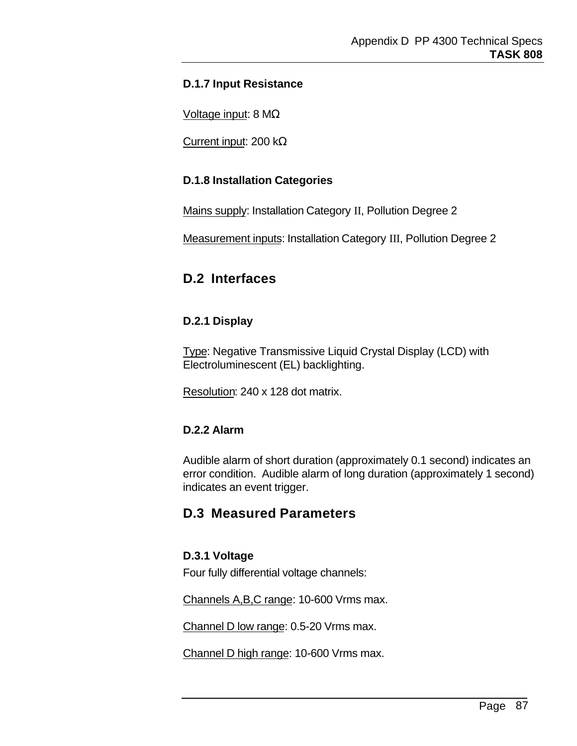#### **D.1.7 Input Resistance**

Voltage input: 8 MΩ

Current input: 200 kΩ

#### **D.1.8 Installation Categories**

Mains supply: Installation Category II, Pollution Degree 2

Measurement inputs: Installation Category III, Pollution Degree 2

# **D.2 Interfaces**

### **D.2.1 Display**

Type: Negative Transmissive Liquid Crystal Display (LCD) with Electroluminescent (EL) backlighting.

Resolution: 240 x 128 dot matrix.

### **D.2.2 Alarm**

Audible alarm of short duration (approximately 0.1 second) indicates an error condition. Audible alarm of long duration (approximately 1 second) indicates an event trigger.

## **D.3 Measured Parameters**

#### **D.3.1 Voltage**

Four fully differential voltage channels:

Channels A,B,C range: 10-600 Vrms max.

Channel D low range: 0.5-20 Vrms max.

Channel D high range: 10-600 Vrms max.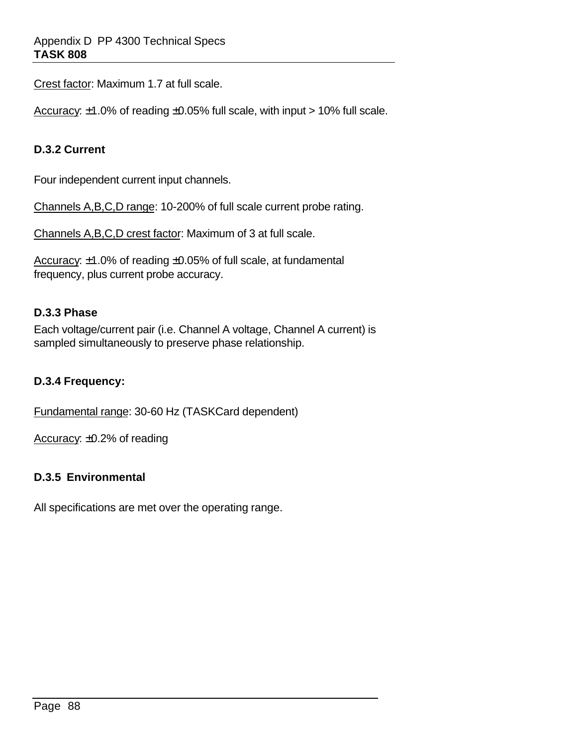Crest factor: Maximum 1.7 at full scale.

Accuracy:  $\pm$ 1.0% of reading  $\pm$ 0.05% full scale, with input > 10% full scale.

#### **D.3.2 Current**

Four independent current input channels.

Channels A,B,C,D range: 10-200% of full scale current probe rating.

Channels A,B,C,D crest factor: Maximum of 3 at full scale.

Accuracy: ±1.0% of reading ±0.05% of full scale, at fundamental frequency, plus current probe accuracy.

#### **D.3.3 Phase**

Each voltage/current pair (i.e. Channel A voltage, Channel A current) is sampled simultaneously to preserve phase relationship.

#### **D.3.4 Frequency:**

Fundamental range: 30-60 Hz (TASKCard dependent)

Accuracy: ±0.2% of reading

#### **D.3.5 Environmental**

All specifications are met over the operating range.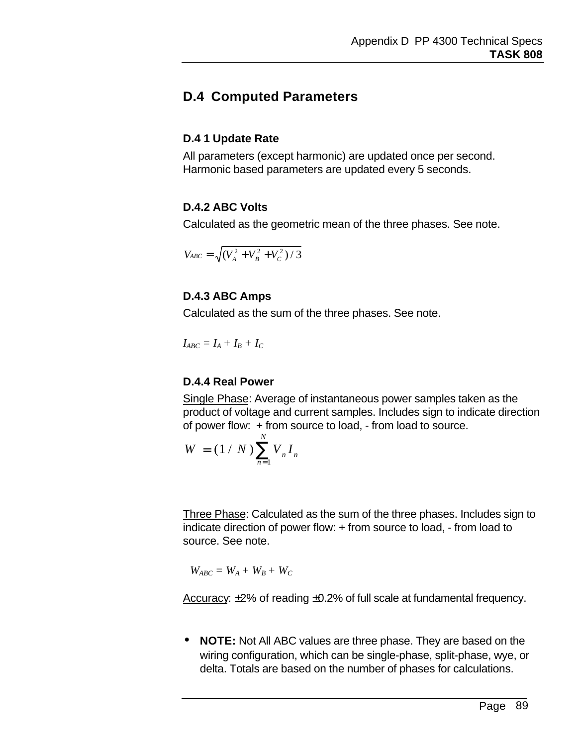# **D.4 Computed Parameters**

#### **D.4 1 Update Rate**

All parameters (except harmonic) are updated once per second. Harmonic based parameters are updated every 5 seconds.

#### **D.4.2 ABC Volts**

Calculated as the geometric mean of the three phases. See note.

$$
V_{ABC} = \sqrt{(V_A^2 + V_B^2 + V_C^2)/3}
$$

#### **D.4.3 ABC Amps**

Calculated as the sum of the three phases. See note.

 $I_{ABC} = I_A + I_B + I_C$ 

#### **D.4.4 Real Power**

Single Phase: Average of instantaneous power samples taken as the product of voltage and current samples. Includes sign to indicate direction of power flow: + from source to load, - from load to source.

$$
W = (1 / N) \sum_{n=1}^{N} V_n I_n
$$

Three Phase: Calculated as the sum of the three phases. Includes sign to indicate direction of power flow: + from source to load, - from load to source. See note.

$$
W_{ABC} = W_A + W_B + W_C
$$

Accuracy: ±2% of reading ±0.2% of full scale at fundamental frequency.

• **NOTE:** Not All ABC values are three phase. They are based on the wiring configuration, which can be single-phase, split-phase, wye, or delta. Totals are based on the number of phases for calculations.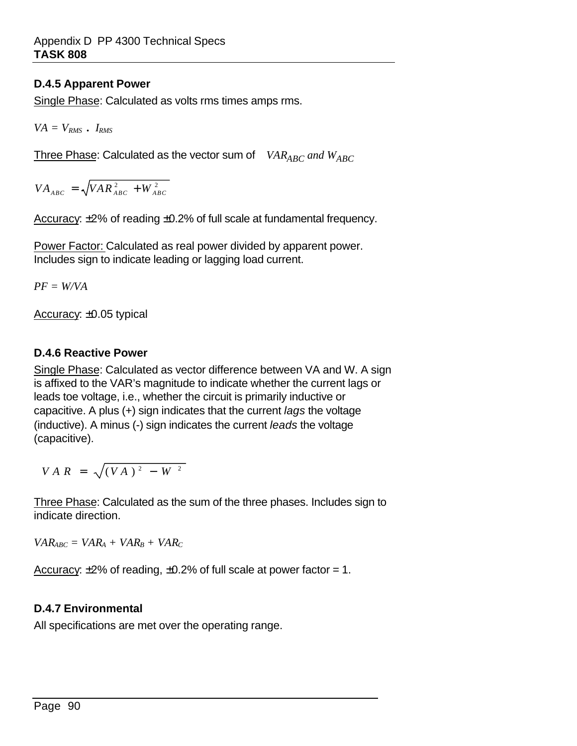#### **D.4.5 Apparent Power**

Single Phase: Calculated as volts rms times amps rms.

 $VA = V_{RMS}$  *. I<sub>RMS</sub>* 

Three Phase: Calculated as the vector sum of *VAR<sub>ABC</sub> and W<sub>ABC</sub>* 

 $VA_{ABC} = \sqrt{VAR_{ABC}^2 + W_{ABC}^2}$ 

Accuracy: ±2% of reading ±0.2% of full scale at fundamental frequency.

Power Factor: Calculated as real power divided by apparent power. Includes sign to indicate leading or lagging load current.

*PF = W/VA*

Accuracy: ±0.05 typical

#### **D.4.6 Reactive Power**

Single Phase: Calculated as vector difference between VA and W. A sign is affixed to the VAR's magnitude to indicate whether the current lags or leads toe voltage, i.e., whether the circuit is primarily inductive or capacitive. A plus (+) sign indicates that the current *lags* the voltage (inductive). A minus (-) sign indicates the current *leads* the voltage (capacitive).

$$
V A R = \sqrt{(V A)^2 - W^2}
$$

Three Phase: Calculated as the sum of the three phases. Includes sign to indicate direction.

 $VAR_{ABC}$  =  $VAR_{A}$  +  $VAR_{B}$  +  $VAR_{C}$ 

Accuracy:  $\pm 2\%$  of reading,  $\pm 0.2\%$  of full scale at power factor = 1.

#### **D.4.7 Environmental**

All specifications are met over the operating range.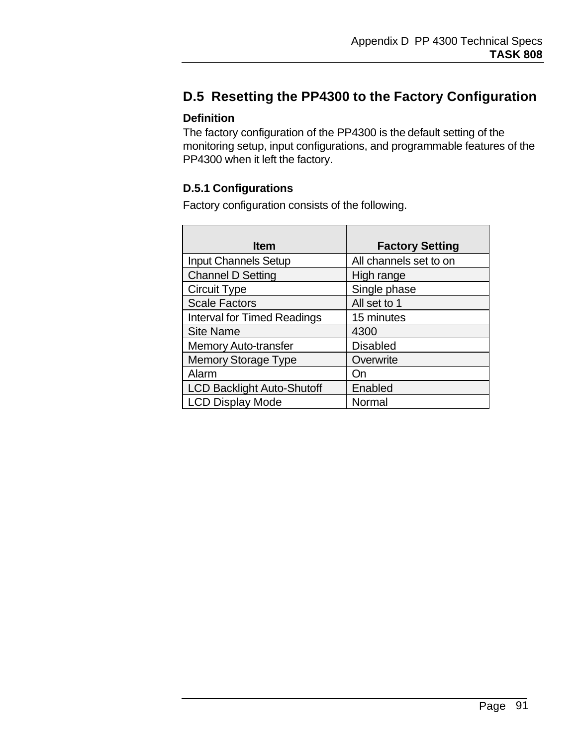## **D.5 Resetting the PP4300 to the Factory Configuration**

## **Definition**

The factory configuration of the PP4300 is the default setting of the monitoring setup, input configurations, and programmable features of the PP4300 when it left the factory.

## **D.5.1 Configurations**

Factory configuration consists of the following.

| <b>Item</b>                        | <b>Factory Setting</b> |
|------------------------------------|------------------------|
| <b>Input Channels Setup</b>        | All channels set to on |
| <b>Channel D Setting</b>           | High range             |
| <b>Circuit Type</b>                | Single phase           |
| <b>Scale Factors</b>               | All set to 1           |
| <b>Interval for Timed Readings</b> | 15 minutes             |
| <b>Site Name</b>                   | 4300                   |
| <b>Memory Auto-transfer</b>        | <b>Disabled</b>        |
| <b>Memory Storage Type</b>         | Overwrite              |
| Alarm                              | On                     |
| <b>LCD Backlight Auto-Shutoff</b>  | Enabled                |
| <b>LCD Display Mode</b>            | Normal                 |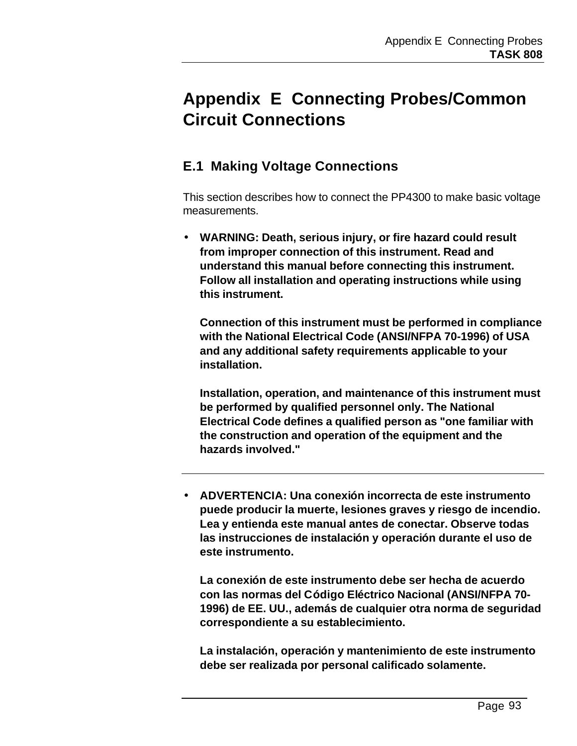# **Appendix E Connecting Probes/Common Circuit Connections**

## **E.1 Making Voltage Connections**

This section describes how to connect the PP4300 to make basic voltage measurements.

• **WARNING: Death, serious injury, or fire hazard could result from improper connection of this instrument. Read and understand this manual before connecting this instrument. Follow all installation and operating instructions while using this instrument.**

**Connection of this instrument must be performed in compliance with the National Electrical Code (ANSI/NFPA 70-1996) of USA and any additional safety requirements applicable to your installation.**

**Installation, operation, and maintenance of this instrument must be performed by qualified personnel only. The National Electrical Code defines a qualified person as "one familiar with the construction and operation of the equipment and the hazards involved."**

• **ADVERTENCIA: Una conexión incorrecta de este instrumento puede producir la muerte, lesiones graves y riesgo de incendio. Lea y entienda este manual antes de conectar. Observe todas las instrucciones de instalación y operación durante el uso de este instrumento.**

**La conexión de este instrumento debe ser hecha de acuerdo con las normas del Código Eléctrico Nacional (ANSI/NFPA 70- 1996) de EE. UU., además de cualquier otra norma de seguridad correspondiente a su establecimiento.**

**La instalación, operación y mantenimiento de este instrumento debe ser realizada por personal calificado solamente.**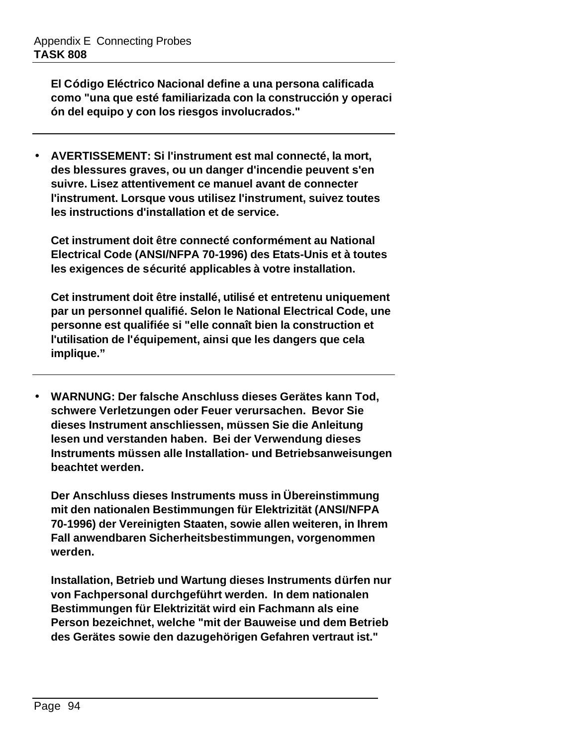**El Código Eléctrico Nacional define a una persona calificada como "una que esté familiarizada con la construcción y operaci ón del equipo y con los riesgos involucrados."**

• **AVERTISSEMENT: Si l'instrument est mal connecté, la mort, des blessures graves, ou un danger d'incendie peuvent s'en suivre. Lisez attentivement ce manuel avant de connecter l'instrument. Lorsque vous utilisez l'instrument, suivez toutes les instructions d'installation et de service.**

**Cet instrument doit être connecté conformément au National Electrical Code (ANSI/NFPA 70-1996) des Etats-Unis et à toutes les exigences de sécurité applicables à votre installation.**

**Cet instrument doit être installé, utilisé et entretenu uniquement par un personnel qualifié. Selon le National Electrical Code, une personne est qualifiée si "elle connaît bien la construction et l'utilisation de l'équipement, ainsi que les dangers que cela implique."**

• **WARNUNG: Der falsche Anschluss dieses Gerätes kann Tod, schwere Verletzungen oder Feuer verursachen. Bevor Sie dieses Instrument anschliessen, müssen Sie die Anleitung lesen und verstanden haben. Bei der Verwendung dieses Instruments müssen alle Installation- und Betriebsanweisungen beachtet werden.**

**Der Anschluss dieses Instruments muss in Übereinstimmung mit den nationalen Bestimmungen für Elektrizität (ANSI/NFPA 70-1996) der Vereinigten Staaten, sowie allen weiteren, in Ihrem Fall anwendbaren Sicherheitsbestimmungen, vorgenommen werden.**

**Installation, Betrieb und Wartung dieses Instruments dürfen nur von Fachpersonal durchgeführt werden. In dem nationalen Bestimmungen für Elektrizität wird ein Fachmann als eine Person bezeichnet, welche "mit der Bauweise und dem Betrieb des Gerätes sowie den dazugehörigen Gefahren vertraut ist."**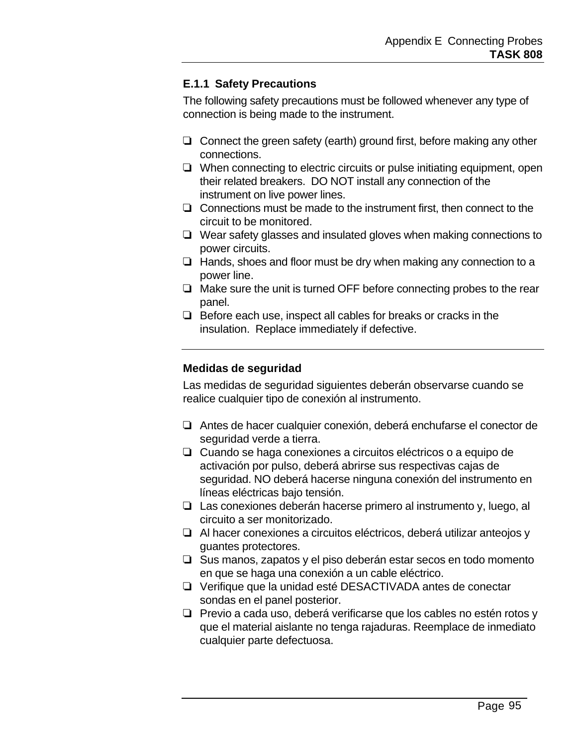#### **E.1.1 Safety Precautions**

The following safety precautions must be followed whenever any type of connection is being made to the instrument.

- $\Box$  Connect the green safety (earth) ground first, before making any other connections.
- $\Box$  When connecting to electric circuits or pulse initiating equipment, open their related breakers. DO NOT install any connection of the instrument on live power lines.
- $\Box$  Connections must be made to the instrument first, then connect to the circuit to be monitored.
- $\Box$  Wear safety glasses and insulated gloves when making connections to power circuits.
- $\Box$  Hands, shoes and floor must be dry when making any connection to a power line.
- $\Box$  Make sure the unit is turned OFF before connecting probes to the rear panel.
- $\Box$  Before each use, inspect all cables for breaks or cracks in the insulation. Replace immediately if defective.

## **Medidas de seguridad**

Las medidas de seguridad siguientes deberán observarse cuando se realice cualquier tipo de conexión al instrumento.

- $\Box$  Antes de hacer cualquier conexión, deberá enchufarse el conector de seguridad verde a tierra.
- $\Box$  Cuando se haga conexiones a circuitos eléctricos o a equipo de activación por pulso, deberá abrirse sus respectivas cajas de seguridad. NO deberá hacerse ninguna conexión del instrumento en líneas eléctricas bajo tensión.
- $\Box$  Las conexiones deberán hacerse primero al instrumento y, luego, al circuito a ser monitorizado.
- $\Box$  Al hacer conexiones a circuitos eléctricos, deberá utilizar anteojos y guantes protectores.
- $\Box$  Sus manos, zapatos y el piso deberán estar secos en todo momento en que se haga una conexión a un cable eléctrico.
- $\Box$  Verifique que la unidad esté DESACTIVADA antes de conectar sondas en el panel posterior.
- Previo a cada uso, deberá verificarse que los cables no estén rotos y que el material aislante no tenga rajaduras. Reemplace de inmediato cualquier parte defectuosa.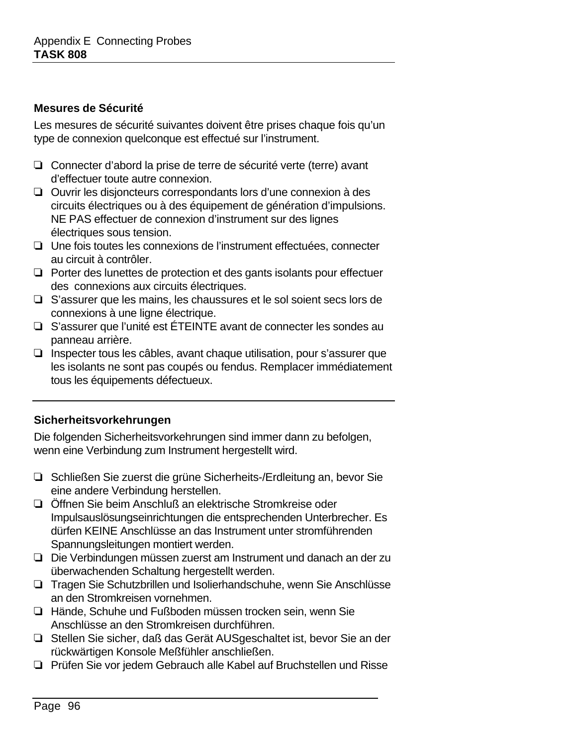#### **Mesures de Sécurité**

Les mesures de sécurité suivantes doivent être prises chaque fois qu'un type de connexion quelconque est effectué sur l'instrument.

- $\Box$  Connecter d'abord la prise de terre de sécurité verte (terre) avant d'effectuer toute autre connexion.
- $\Box$  Ouvrir les disjoncteurs correspondants lors d'une connexion à des circuits électriques ou à des équipement de génération d'impulsions. NE PAS effectuer de connexion d'instrument sur des lignes électriques sous tension.
- $\Box$  Une fois toutes les connexions de l'instrument effectuées, connecter au circuit à contrôler.
- $\Box$  Porter des lunettes de protection et des gants isolants pour effectuer des connexions aux circuits électriques.
- $\Box$  S'assurer que les mains, les chaussures et le sol soient secs lors de connexions à une ligne électrique.
- $\Box$  S'assurer que l'unité est ÉTEINTE avant de connecter les sondes au panneau arrière.
- $\Box$  Inspecter tous les câbles, avant chaque utilisation, pour s'assurer que les isolants ne sont pas coupés ou fendus. Remplacer immédiatement tous les équipements défectueux.

#### **Sicherheitsvorkehrungen**

Die folgenden Sicherheitsvorkehrungen sind immer dann zu befolgen, wenn eine Verbindung zum Instrument hergestellt wird.

- □ Schließen Sie zuerst die grüne Sicherheits-/Erdleitung an, bevor Sie eine andere Verbindung herstellen.
- $\Box$  Öffnen Sie beim Anschluß an elektrische Stromkreise oder Impulsauslösungseinrichtungen die entsprechenden Unterbrecher. Es dürfen KEINE Anschlüsse an das Instrument unter stromführenden Spannungsleitungen montiert werden.
- Die Verbindungen müssen zuerst am Instrument und danach an der zu überwachenden Schaltung hergestellt werden.
- o Tragen Sie Schutzbrillen und Isolierhandschuhe, wenn Sie Anschlüsse an den Stromkreisen vornehmen.
- o Hände, Schuhe und Fußboden müssen trocken sein, wenn Sie Anschlüsse an den Stromkreisen durchführen.
- □ Stellen Sie sicher, daß das Gerät AUSgeschaltet ist, bevor Sie an der rückwärtigen Konsole Meßfühler anschließen.
- $\Box$  Prüfen Sie vor jedem Gebrauch alle Kabel auf Bruchstellen und Risse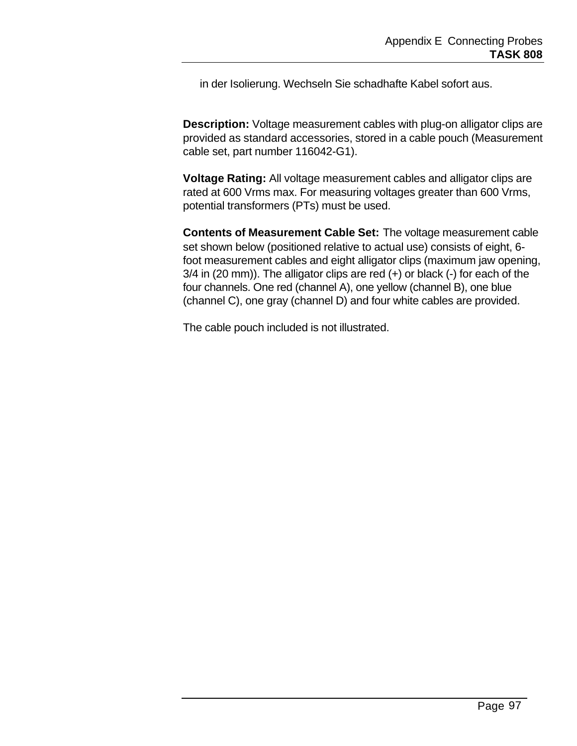in der Isolierung. Wechseln Sie schadhafte Kabel sofort aus.

**Description:** Voltage measurement cables with plug-on alligator clips are provided as standard accessories, stored in a cable pouch (Measurement cable set, part number 116042-G1).

**Voltage Rating:** All voltage measurement cables and alligator clips are rated at 600 Vrms max. For measuring voltages greater than 600 Vrms, potential transformers (PTs) must be used.

**Contents of Measurement Cable Set:** The voltage measurement cable set shown below (positioned relative to actual use) consists of eight, 6 foot measurement cables and eight alligator clips (maximum jaw opening, 3/4 in (20 mm)). The alligator clips are red (+) or black (-) for each of the four channels. One red (channel A), one yellow (channel B), one blue (channel C), one gray (channel D) and four white cables are provided.

The cable pouch included is not illustrated.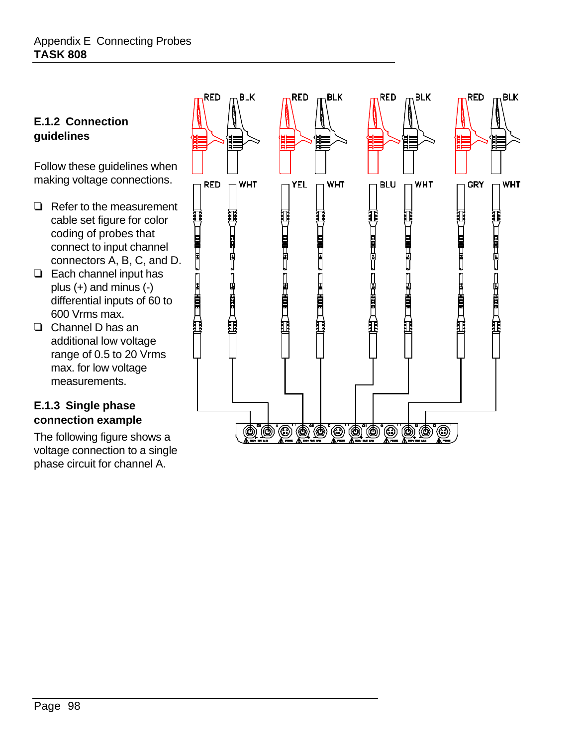## **E.1.2 Connection guidelines**

Follow these guidelines when making voltage connections.

- $\Box$  Refer to the measurement cable set figure for color coding of probes that connect to input channel connectors A, B, C, and D.
- $\Box$  Each channel input has plus (+) and minus (-) differential inputs of 60 to 600 Vrms max.
- $\Box$  Channel D has an additional low voltage range of 0.5 to 20 Vrms max. for low voltage measurements.

## **E.1.3 Single phase connection example**

The following figure shows a voltage connection to a single phase circuit for channel A.

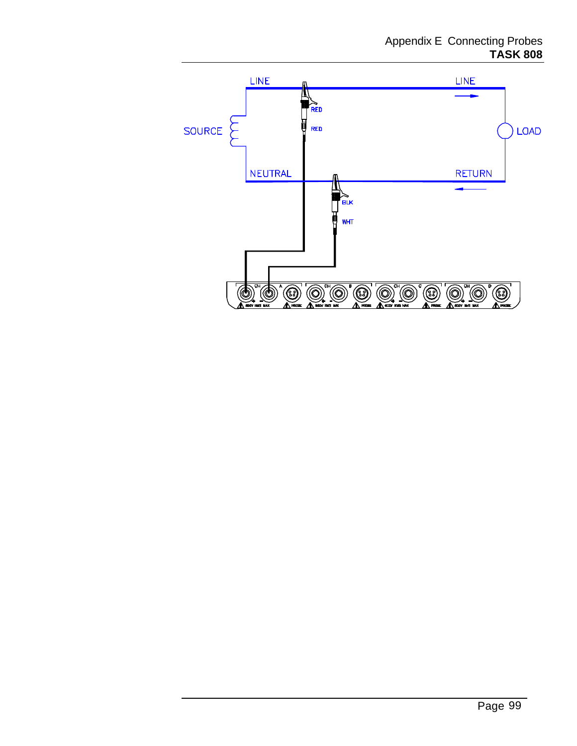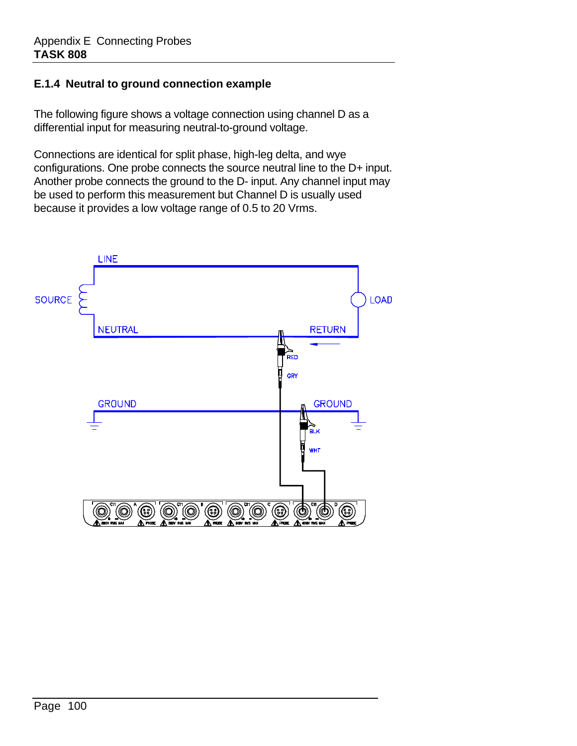### **E.1.4 Neutral to ground connection example**

The following figure shows a voltage connection using channel D as a differential input for measuring neutral-to-ground voltage.

Connections are identical for split phase, high-leg delta, and wye configurations. One probe connects the source neutral line to the D+ input. Another probe connects the ground to the D- input. Any channel input may be used to perform this measurement but Channel D is usually used because it provides a low voltage range of 0.5 to 20 Vrms.

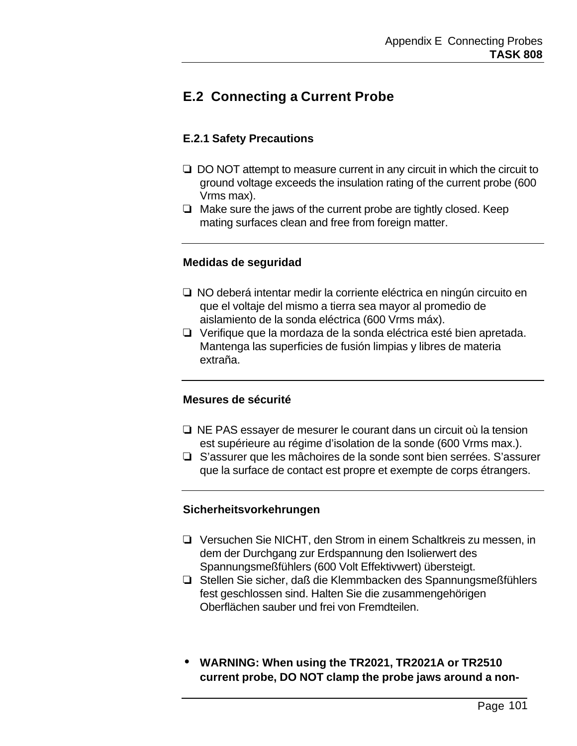## **E.2 Connecting a Current Probe**

## **E.2.1 Safety Precautions**

- $\Box$  DO NOT attempt to measure current in any circuit in which the circuit to ground voltage exceeds the insulation rating of the current probe (600 Vrms max).
- $\Box$  Make sure the jaws of the current probe are tightly closed. Keep mating surfaces clean and free from foreign matter.

#### **Medidas de seguridad**

- $\Box$  NO deberá intentar medir la corriente eléctrica en ningún circuito en que el voltaje del mismo a tierra sea mayor al promedio de aislamiento de la sonda eléctrica (600 Vrms máx).
- $\Box$  Verifique que la mordaza de la sonda eléctrica esté bien apretada. Mantenga las superficies de fusión limpias y libres de materia extraña.

#### **Mesures de sécurité**

- $\Box$  NE PAS essayer de mesurer le courant dans un circuit où la tension est supérieure au régime d'isolation de la sonde (600 Vrms max.).
- $\Box$  S'assurer que les mâchoires de la sonde sont bien serrées. S'assurer que la surface de contact est propre et exempte de corps étrangers.

#### **Sicherheitsvorkehrungen**

- $\Box$  Versuchen Sie NICHT, den Strom in einem Schaltkreis zu messen, in dem der Durchgang zur Erdspannung den Isolierwert des Spannungsmeßfühlers (600 Volt Effektivwert) übersteigt.
- □ Stellen Sie sicher, daß die Klemmbacken des Spannungsmeßfühlers fest geschlossen sind. Halten Sie die zusammengehörigen Oberflächen sauber und frei von Fremdteilen.
- **WARNING: When using the TR2021, TR2021A or TR2510 current probe, DO NOT clamp the probe jaws around a non-**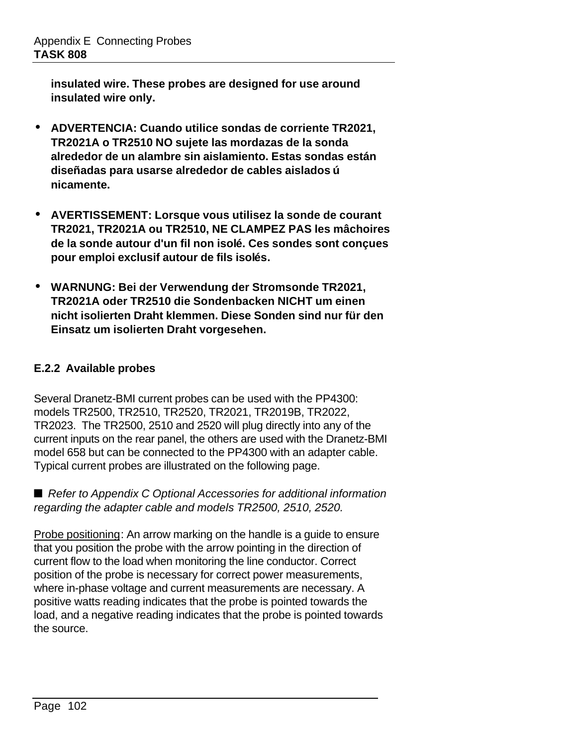**insulated wire. These probes are designed for use around insulated wire only.**

- **ADVERTENCIA: Cuando utilice sondas de corriente TR2021, TR2021A o TR2510 NO sujete las mordazas de la sonda alrededor de un alambre sin aislamiento. Estas sondas están diseñadas para usarse alrededor de cables aislados ú nicamente.**
- **AVERTISSEMENT: Lorsque vous utilisez la sonde de courant TR2021, TR2021A ou TR2510, NE CLAMPEZ PAS les mâchoires de la sonde autour d'un fil non isolé. Ces sondes sont conçues pour emploi exclusif autour de fils isolés.**
- **WARNUNG: Bei der Verwendung der Stromsonde TR2021, TR2021A oder TR2510 die Sondenbacken NICHT um einen nicht isolierten Draht klemmen. Diese Sonden sind nur für den Einsatz um isolierten Draht vorgesehen.**

### **E.2.2 Available probes**

Several Dranetz-BMI current probes can be used with the PP4300: models TR2500, TR2510, TR2520, TR2021, TR2019B, TR2022, TR2023. The TR2500, 2510 and 2520 will plug directly into any of the current inputs on the rear panel, the others are used with the Dranetz-BMI model 658 but can be connected to the PP4300 with an adapter cable. Typical current probes are illustrated on the following page.

■ Refer to Appendix C Optional Accessories for additional information *regarding the adapter cable and models TR2500, 2510, 2520.*

Probe positioning: An arrow marking on the handle is a guide to ensure that you position the probe with the arrow pointing in the direction of current flow to the load when monitoring the line conductor. Correct position of the probe is necessary for correct power measurements, where in-phase voltage and current measurements are necessary. A positive watts reading indicates that the probe is pointed towards the load, and a negative reading indicates that the probe is pointed towards the source.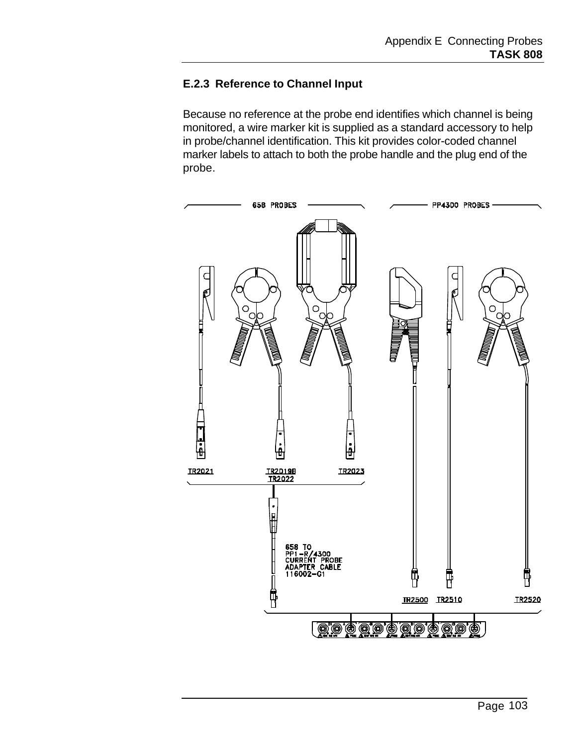## **E.2.3 Reference to Channel Input**

Because no reference at the probe end identifies which channel is being monitored, a wire marker kit is supplied as a standard accessory to help in probe/channel identification. This kit provides color-coded channel marker labels to attach to both the probe handle and the plug end of the probe.

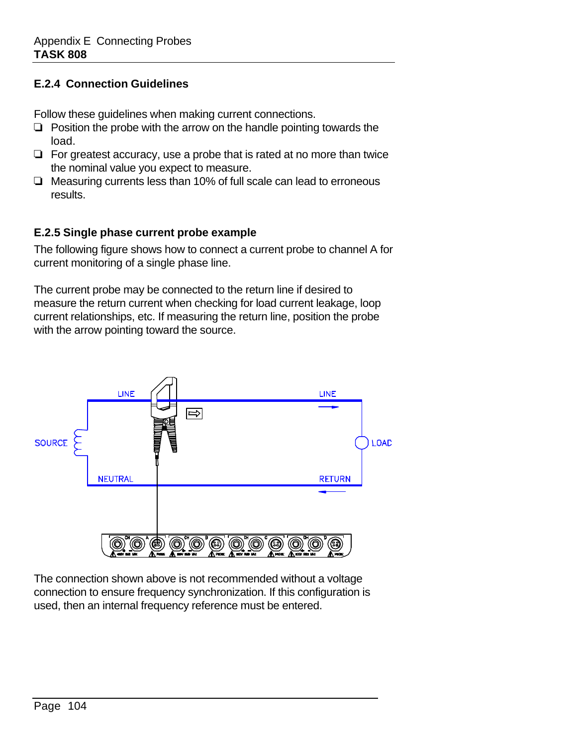### **E.2.4 Connection Guidelines**

Follow these guidelines when making current connections.

- $\Box$  Position the probe with the arrow on the handle pointing towards the load.
- $\Box$  For greatest accuracy, use a probe that is rated at no more than twice the nominal value you expect to measure.
- $\Box$  Measuring currents less than 10% of full scale can lead to erroneous results.

#### **E.2.5 Single phase current probe example**

The following figure shows how to connect a current probe to channel A for current monitoring of a single phase line.

The current probe may be connected to the return line if desired to measure the return current when checking for load current leakage, loop current relationships, etc. If measuring the return line, position the probe with the arrow pointing toward the source.



The connection shown above is not recommended without a voltage connection to ensure frequency synchronization. If this configuration is used, then an internal frequency reference must be entered.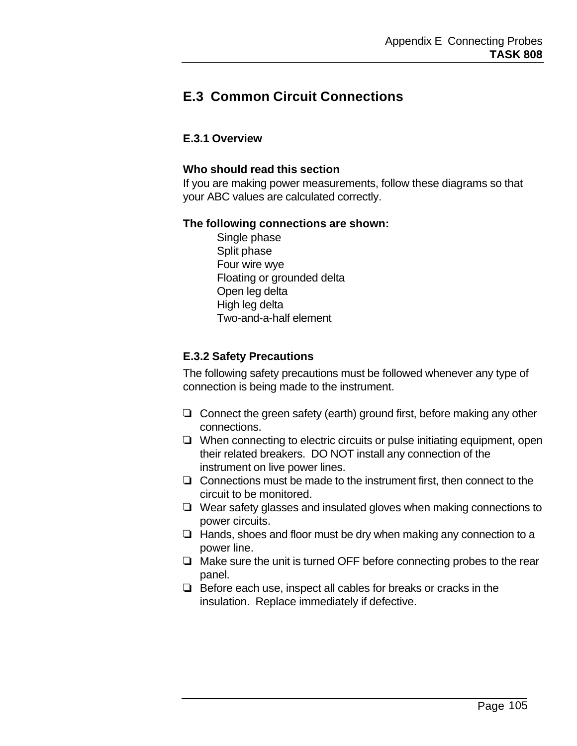## **E.3 Common Circuit Connections**

#### **E.3.1 Overview**

#### **Who should read this section**

If you are making power measurements, follow these diagrams so that your ABC values are calculated correctly.

#### **The following connections are shown:**

Single phase Split phase Four wire wye Floating or grounded delta Open leg delta High leg delta Two-and-a-half element

#### **E.3.2 Safety Precautions**

The following safety precautions must be followed whenever any type of connection is being made to the instrument.

- $\Box$  Connect the green safety (earth) ground first, before making any other connections.
- $\Box$  When connecting to electric circuits or pulse initiating equipment, open their related breakers. DO NOT install any connection of the instrument on live power lines.
- $\Box$  Connections must be made to the instrument first, then connect to the circuit to be monitored.
- $\Box$  Wear safety glasses and insulated gloves when making connections to power circuits.
- $\Box$  Hands, shoes and floor must be dry when making any connection to a power line.
- $\Box$  Make sure the unit is turned OFF before connecting probes to the rear panel.
- $\Box$  Before each use, inspect all cables for breaks or cracks in the insulation. Replace immediately if defective.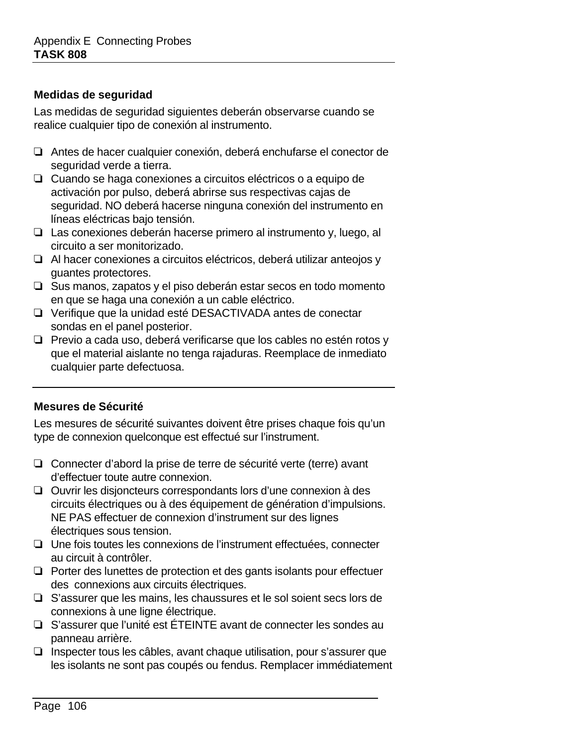#### **Medidas de seguridad**

Las medidas de seguridad siguientes deberán observarse cuando se realice cualquier tipo de conexión al instrumento.

- o Antes de hacer cualquier conexión, deberá enchufarse el conector de seguridad verde a tierra.
- $\Box$  Cuando se haga conexiones a circuitos eléctricos o a equipo de activación por pulso, deberá abrirse sus respectivas cajas de seguridad. NO deberá hacerse ninguna conexión del instrumento en líneas eléctricas bajo tensión.
- $\Box$  Las conexiones deberán hacerse primero al instrumento y, luego, al circuito a ser monitorizado.
- $\Box$  Al hacer conexiones a circuitos eléctricos, deberá utilizar anteojos y guantes protectores.
- $\Box$  Sus manos, zapatos y el piso deberán estar secos en todo momento en que se haga una conexión a un cable eléctrico.
- □ Verifique que la unidad esté DESACTIVADA antes de conectar sondas en el panel posterior.
- $\Box$  Previo a cada uso, deberá verificarse que los cables no estén rotos y que el material aislante no tenga rajaduras. Reemplace de inmediato cualquier parte defectuosa.

### **Mesures de Sécurité**

Les mesures de sécurité suivantes doivent être prises chaque fois qu'un type de connexion quelconque est effectué sur l'instrument.

- $\Box$  Connecter d'abord la prise de terre de sécurité verte (terre) avant d'effectuer toute autre connexion.
- $\Box$  Ouvrir les disjoncteurs correspondants lors d'une connexion à des circuits électriques ou à des équipement de génération d'impulsions. NE PAS effectuer de connexion d'instrument sur des lignes électriques sous tension.
- $\Box$  Une fois toutes les connexions de l'instrument effectuées, connecter au circuit à contrôler.
- $\Box$  Porter des lunettes de protection et des gants isolants pour effectuer des connexions aux circuits électriques.
- $\Box$  S'assurer que les mains, les chaussures et le sol soient secs lors de connexions à une ligne électrique.
- □ S'assurer que l'unité est ÉTEINTE avant de connecter les sondes au panneau arrière.
- $\Box$  Inspecter tous les câbles, avant chaque utilisation, pour s'assurer que les isolants ne sont pas coupés ou fendus. Remplacer immédiatement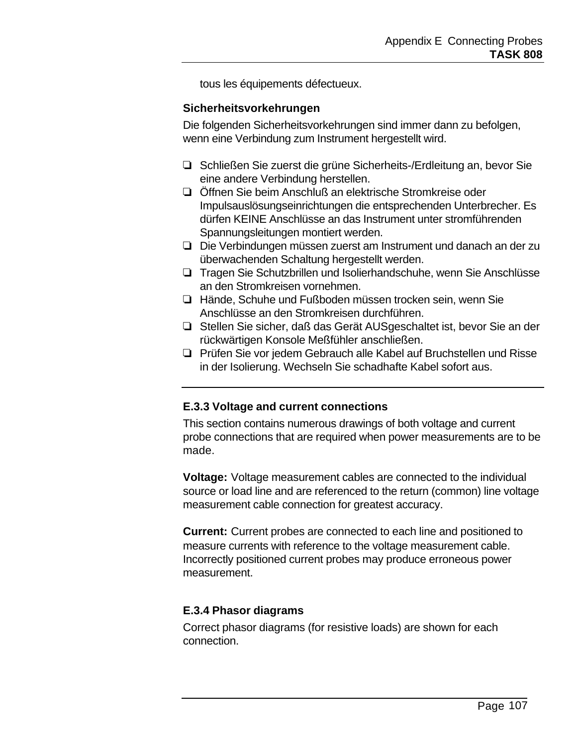tous les équipements défectueux.

#### **Sicherheitsvorkehrungen**

Die folgenden Sicherheitsvorkehrungen sind immer dann zu befolgen, wenn eine Verbindung zum Instrument hergestellt wird.

- □ Schließen Sie zuerst die grüne Sicherheits-/Erdleitung an, bevor Sie eine andere Verbindung herstellen.
- $\Box$  Öffnen Sie beim Anschluß an elektrische Stromkreise oder Impulsauslösungseinrichtungen die entsprechenden Unterbrecher. Es dürfen KEINE Anschlüsse an das Instrument unter stromführenden Spannungsleitungen montiert werden.
- $\Box$  Die Verbindungen müssen zuerst am Instrument und danach an der zu überwachenden Schaltung hergestellt werden.
- $\Box$  Tragen Sie Schutzbrillen und Isolierhandschuhe, wenn Sie Anschlüsse an den Stromkreisen vornehmen.
- $\Box$  Hände, Schuhe und Fußboden müssen trocken sein, wenn Sie Anschlüsse an den Stromkreisen durchführen.
- □ Stellen Sie sicher, daß das Gerät AUSgeschaltet ist, bevor Sie an der rückwärtigen Konsole Meßfühler anschließen.
- $\Box$  Prüfen Sie vor jedem Gebrauch alle Kabel auf Bruchstellen und Risse in der Isolierung. Wechseln Sie schadhafte Kabel sofort aus.

#### **E.3.3 Voltage and current connections**

This section contains numerous drawings of both voltage and current probe connections that are required when power measurements are to be made.

**Voltage:** Voltage measurement cables are connected to the individual source or load line and are referenced to the return (common) line voltage measurement cable connection for greatest accuracy.

**Current:** Current probes are connected to each line and positioned to measure currents with reference to the voltage measurement cable. Incorrectly positioned current probes may produce erroneous power measurement.

#### **E.3.4 Phasor diagrams**

Correct phasor diagrams (for resistive loads) are shown for each connection.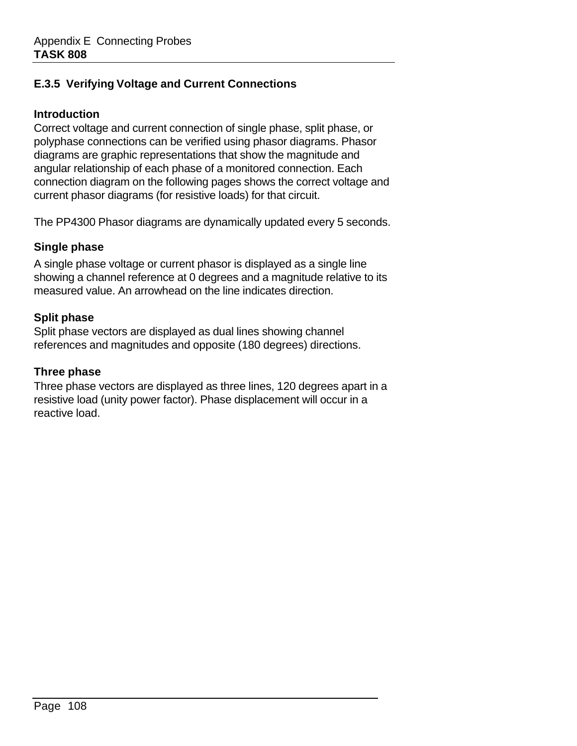### **E.3.5 Verifying Voltage and Current Connections**

#### **Introduction**

Correct voltage and current connection of single phase, split phase, or polyphase connections can be verified using phasor diagrams. Phasor diagrams are graphic representations that show the magnitude and angular relationship of each phase of a monitored connection. Each connection diagram on the following pages shows the correct voltage and current phasor diagrams (for resistive loads) for that circuit.

The PP4300 Phasor diagrams are dynamically updated every 5 seconds.

#### **Single phase**

A single phase voltage or current phasor is displayed as a single line showing a channel reference at 0 degrees and a magnitude relative to its measured value. An arrowhead on the line indicates direction.

#### **Split phase**

Split phase vectors are displayed as dual lines showing channel references and magnitudes and opposite (180 degrees) directions.

#### **Three phase**

Three phase vectors are displayed as three lines, 120 degrees apart in a resistive load (unity power factor). Phase displacement will occur in a reactive load.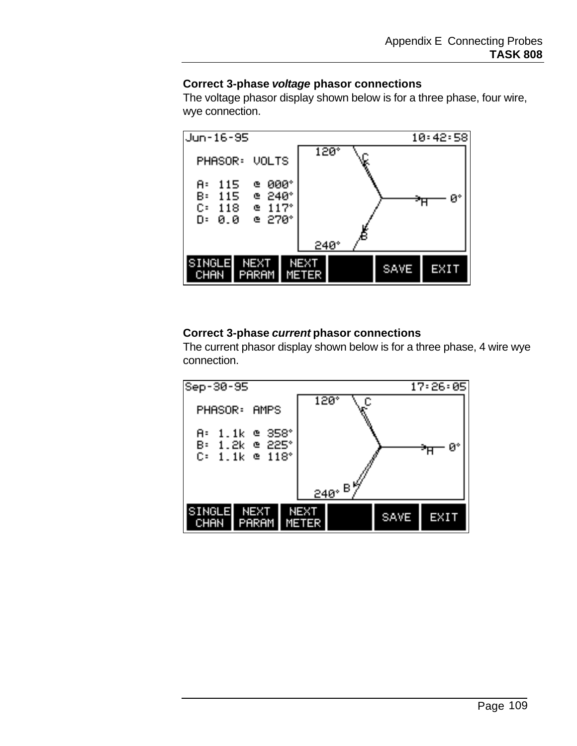#### **Correct 3-phase** *voltage* **phasor connections**

The voltage phasor display shown below is for a three phase, four wire, wye connection.



#### **Correct 3-phase** *current* **phasor connections**

The current phasor display shown below is for a three phase, 4 wire wye connection.

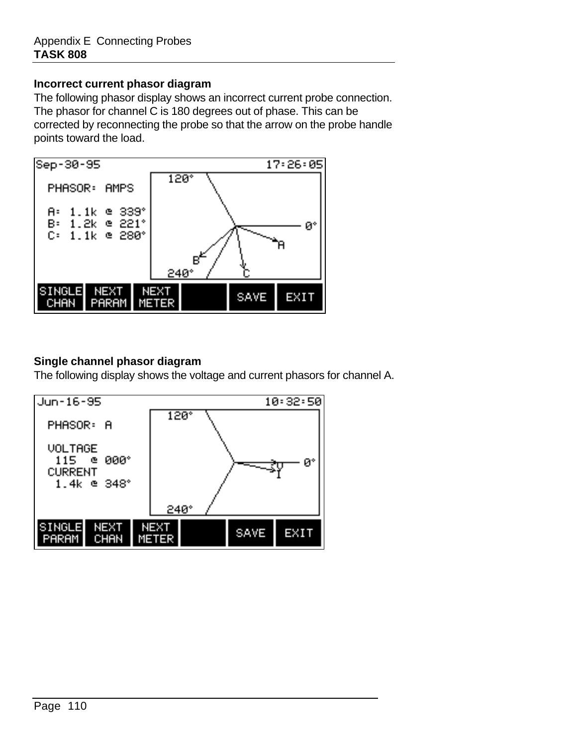#### **Incorrect current phasor diagram**

The following phasor display shows an incorrect current probe connection. The phasor for channel C is 180 degrees out of phase. This can be corrected by reconnecting the probe so that the arrow on the probe handle points toward the load.



## **Single channel phasor diagram**

The following display shows the voltage and current phasors for channel A.

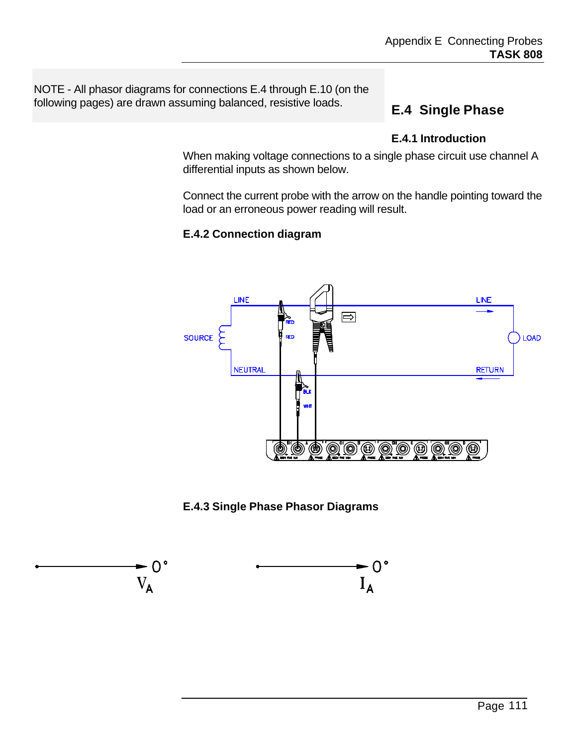NOTE - All phasor diagrams for connections E.4 through E.10 (on the following pages) are drawn assuming balanced, resistive loads.

## **E.4 Single Phase**

## **E.4.1 Introduction**

When making voltage connections to a single phase circuit use channel A differential inputs as shown below.

Connect the current probe with the arrow on the handle pointing toward the load or an erroneous power reading will result.

## **E.4.2 Connection diagram**



**E.4.3 Single Phase Phasor Diagrams**

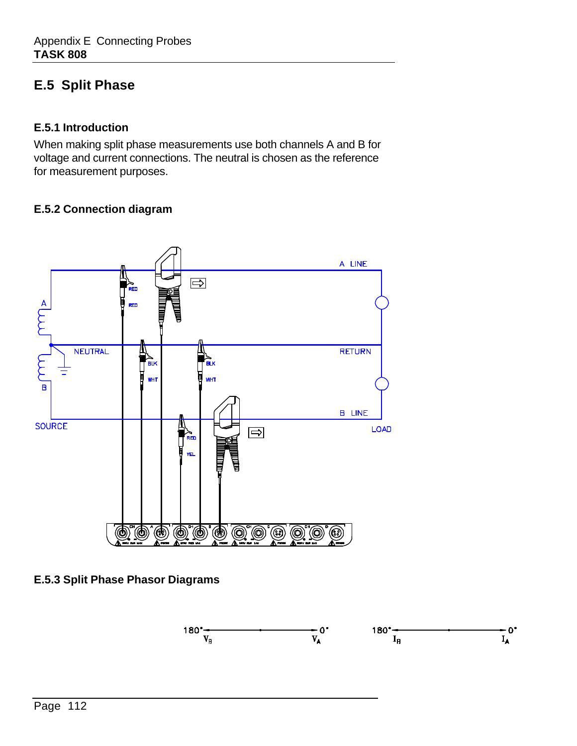## **E.5 Split Phase**

## **E.5.1 Introduction**

When making split phase measurements use both channels A and B for voltage and current connections. The neutral is chosen as the reference for measurement purposes.

## **E.5.2 Connection diagram**



**E.5.3 Split Phase Phasor Diagrams**

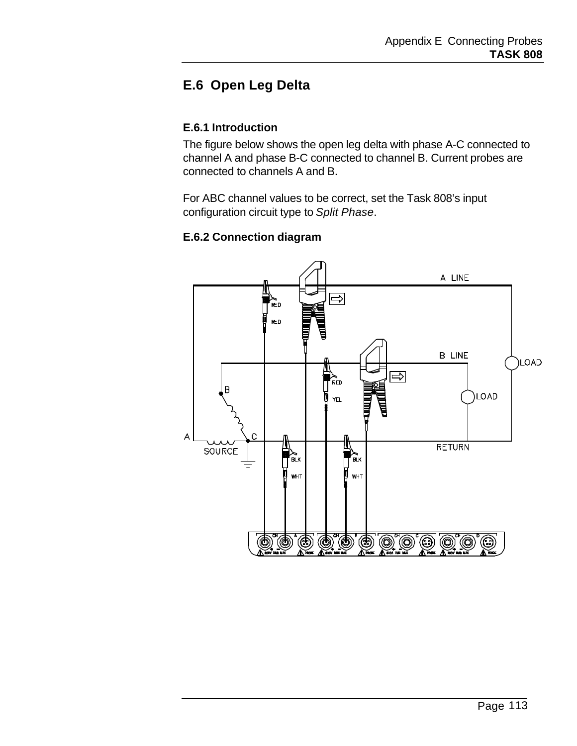## **E.6 Open Leg Delta**

#### **E.6.1 Introduction**

The figure below shows the open leg delta with phase A-C connected to channel A and phase B-C connected to channel B. Current probes are connected to channels A and B.

For ABC channel values to be correct, set the Task 808's input configuration circuit type to *Split Phase*.

#### **E.6.2 Connection diagram**

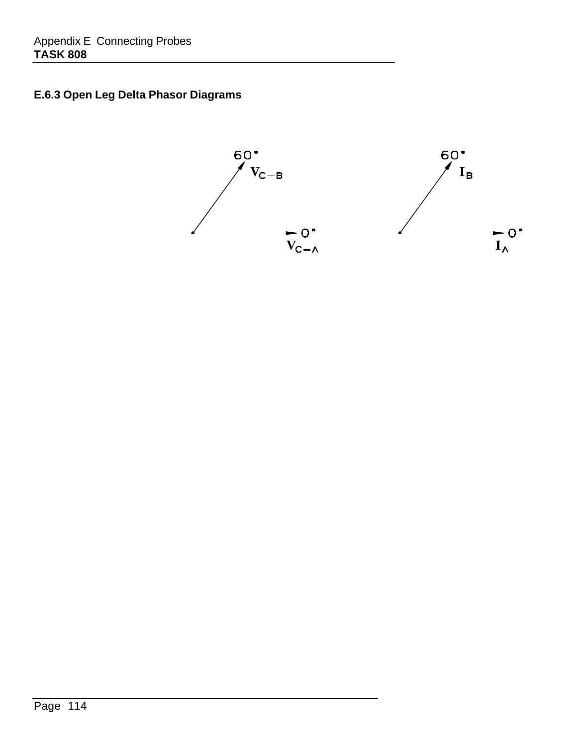

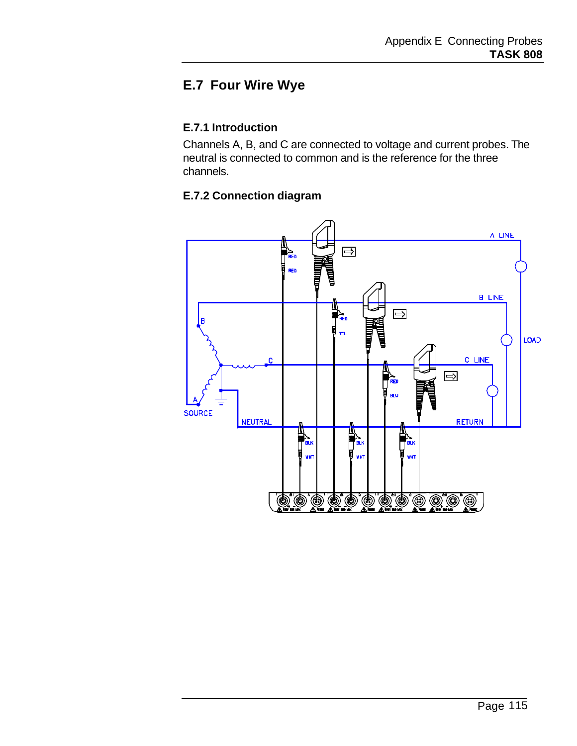## **E.7 Four Wire Wye**

## **E.7.1 Introduction**

Channels A, B, and C are connected to voltage and current probes. The neutral is connected to common and is the reference for the three channels.

## **E.7.2 Connection diagram**

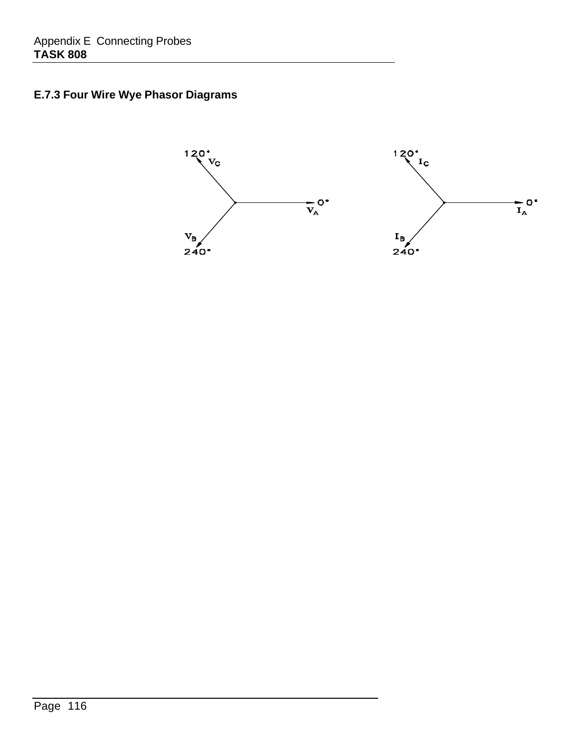## **E.7.3 Four Wire Wye Phasor Diagrams**

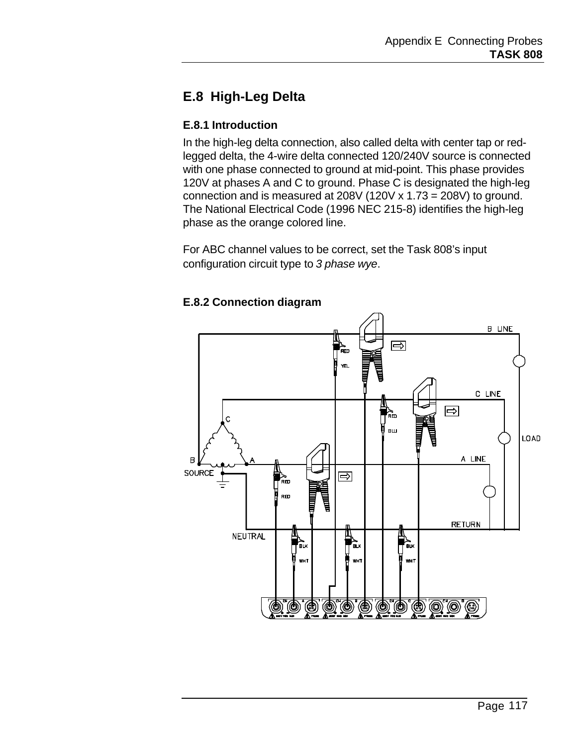## **E.8 High-Leg Delta**

## **E.8.1 Introduction**

In the high-leg delta connection, also called delta with center tap or redlegged delta, the 4-wire delta connected 120/240V source is connected with one phase connected to ground at mid-point. This phase provides 120V at phases A and C to ground. Phase C is designated the high-leg connection and is measured at 208V (120V x 1.73 = 208V) to ground. The National Electrical Code (1996 NEC 215-8) identifies the high-leg phase as the orange colored line.

For ABC channel values to be correct, set the Task 808's input configuration circuit type to *3 phase wye*.



#### **E.8.2 Connection diagram**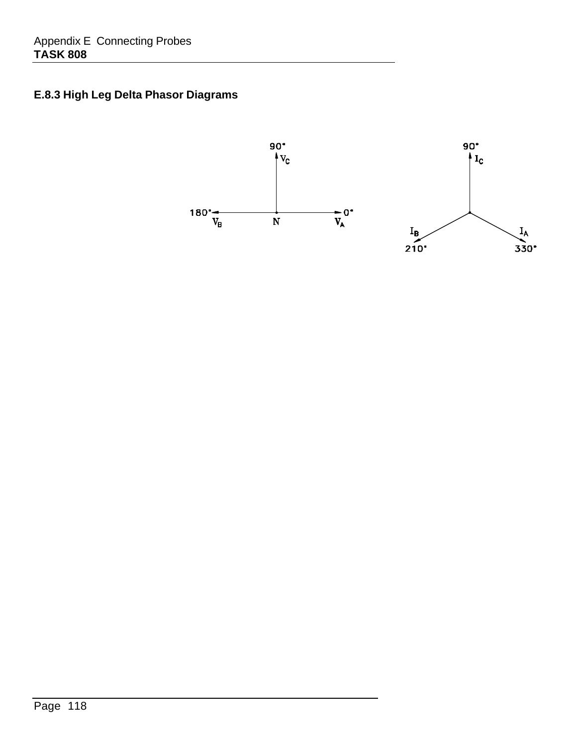

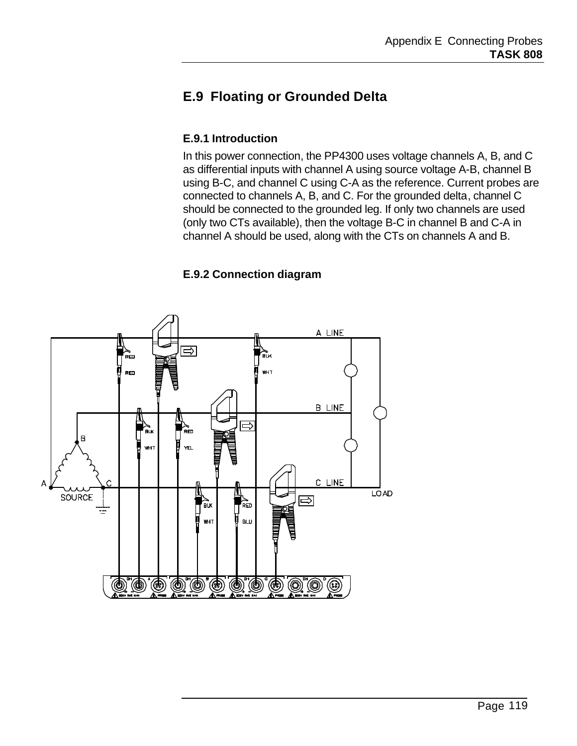## **E.9 Floating or Grounded Delta**

## **E.9.1 Introduction**

In this power connection, the PP4300 uses voltage channels A, B, and C as differential inputs with channel A using source voltage A-B, channel B using B-C, and channel C using C-A as the reference. Current probes are connected to channels A, B, and C. For the grounded delta, channel C should be connected to the grounded leg. If only two channels are used (only two CTs available), then the voltage B-C in channel B and C-A in channel A should be used, along with the CTs on channels A and B.

## **E.9.2 Connection diagram**

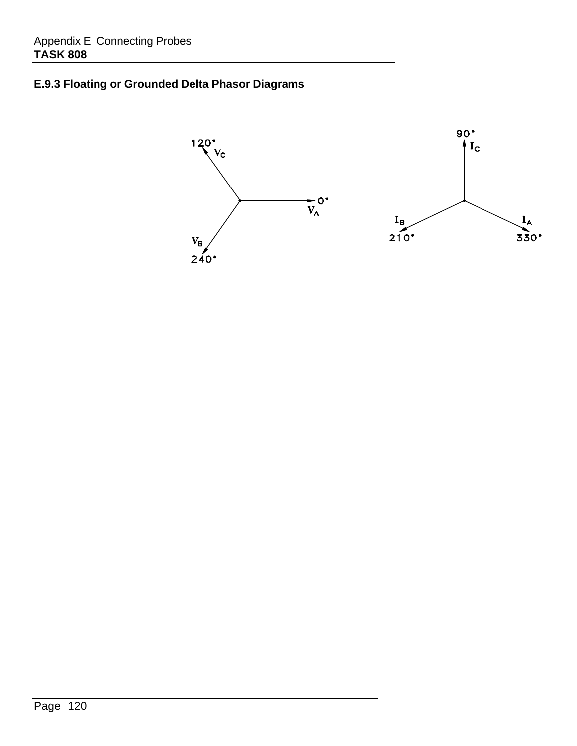**E.9.3 Floating or Grounded Delta Phasor Diagrams**

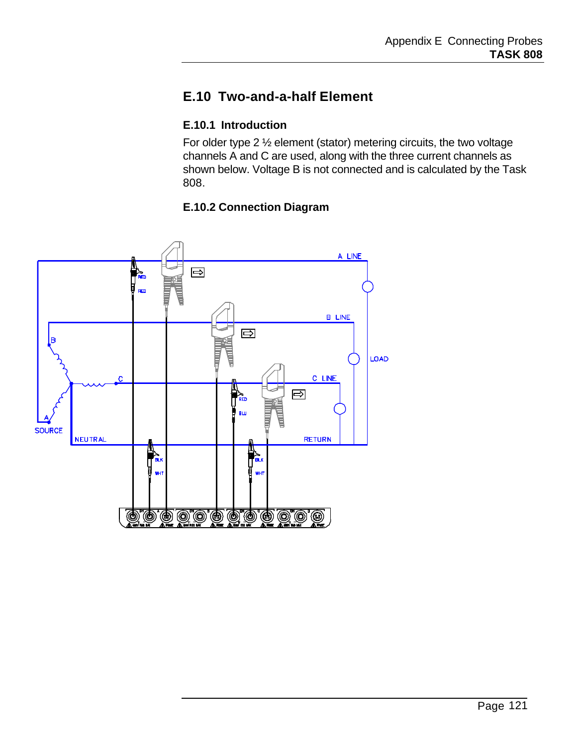## **E.10 Two-and-a-half Element**

### **E.10.1 Introduction**

For older type 2 ½ element (stator) metering circuits, the two voltage channels A and C are used, along with the three current channels as shown below. Voltage B is not connected and is calculated by the Task 808.

## **E.10.2 Connection Diagram**

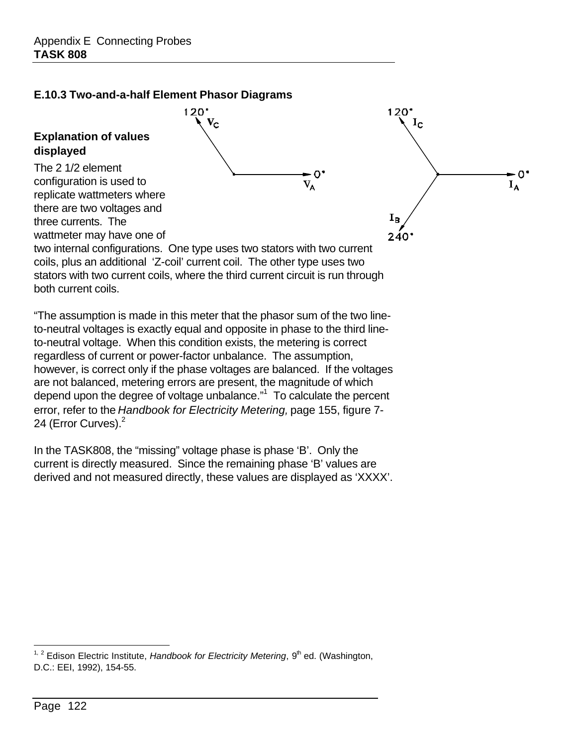### **E.10.3 Two-and-a-half Element Phasor Diagrams**

 $120"$ 

 $V_C$ 

 $\rm V_A$ 

## **Explanation of values displayed**

The 2 1/2 element configuration is used to replicate wattmeters where there are two voltages and three currents. The wattmeter may have one of



two internal configurations. One type uses two stators with two current coils, plus an additional 'Z-coil' current coil. The other type uses two stators with two current coils, where the third current circuit is run through both current coils.

"The assumption is made in this meter that the phasor sum of the two lineto-neutral voltages is exactly equal and opposite in phase to the third lineto-neutral voltage. When this condition exists, the metering is correct regardless of current or power-factor unbalance. The assumption, however, is correct only if the phase voltages are balanced. If the voltages are not balanced, metering errors are present, the magnitude of which depend upon the degree of voltage unbalance."<sup>1</sup> To calculate the percent error, refer to the *Handbook for Electricity Metering,* page 155, figure 7- 24 (Error Curves).<sup>2</sup>

In the TASK808, the "missing" voltage phase is phase 'B'. Only the current is directly measured. Since the remaining phase 'B' values are derived and not measured directly, these values are displayed as 'XXXX'.

 $\overline{a}$ 

<sup>&</sup>lt;sup>1, 2</sup> Edison Electric Institute, *Handbook for Electricity Metering*, 9<sup>th</sup> ed. (Washington, D.C.: EEI, 1992), 154-55.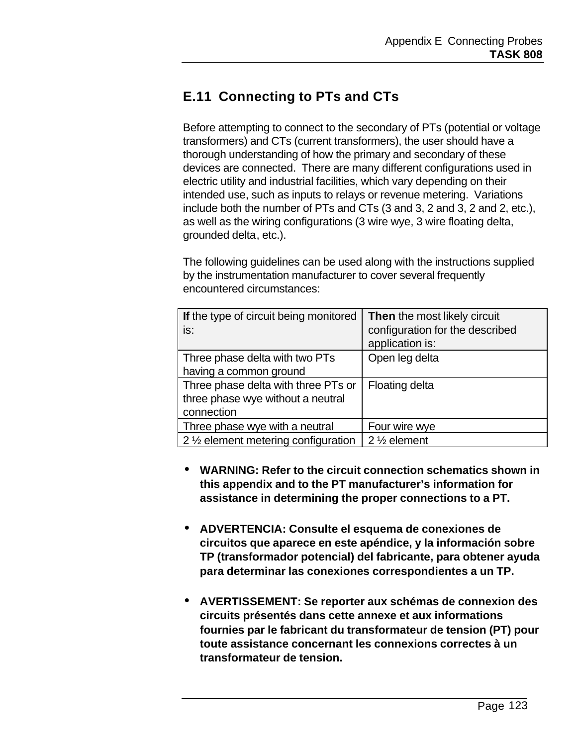## **E.11 Connecting to PTs and CTs**

Before attempting to connect to the secondary of PTs (potential or voltage transformers) and CTs (current transformers), the user should have a thorough understanding of how the primary and secondary of these devices are connected. There are many different configurations used in electric utility and industrial facilities, which vary depending on their intended use, such as inputs to relays or revenue metering. Variations include both the number of PTs and CTs (3 and 3, 2 and 3, 2 and 2, etc.), as well as the wiring configurations (3 wire wye, 3 wire floating delta, grounded delta, etc.).

The following guidelines can be used along with the instructions supplied by the instrumentation manufacturer to cover several frequently encountered circumstances:

| If the type of circuit being monitored           | Then the most likely circuit    |
|--------------------------------------------------|---------------------------------|
| is:                                              | configuration for the described |
|                                                  | application is:                 |
| Three phase delta with two PTs                   | Open leg delta                  |
| having a common ground                           |                                 |
| Three phase delta with three PTs or              | <b>Floating delta</b>           |
| three phase wye without a neutral                |                                 |
| connection                                       |                                 |
| Three phase wye with a neutral                   | Four wire wye                   |
| 2 1/ <sub>2</sub> element metering configuration | $2\frac{1}{2}$ element          |

- **WARNING: Refer to the circuit connection schematics shown in this appendix and to the PT manufacturer's information for assistance in determining the proper connections to a PT.**
- **ADVERTENCIA: Consulte el esquema de conexiones de circuitos que aparece en este apéndice, y la información sobre TP (transformador potencial) del fabricante, para obtener ayuda para determinar las conexiones correspondientes a un TP.**
- **AVERTISSEMENT: Se reporter aux schémas de connexion des circuits présentés dans cette annexe et aux informations fournies par le fabricant du transformateur de tension (PT) pour toute assistance concernant les connexions correctes à un transformateur de tension.**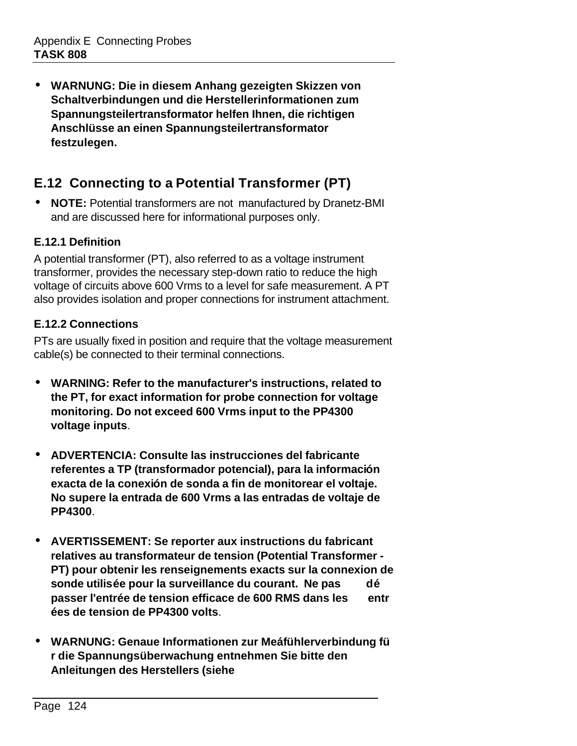• **WARNUNG: Die in diesem Anhang gezeigten Skizzen von Schaltverbindungen und die Herstellerinformationen zum Spannungsteilertransformator helfen Ihnen, die richtigen Anschlüsse an einen Spannungsteilertransformator festzulegen.**

## **E.12 Connecting to a Potential Transformer (PT)**

• **NOTE:** Potential transformers are not manufactured by Dranetz-BMI and are discussed here for informational purposes only.

## **E.12.1 Definition**

A potential transformer (PT), also referred to as a voltage instrument transformer, provides the necessary step-down ratio to reduce the high voltage of circuits above 600 Vrms to a level for safe measurement. A PT also provides isolation and proper connections for instrument attachment.

#### **E.12.2 Connections**

PTs are usually fixed in position and require that the voltage measurement cable(s) be connected to their terminal connections.

- **WARNING: Refer to the manufacturer's instructions, related to the PT, for exact information for probe connection for voltage monitoring. Do not exceed 600 Vrms input to the PP4300 voltage inputs**.
- **ADVERTENCIA: Consulte las instrucciones del fabricante referentes a TP (transformador potencial), para la información exacta de la conexión de sonda a fin de monitorear el voltaje. No supere la entrada de 600 Vrms a las entradas de voltaje de PP4300**.
- **AVERTISSEMENT: Se reporter aux instructions du fabricant relatives au transformateur de tension (Potential Transformer - PT) pour obtenir les renseignements exacts sur la connexion de sonde utilisée pour la surveillance du courant. Ne pas dé passer l'entrée de tension efficace de 600 RMS dans les entr ées de tension de PP4300 volts**.
- **WARNUNG: Genaue Informationen zur Meáfühlerverbindung fü r die Spannungsüberwachung entnehmen Sie bitte den Anleitungen des Herstellers (siehe**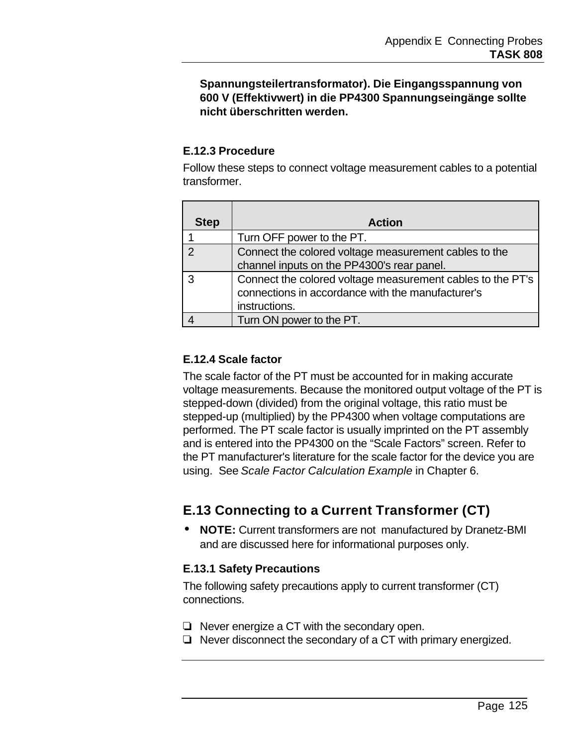**Spannungsteilertransformator). Die Eingangsspannung von 600 V (Effektivwert) in die PP4300 Spannungseingänge sollte nicht überschritten werden.**

## **E.12.3 Procedure**

Follow these steps to connect voltage measurement cables to a potential transformer.

| <b>Step</b> | <b>Action</b>                                                                                                                    |
|-------------|----------------------------------------------------------------------------------------------------------------------------------|
|             | Turn OFF power to the PT.                                                                                                        |
| າ           | Connect the colored voltage measurement cables to the<br>channel inputs on the PP4300's rear panel.                              |
|             | Connect the colored voltage measurement cables to the PT's<br>connections in accordance with the manufacturer's<br>instructions. |
|             | Turn ON power to the PT.                                                                                                         |

### **E.12.4 Scale factor**

The scale factor of the PT must be accounted for in making accurate voltage measurements. Because the monitored output voltage of the PT is stepped-down (divided) from the original voltage, this ratio must be stepped-up (multiplied) by the PP4300 when voltage computations are performed. The PT scale factor is usually imprinted on the PT assembly and is entered into the PP4300 on the "Scale Factors" screen. Refer to the PT manufacturer's literature for the scale factor for the device you are using. See *Scale Factor Calculation Example* in Chapter 6.

## **E.13 Connecting to a Current Transformer (CT)**

• **NOTE:** Current transformers are not manufactured by Dranetz-BMI and are discussed here for informational purposes only.

### **E.13.1 Safety Precautions**

The following safety precautions apply to current transformer (CT) connections.

- $\Box$  Never energize a CT with the secondary open.
- $\Box$  Never disconnect the secondary of a CT with primary energized.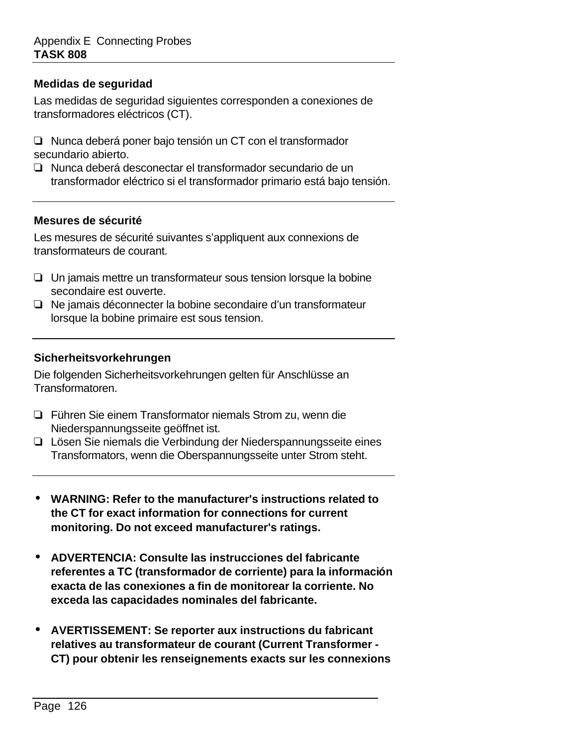#### **Medidas de seguridad**

Las medidas de seguridad siguientes corresponden a conexiones de transformadores eléctricos (CT).

 $\Box$  Nunca deberá poner bajo tensión un CT con el transformador secundario abierto.

 $\Box$  Nunca deberá desconectar el transformador secundario de un transformador eléctrico si el transformador primario está bajo tensión.

#### **Mesures de sécurité**

Les mesures de sécurité suivantes s'appliquent aux connexions de transformateurs de courant.

- $\Box$  Un jamais mettre un transformateur sous tension lorsque la bobine secondaire est ouverte.
- $\Box$  Ne jamais déconnecter la bobine secondaire d'un transformateur lorsque la bobine primaire est sous tension.

#### **Sicherheitsvorkehrungen**

Die folgenden Sicherheitsvorkehrungen gelten für Anschlüsse an Transformatoren.

- $\Box$  Führen Sie einem Transformator niemals Strom zu, wenn die Niederspannungsseite geöffnet ist.
- $\Box$  Lösen Sie niemals die Verbindung der Niederspannungsseite eines Transformators, wenn die Oberspannungsseite unter Strom steht.
- **WARNING: Refer to the manufacturer's instructions related to the CT for exact information for connections for current monitoring. Do not exceed manufacturer's ratings.**
- **ADVERTENCIA: Consulte las instrucciones del fabricante referentes a TC (transformador de corriente) para la información exacta de las conexiones a fin de monitorear la corriente. No exceda las capacidades nominales del fabricante.**
- **AVERTISSEMENT: Se reporter aux instructions du fabricant relatives au transformateur de courant (Current Transformer - CT) pour obtenir les renseignements exacts sur les connexions**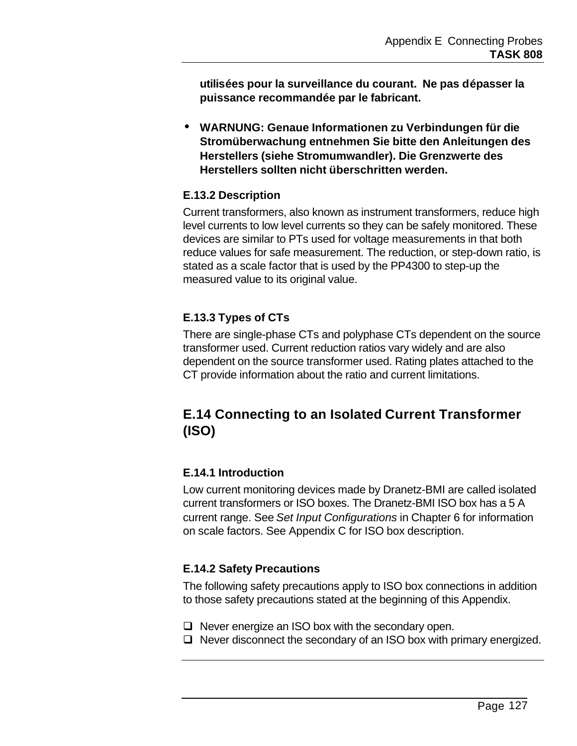**utilisées pour la surveillance du courant. Ne pas dépasser la puissance recommandée par le fabricant.**

• **WARNUNG: Genaue Informationen zu Verbindungen für die Stromüberwachung entnehmen Sie bitte den Anleitungen des Herstellers (siehe Stromumwandler). Die Grenzwerte des Herstellers sollten nicht überschritten werden.**

#### **E.13.2 Description**

Current transformers, also known as instrument transformers, reduce high level currents to low level currents so they can be safely monitored. These devices are similar to PTs used for voltage measurements in that both reduce values for safe measurement. The reduction, or step-down ratio, is stated as a scale factor that is used by the PP4300 to step-up the measured value to its original value.

## **E.13.3 Types of CTs**

There are single-phase CTs and polyphase CTs dependent on the source transformer used. Current reduction ratios vary widely and are also dependent on the source transformer used. Rating plates attached to the CT provide information about the ratio and current limitations.

# **E.14 Connecting to an Isolated Current Transformer (ISO)**

#### **E.14.1 Introduction**

Low current monitoring devices made by Dranetz-BMI are called isolated current transformers or ISO boxes. The Dranetz-BMI ISO box has a 5 A current range. See *Set Input Configurations* in Chapter 6 for information on scale factors. See Appendix C for ISO box description.

#### **E.14.2 Safety Precautions**

The following safety precautions apply to ISO box connections in addition to those safety precautions stated at the beginning of this Appendix.

- $\Box$  Never energize an ISO box with the secondary open.
- $\Box$  Never disconnect the secondary of an ISO box with primary energized.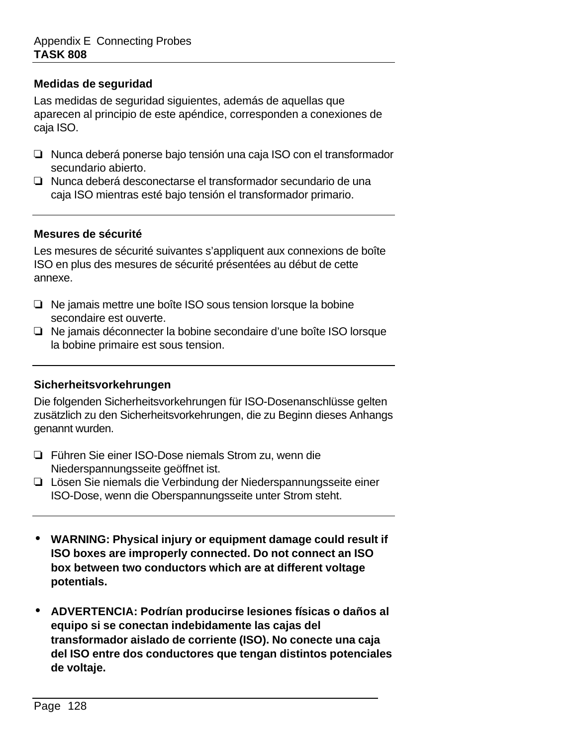#### **Medidas de seguridad**

Las medidas de seguridad siguientes, además de aquellas que aparecen al principio de este apéndice, corresponden a conexiones de caja ISO.

- $\Box$  Nunca deberá ponerse bajo tensión una caja ISO con el transformador secundario abierto.
- $\Box$  Nunca deberá desconectarse el transformador secundario de una caja ISO mientras esté bajo tensión el transformador primario.

#### **Mesures de sécurité**

Les mesures de sécurité suivantes s'appliquent aux connexions de boîte ISO en plus des mesures de sécurité présentées au début de cette annexe.

- $\Box$  Ne jamais mettre une boîte ISO sous tension lorsque la bobine secondaire est ouverte.
- $\Box$  Ne jamais déconnecter la bobine secondaire d'une boîte ISO lorsque la bobine primaire est sous tension.

#### **Sicherheitsvorkehrungen**

Die folgenden Sicherheitsvorkehrungen für ISO-Dosenanschlüsse gelten zusätzlich zu den Sicherheitsvorkehrungen, die zu Beginn dieses Anhangs genannt wurden.

- $\Box$  Führen Sie einer ISO-Dose niemals Strom zu, wenn die Niederspannungsseite geöffnet ist.
- □ Lösen Sie niemals die Verbindung der Niederspannungsseite einer ISO-Dose, wenn die Oberspannungsseite unter Strom steht.
- **WARNING: Physical injury or equipment damage could result if ISO boxes are improperly connected. Do not connect an ISO box between two conductors which are at different voltage potentials.**
- **ADVERTENCIA: Podrían producirse lesiones físicas o daños al equipo si se conectan indebidamente las cajas del transformador aislado de corriente (ISO). No conecte una caja del ISO entre dos conductores que tengan distintos potenciales de voltaje.**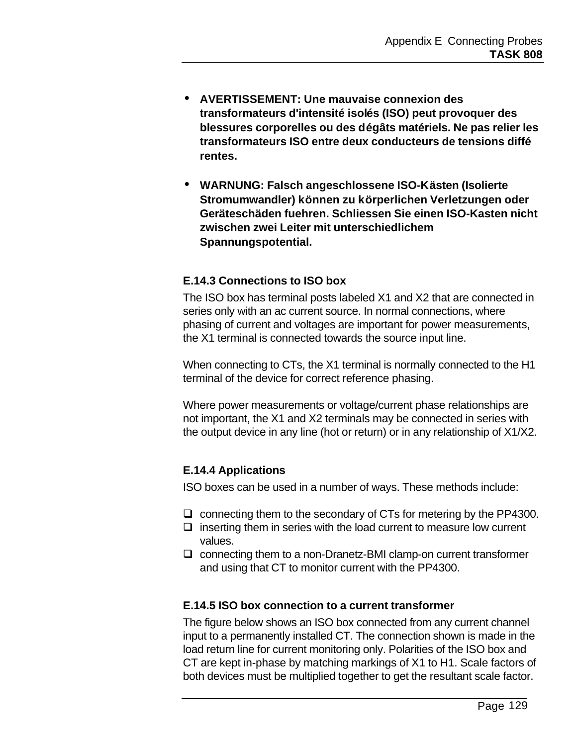- **AVERTISSEMENT: Une mauvaise connexion des transformateurs d'intensité isolés (ISO) peut provoquer des blessures corporelles ou des dégâts matériels. Ne pas relier les transformateurs ISO entre deux conducteurs de tensions diffé rentes.**
- **WARNUNG: Falsch angeschlossene ISO-Kästen (Isolierte Stromumwandler) können zu körperlichen Verletzungen oder Geräteschäden fuehren. Schliessen Sie einen ISO-Kasten nicht zwischen zwei Leiter mit unterschiedlichem Spannungspotential.**

#### **E.14.3 Connections to ISO box**

The ISO box has terminal posts labeled X1 and X2 that are connected in series only with an ac current source. In normal connections, where phasing of current and voltages are important for power measurements, the X1 terminal is connected towards the source input line.

When connecting to CTs, the X1 terminal is normally connected to the H1 terminal of the device for correct reference phasing.

Where power measurements or voltage/current phase relationships are not important, the X1 and X2 terminals may be connected in series with the output device in any line (hot or return) or in any relationship of X1/X2.

#### **E.14.4 Applications**

ISO boxes can be used in a number of ways. These methods include:

- $\Box$  connecting them to the secondary of CTs for metering by the PP4300.
- $\Box$  inserting them in series with the load current to measure low current values.
- $\Box$  connecting them to a non-Dranetz-BMI clamp-on current transformer and using that CT to monitor current with the PP4300.

#### **E.14.5 ISO box connection to a current transformer**

The figure below shows an ISO box connected from any current channel input to a permanently installed CT. The connection shown is made in the load return line for current monitoring only. Polarities of the ISO box and CT are kept in-phase by matching markings of X1 to H1. Scale factors of both devices must be multiplied together to get the resultant scale factor.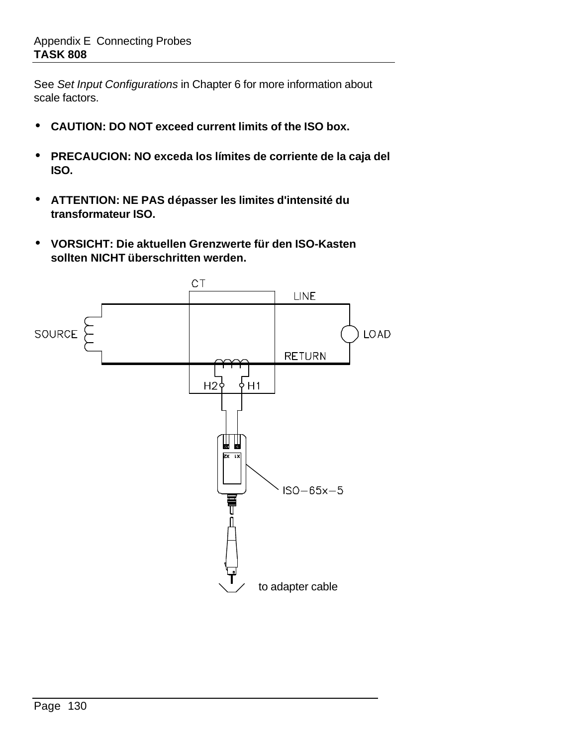See *Set Input Configurations* in Chapter 6 for more information about scale factors.

- **CAUTION: DO NOT exceed current limits of the ISO box.**
- **PRECAUCION: NO exceda los límites de corriente de la caja del ISO.**
- **ATTENTION: NE PAS dépasser les limites d'intensité du transformateur ISO.**
- **VORSICHT: Die aktuellen Grenzwerte für den ISO-Kasten sollten NICHT überschritten werden.**

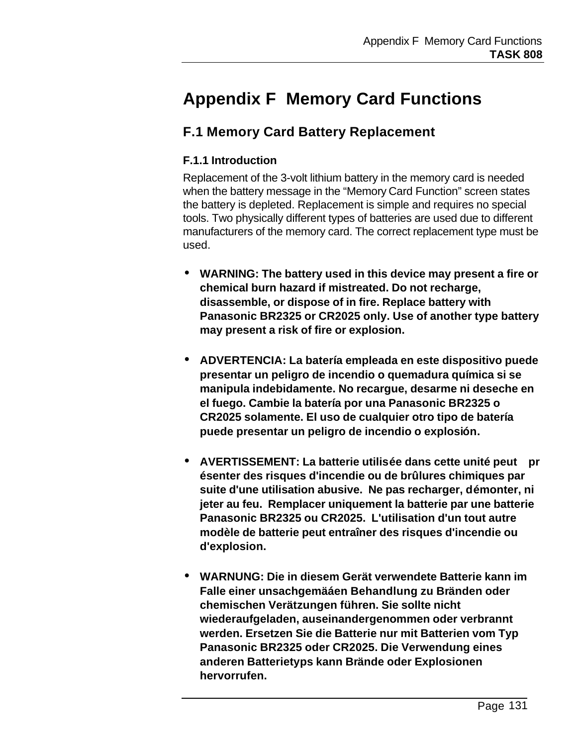# **Appendix F Memory Card Functions**

# **F.1 Memory Card Battery Replacement**

## **F.1.1 Introduction**

Replacement of the 3-volt lithium battery in the memory card is needed when the battery message in the "Memory Card Function" screen states the battery is depleted. Replacement is simple and requires no special tools. Two physically different types of batteries are used due to different manufacturers of the memory card. The correct replacement type must be used.

- **WARNING: The battery used in this device may present a fire or chemical burn hazard if mistreated. Do not recharge, disassemble, or dispose of in fire. Replace battery with Panasonic BR2325 or CR2025 only. Use of another type battery may present a risk of fire or explosion.**
- **ADVERTENCIA: La batería empleada en este dispositivo puede presentar un peligro de incendio o quemadura química si se manipula indebidamente. No recargue, desarme ni deseche en el fuego. Cambie la batería por una Panasonic BR2325 o CR2025 solamente. El uso de cualquier otro tipo de batería puede presentar un peligro de incendio o explosión.**
- **AVERTISSEMENT: La batterie utilisée dans cette unité peut pr ésenter des risques d'incendie ou de brûlures chimiques par suite d'une utilisation abusive. Ne pas recharger, démonter, ni jeter au feu. Remplacer uniquement la batterie par une batterie Panasonic BR2325 ou CR2025. L'utilisation d'un tout autre modèle de batterie peut entraîner des risques d'incendie ou d'explosion.**
- **WARNUNG: Die in diesem Gerät verwendete Batterie kann im Falle einer unsachgemäáen Behandlung zu Bränden oder chemischen Verätzungen führen. Sie sollte nicht wiederaufgeladen, auseinandergenommen oder verbrannt werden. Ersetzen Sie die Batterie nur mit Batterien vom Typ Panasonic BR2325 oder CR2025. Die Verwendung eines anderen Batterietyps kann Brände oder Explosionen hervorrufen.**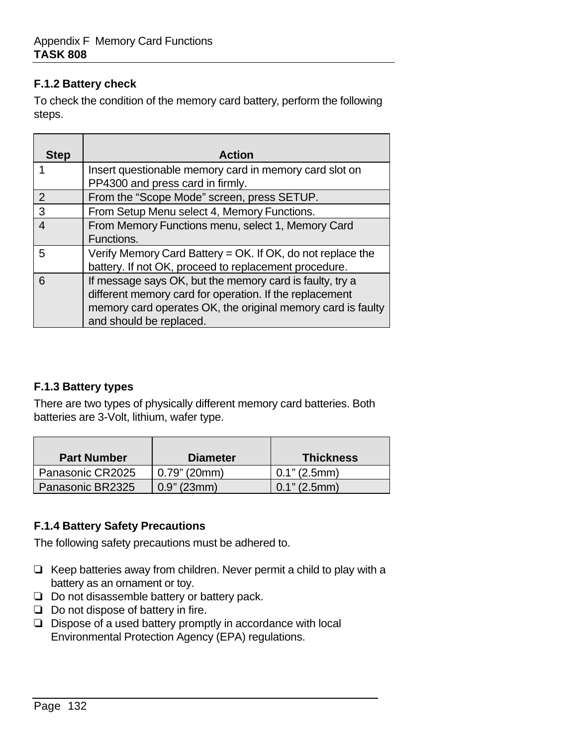#### **F.1.2 Battery check**

To check the condition of the memory card battery, perform the following steps.

| <b>Step</b> | <b>Action</b>                                                                                                                                                                                                 |
|-------------|---------------------------------------------------------------------------------------------------------------------------------------------------------------------------------------------------------------|
|             | Insert questionable memory card in memory card slot on<br>PP4300 and press card in firmly.                                                                                                                    |
| 2           | From the "Scope Mode" screen, press SETUP.                                                                                                                                                                    |
| 3           | From Setup Menu select 4, Memory Functions.                                                                                                                                                                   |
| 4           | From Memory Functions menu, select 1, Memory Card<br>Functions.                                                                                                                                               |
| 5           | Verify Memory Card Battery = $OK.$ If OK, do not replace the<br>battery. If not OK, proceed to replacement procedure.                                                                                         |
| 6           | If message says OK, but the memory card is faulty, try a<br>different memory card for operation. If the replacement<br>memory card operates OK, the original memory card is faulty<br>and should be replaced. |

#### **F.1.3 Battery types**

There are two types of physically different memory card batteries. Both batteries are 3-Volt, lithium, wafer type.

| <b>Part Number</b> | <b>Diameter</b> | <b>Thickness</b> |
|--------------------|-----------------|------------------|
| Panasonic CR2025   | $0.79$ " (20mm) | 0.1" (2.5mm)     |
| Panasonic BR2325   | $0.9$ " (23mm)  | $0.1$ " (2.5mm)  |

#### **F.1.4 Battery Safety Precautions**

The following safety precautions must be adhered to.

- $\Box$  Keep batteries away from children. Never permit a child to play with a battery as an ornament or toy.
- $\Box$  Do not disassemble battery or battery pack.
- $\Box$  Do not dispose of battery in fire.
- $\Box$  Dispose of a used battery promptly in accordance with local Environmental Protection Agency (EPA) regulations.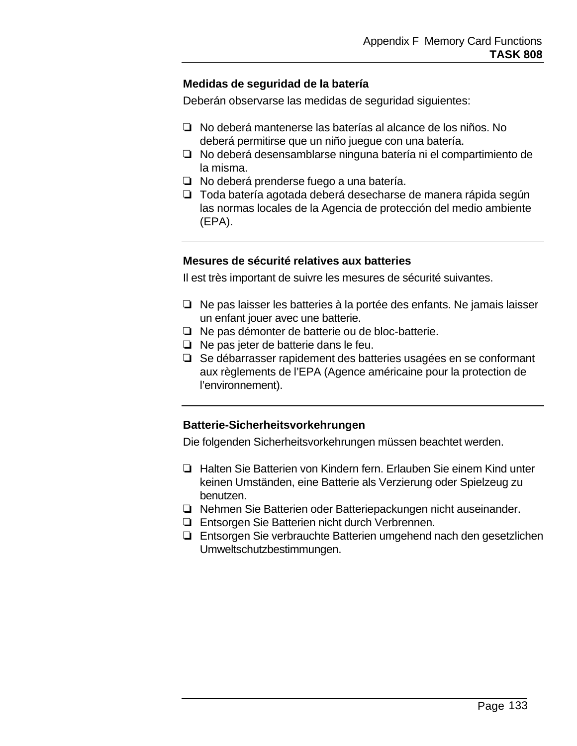#### **Medidas de seguridad de la batería**

Deberán observarse las medidas de seguridad siguientes:

- $\Box$  No deberá mantenerse las baterías al alcance de los niños. No deberá permitirse que un niño juegue con una batería.
- $\Box$  No deberá desensamblarse ninguna batería ni el compartimiento de la misma.
- $\Box$  No deberá prenderse fuego a una batería.
- $\Box$  Toda batería agotada deberá desecharse de manera rápida según las normas locales de la Agencia de protección del medio ambiente (EPA).

#### **Mesures de sécurité relatives aux batteries**

Il est très important de suivre les mesures de sécurité suivantes.

- $\Box$  Ne pas laisser les batteries à la portée des enfants. Ne jamais laisser un enfant jouer avec une batterie.
- $\Box$  Ne pas démonter de batterie ou de bloc-batterie.
- $\Box$  Ne pas jeter de batterie dans le feu.
- $\Box$  Se débarrasser rapidement des batteries usagées en se conformant aux règlements de l'EPA (Agence américaine pour la protection de l'environnement).

#### **Batterie-Sicherheitsvorkehrungen**

Die folgenden Sicherheitsvorkehrungen müssen beachtet werden.

- $\Box$  Halten Sie Batterien von Kindern fern. Erlauben Sie einem Kind unter keinen Umständen, eine Batterie als Verzierung oder Spielzeug zu benutzen.
- $\Box$  Nehmen Sie Batterien oder Batteriepackungen nicht auseinander.
- $\Box$  Entsorgen Sie Batterien nicht durch Verbrennen.
- $\Box$  Entsorgen Sie verbrauchte Batterien umgehend nach den gesetzlichen Umweltschutzbestimmungen.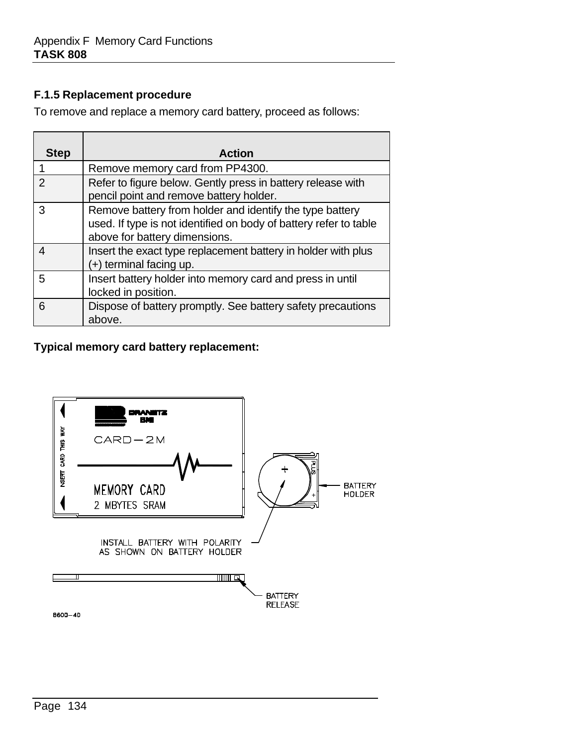## **F.1.5 Replacement procedure**

To remove and replace a memory card battery, proceed as follows:

| <b>Step</b>    | <b>Action</b>                                                                                                                                                  |
|----------------|----------------------------------------------------------------------------------------------------------------------------------------------------------------|
|                | Remove memory card from PP4300.                                                                                                                                |
| $\overline{2}$ | Refer to figure below. Gently press in battery release with<br>pencil point and remove battery holder.                                                         |
| 3              | Remove battery from holder and identify the type battery<br>used. If type is not identified on body of battery refer to table<br>above for battery dimensions. |
| 4              | Insert the exact type replacement battery in holder with plus<br>(+) terminal facing up.                                                                       |
| 5              | Insert battery holder into memory card and press in until<br>locked in position.                                                                               |
| 6              | Dispose of battery promptly. See battery safety precautions<br>above.                                                                                          |

#### **Typical memory card battery replacement:**

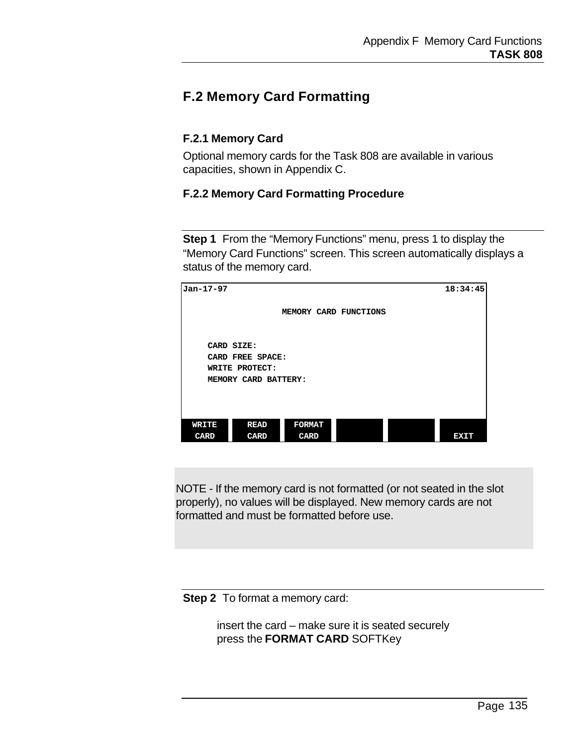# **F.2 Memory Card Formatting**

## **F.2.1 Memory Card**

Optional memory cards for the Task 808 are available in various capacities, shown in Appendix C.

## **F.2.2 Memory Card Formatting Procedure**

**Step 1** From the "Memory Functions" menu, press 1 to display the "Memory Card Functions" screen. This screen automatically displays a status of the memory card.

| Jan-17-97     |                                                                          |                       |                       | 18:34:45 |
|---------------|--------------------------------------------------------------------------|-----------------------|-----------------------|----------|
|               |                                                                          |                       | MEMORY CARD FUNCTIONS |          |
|               | CARD SIZE:<br>CARD FREE SPACE:<br>WRITE PROTECT:<br>MEMORY CARD BATTERY: |                       |                       |          |
| WRITE<br>CARD | <b>READ</b><br>CARD                                                      | <b>FORMAT</b><br>CARD |                       | EXIT     |

NOTE - If the memory card is not formatted (or not seated in the slot properly), no values will be displayed. New memory cards are not formatted and must be formatted before use.

**Step 2** To format a memory card:

insert the card – make sure it is seated securely press the **FORMAT CARD** SOFTKey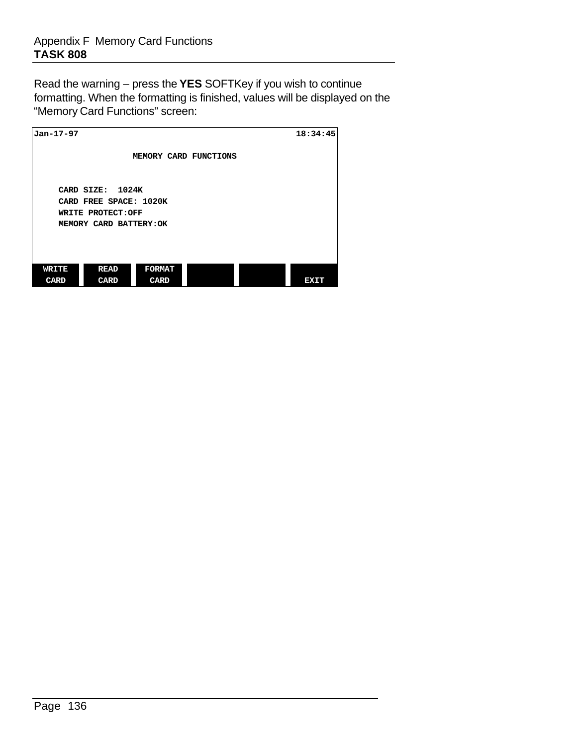Read the warning – press the **YES** SOFTKey if you wish to continue formatting. When the formatting is finished, values will be displayed on the "Memory Card Functions" screen:

| Jan-17-97     |                                                                                            |                       |                       | 18:34:45 |
|---------------|--------------------------------------------------------------------------------------------|-----------------------|-----------------------|----------|
|               |                                                                                            |                       | MEMORY CARD FUNCTIONS |          |
|               | CARD SIZE: 1024K<br>CARD FREE SPACE: 1020K<br>WRITE PROTECT:OFF<br>MEMORY CARD BATTERY: OK |                       |                       |          |
| WRITE<br>CARD | <b>READ</b><br>CARD                                                                        | <b>FORMAT</b><br>CARD |                       | EXIT     |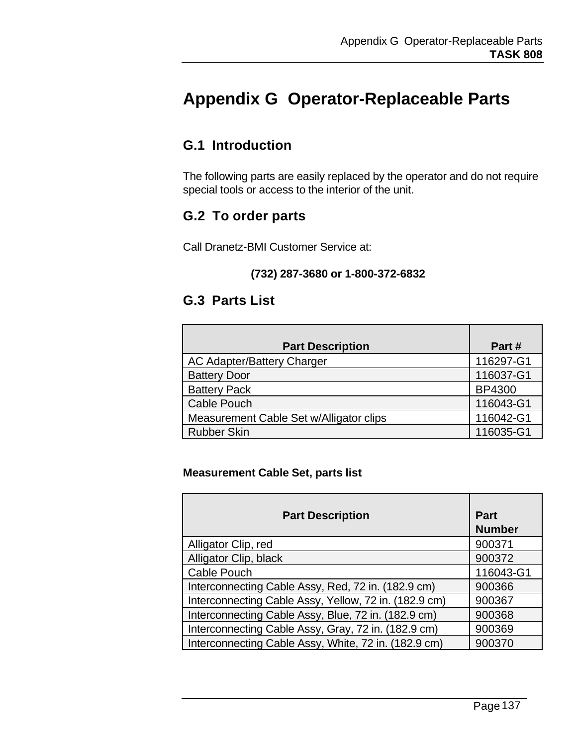# **Appendix G Operator-Replaceable Parts**

# **G.1 Introduction**

The following parts are easily replaced by the operator and do not require special tools or access to the interior of the unit.

# **G.2 To order parts**

Call Dranetz-BMI Customer Service at:

#### **(732) 287-3680 or 1-800-372-6832**

# **G.3 Parts List**

| <b>Part Description</b>                 | Part#         |
|-----------------------------------------|---------------|
| <b>AC Adapter/Battery Charger</b>       | 116297-G1     |
| <b>Battery Door</b>                     | 116037-G1     |
| <b>Battery Pack</b>                     | <b>BP4300</b> |
| <b>Cable Pouch</b>                      | 116043-G1     |
| Measurement Cable Set w/Alligator clips | 116042-G1     |
| <b>Rubber Skin</b>                      | 116035-G1     |

#### **Measurement Cable Set, parts list**

| <b>Part Description</b>                               | <b>Part</b><br><b>Number</b> |
|-------------------------------------------------------|------------------------------|
| Alligator Clip, red                                   | 900371                       |
| Alligator Clip, black                                 | 900372                       |
| <b>Cable Pouch</b>                                    | 116043-G1                    |
| Interconnecting Cable Assy, Red, 72 in. (182.9 cm)    | 900366                       |
| Interconnecting Cable Assy, Yellow, 72 in. (182.9 cm) | 900367                       |
| Interconnecting Cable Assy, Blue, 72 in. (182.9 cm)   | 900368                       |
| Interconnecting Cable Assy, Gray, 72 in. (182.9 cm)   | 900369                       |
| Interconnecting Cable Assy, White, 72 in. (182.9 cm)  | 900370                       |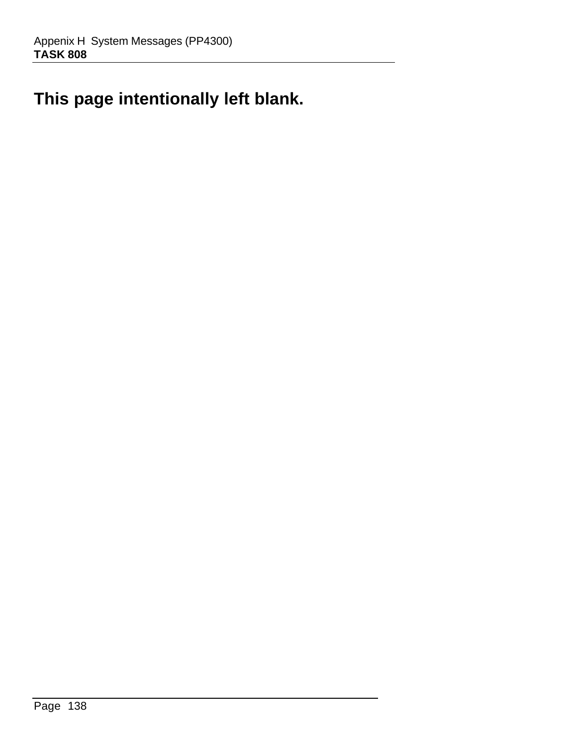# **This page intentionally left blank.**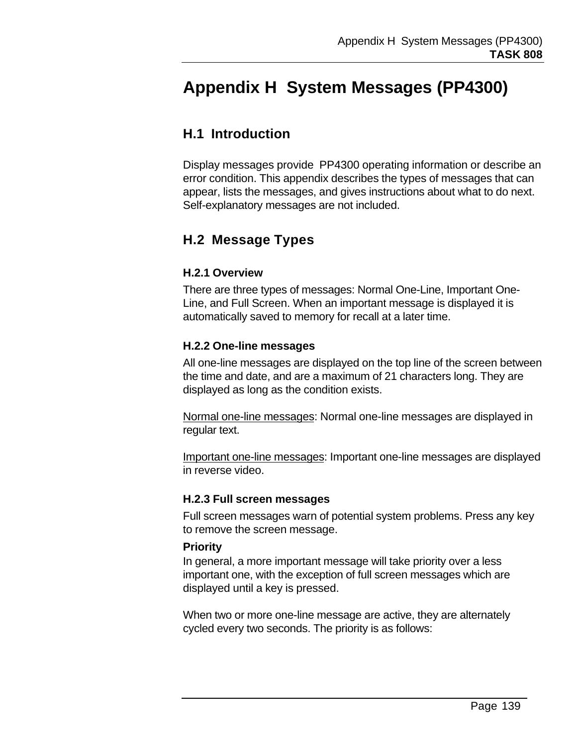# **Appendix H System Messages (PP4300)**

# **H.1 Introduction**

Display messages provide PP4300 operating information or describe an error condition. This appendix describes the types of messages that can appear, lists the messages, and gives instructions about what to do next. Self-explanatory messages are not included.

# **H.2 Message Types**

#### **H.2.1 Overview**

There are three types of messages: Normal One-Line, Important One-Line, and Full Screen. When an important message is displayed it is automatically saved to memory for recall at a later time.

#### **H.2.2 One-line messages**

All one-line messages are displayed on the top line of the screen between the time and date, and are a maximum of 21 characters long. They are displayed as long as the condition exists.

Normal one-line messages: Normal one-line messages are displayed in regular text.

Important one-line messages: Important one-line messages are displayed in reverse video.

#### **H.2.3 Full screen messages**

Full screen messages warn of potential system problems. Press any key to remove the screen message.

#### **Priority**

In general, a more important message will take priority over a less important one, with the exception of full screen messages which are displayed until a key is pressed.

When two or more one-line message are active, they are alternately cycled every two seconds. The priority is as follows: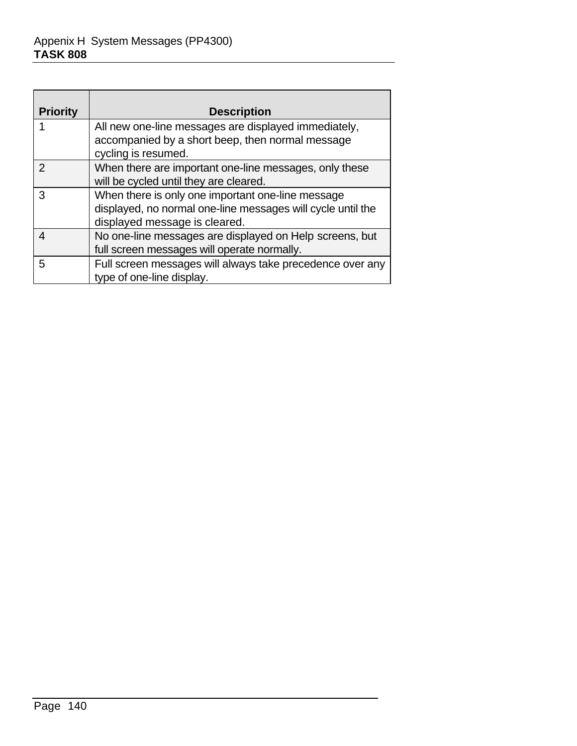F

| <b>Priority</b> | <b>Description</b>                                                                                                                                |
|-----------------|---------------------------------------------------------------------------------------------------------------------------------------------------|
|                 | All new one-line messages are displayed immediately,<br>accompanied by a short beep, then normal message                                          |
|                 | cycling is resumed.                                                                                                                               |
| $\overline{2}$  | When there are important one-line messages, only these<br>will be cycled until they are cleared.                                                  |
| 3               | When there is only one important one-line message<br>displayed, no normal one-line messages will cycle until the<br>displayed message is cleared. |
| 4               | No one-line messages are displayed on Help screens, but<br>full screen messages will operate normally.                                            |
| 5               | Full screen messages will always take precedence over any<br>type of one-line display.                                                            |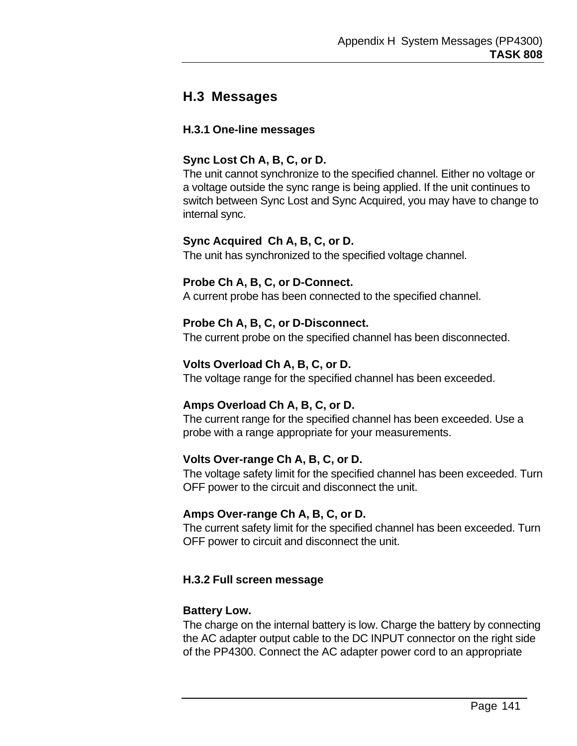# **H.3 Messages**

#### **H.3.1 One-line messages**

### **Sync Lost Ch A, B, C, or D.**

The unit cannot synchronize to the specified channel. Either no voltage or a voltage outside the sync range is being applied. If the unit continues to switch between Sync Lost and Sync Acquired, you may have to change to internal sync.

#### **Sync Acquired Ch A, B, C, or D.**

The unit has synchronized to the specified voltage channel.

#### **Probe Ch A, B, C, or D-Connect.**

A current probe has been connected to the specified channel.

#### **Probe Ch A, B, C, or D-Disconnect.**

The current probe on the specified channel has been disconnected.

#### **Volts Overload Ch A, B, C, or D.**

The voltage range for the specified channel has been exceeded.

#### **Amps Overload Ch A, B, C, or D.**

The current range for the specified channel has been exceeded. Use a probe with a range appropriate for your measurements.

#### **Volts Over-range Ch A, B, C, or D.**

The voltage safety limit for the specified channel has been exceeded. Turn OFF power to the circuit and disconnect the unit.

#### **Amps Over-range Ch A, B, C, or D.**

The current safety limit for the specified channel has been exceeded. Turn OFF power to circuit and disconnect the unit.

#### **H.3.2 Full screen message**

#### **Battery Low.**

The charge on the internal battery is low. Charge the battery by connecting the AC adapter output cable to the DC INPUT connector on the right side of the PP4300. Connect the AC adapter power cord to an appropriate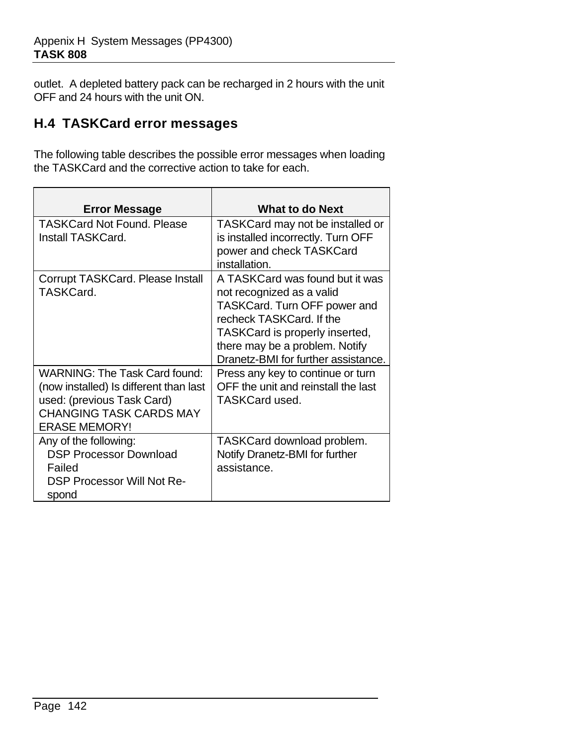outlet. A depleted battery pack can be recharged in 2 hours with the unit OFF and 24 hours with the unit ON.

# **H.4 TASKCard error messages**

The following table describes the possible error messages when loading the TASKCard and the corrective action to take for each.

| <b>Error Message</b>                                                                                                                                                   | <b>What to do Next</b>                                                                                                                                                                                                              |
|------------------------------------------------------------------------------------------------------------------------------------------------------------------------|-------------------------------------------------------------------------------------------------------------------------------------------------------------------------------------------------------------------------------------|
| <b>TASKCard Not Found, Please</b><br>Install TASKCard.                                                                                                                 | TASKCard may not be installed or<br>is installed incorrectly. Turn OFF<br>power and check TASKCard<br>installation.                                                                                                                 |
| Corrupt TASKCard. Please Install<br>TASKCard.                                                                                                                          | A TASKCard was found but it was<br>not recognized as a valid<br>TASKCard. Turn OFF power and<br>recheck TASKCard. If the<br>TASKCard is properly inserted,<br>there may be a problem. Notify<br>Dranetz-BMI for further assistance. |
| <b>WARNING: The Task Card found:</b><br>(now installed) Is different than last<br>used: (previous Task Card)<br><b>CHANGING TASK CARDS MAY</b><br><b>ERASE MEMORY!</b> | Press any key to continue or turn<br>OFF the unit and reinstall the last<br><b>TASKCard used.</b>                                                                                                                                   |
| Any of the following:<br><b>DSP Processor Download</b><br>Failed<br><b>DSP Processor Will Not Re-</b><br>spond                                                         | TASKCard download problem.<br>Notify Dranetz-BMI for further<br>assistance.                                                                                                                                                         |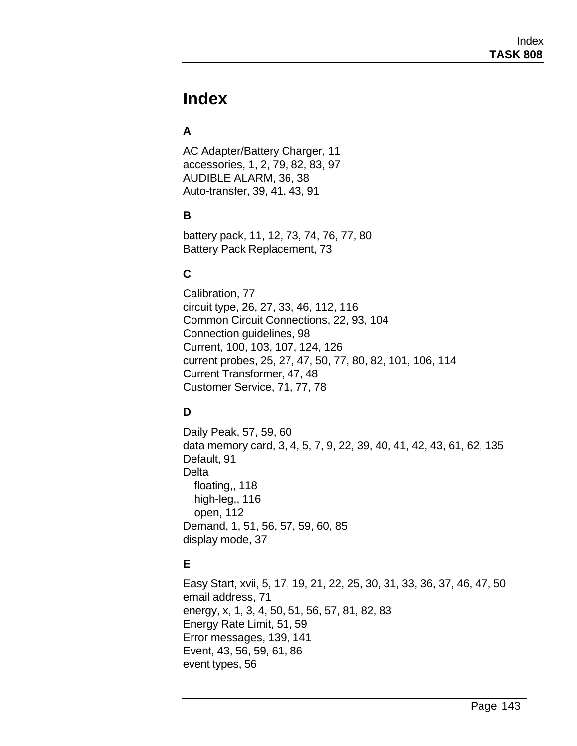# **Index**

# **A**

AC Adapter/Battery Charger, 11 accessories, 1, 2, 79, 82, 83, 97 AUDIBLE ALARM, 36, 38 Auto-transfer, 39, 41, 43, 91

## **B**

battery pack, 11, 12, 73, 74, 76, 77, 80 Battery Pack Replacement, 73

## **C**

Calibration, 77 circuit type, 26, 27, 33, 46, 112, 116 Common Circuit Connections, 22, 93, 104 Connection guidelines, 98 Current, 100, 103, 107, 124, 126 current probes, 25, 27, 47, 50, 77, 80, 82, 101, 106, 114 Current Transformer, 47, 48 Customer Service, 71, 77, 78

## **D**

Daily Peak, 57, 59, 60 data memory card, 3, 4, 5, 7, 9, 22, 39, 40, 41, 42, 43, 61, 62, 135 Default, 91 **Delta** floating,, 118 high-leg,, 116 open, 112 Demand, 1, 51, 56, 57, 59, 60, 85 display mode, 37

#### **E**

Easy Start, xvii, 5, 17, 19, 21, 22, 25, 30, 31, 33, 36, 37, 46, 47, 50 email address, 71 energy, x, 1, 3, 4, 50, 51, 56, 57, 81, 82, 83 Energy Rate Limit, 51, 59 Error messages, 139, 141 Event, 43, 56, 59, 61, 86 event types, 56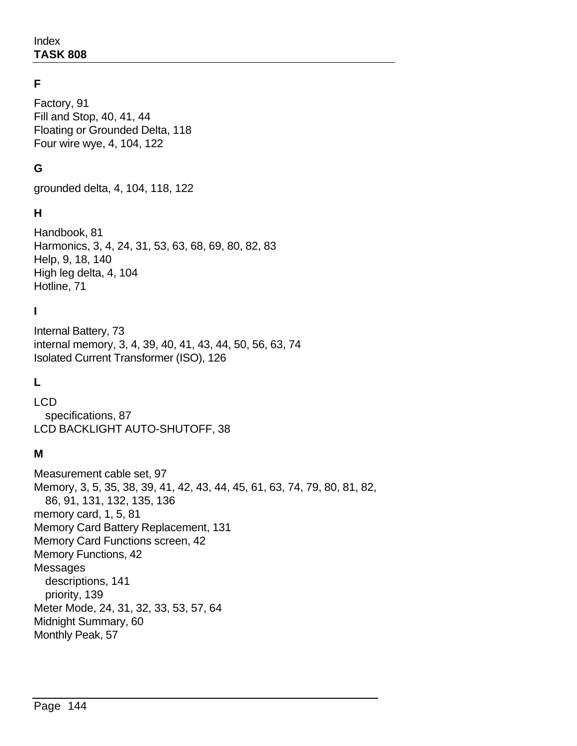### Index **TASK 808**

## **F**

Factory, 91 Fill and Stop, 40, 41, 44 Floating or Grounded Delta, 118 Four wire wye, 4, 104, 122

# **G**

grounded delta, 4, 104, 118, 122

## **H**

Handbook, 81 Harmonics, 3, 4, 24, 31, 53, 63, 68, 69, 80, 82, 83 Help, 9, 18, 140 High leg delta, 4, 104 Hotline, 71

## **I**

Internal Battery, 73 internal memory, 3, 4, 39, 40, 41, 43, 44, 50, 56, 63, 74 Isolated Current Transformer (ISO), 126

#### **L**

LCD specifications, 87 LCD BACKLIGHT AUTO-SHUTOFF, 38

#### **M**

Measurement cable set, 97 Memory, 3, 5, 35, 38, 39, 41, 42, 43, 44, 45, 61, 63, 74, 79, 80, 81, 82, 86, 91, 131, 132, 135, 136 memory card, 1, 5, 81 Memory Card Battery Replacement, 131 Memory Card Functions screen, 42 Memory Functions, 42 Messages descriptions, 141 priority, 139 Meter Mode, 24, 31, 32, 33, 53, 57, 64 Midnight Summary, 60 Monthly Peak, 57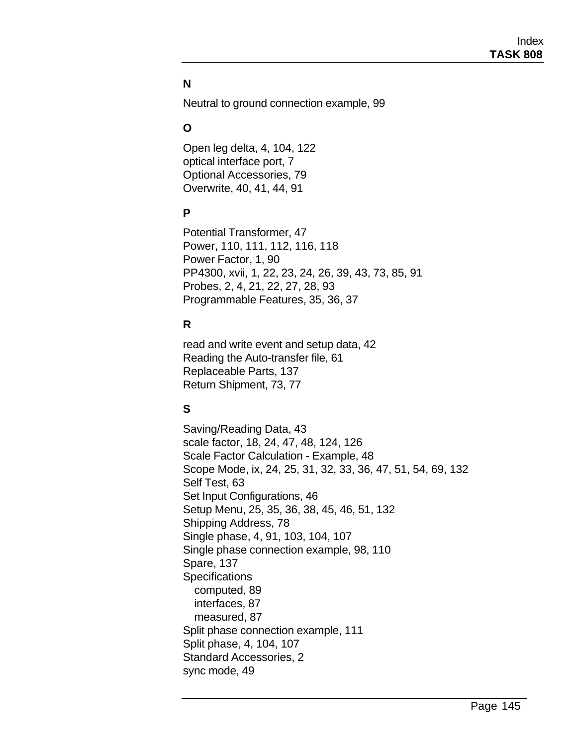## **N**

Neutral to ground connection example, 99

# **O**

Open leg delta, 4, 104, 122 optical interface port, 7 Optional Accessories, 79 Overwrite, 40, 41, 44, 91

#### **P**

Potential Transformer, 47 Power, 110, 111, 112, 116, 118 Power Factor, 1, 90 PP4300, xvii, 1, 22, 23, 24, 26, 39, 43, 73, 85, 91 Probes, 2, 4, 21, 22, 27, 28, 93 Programmable Features, 35, 36, 37

#### **R**

read and write event and setup data, 42 Reading the Auto-transfer file, 61 Replaceable Parts, 137 Return Shipment, 73, 77

## **S**

Saving/Reading Data, 43 scale factor, 18, 24, 47, 48, 124, 126 Scale Factor Calculation - Example, 48 Scope Mode, ix, 24, 25, 31, 32, 33, 36, 47, 51, 54, 69, 132 Self Test, 63 Set Input Configurations, 46 Setup Menu, 25, 35, 36, 38, 45, 46, 51, 132 Shipping Address, 78 Single phase, 4, 91, 103, 104, 107 Single phase connection example, 98, 110 Spare, 137 **Specifications** computed, 89 interfaces, 87 measured, 87 Split phase connection example, 111 Split phase, 4, 104, 107 Standard Accessories, 2 sync mode, 49